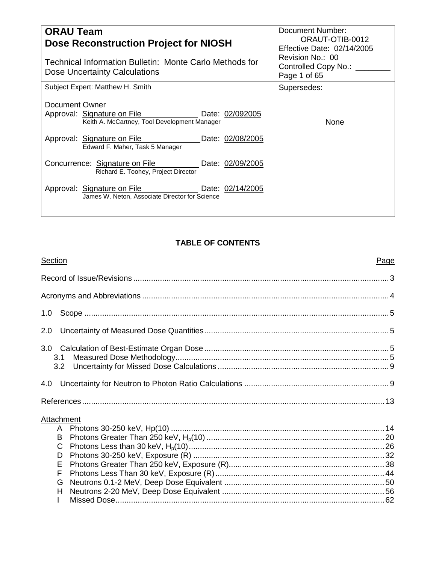| <b>ORAU Team</b><br><b>Dose Reconstruction Project for NIOSH</b><br>Technical Information Bulletin: Monte Carlo Methods for<br>Dose Uncertainty Calculations                                           | Document Number:<br>ORAUT-OTIB-0012<br>Effective Date: 02/14/2005<br>Revision No.: 00<br>Controlled Copy No.:<br>Page 1 of 65 |
|--------------------------------------------------------------------------------------------------------------------------------------------------------------------------------------------------------|-------------------------------------------------------------------------------------------------------------------------------|
| Subject Expert: Matthew H. Smith                                                                                                                                                                       | Supersedes:                                                                                                                   |
| Document Owner<br>Approval: Signature on File<br>Date: 02/092005<br>Keith A. McCartney, Tool Development Manager<br>Approval: Signature on File<br>Date: 02/08/2005<br>Edward F. Maher, Task 5 Manager | <b>None</b>                                                                                                                   |
| Concurrence: Signature on File<br>Date: 02/09/2005<br>Richard E. Toohey, Project Director                                                                                                              |                                                                                                                               |
| Approval: Signature on File<br>Date: 02/14/2005<br>James W. Neton, Associate Director for Science                                                                                                      |                                                                                                                               |

# **TABLE OF CONTENTS**

| Section    | Page |
|------------|------|
|            |      |
|            |      |
| 1.0        |      |
| 2.0        |      |
| 3.1<br>3.2 |      |
| 4.0        |      |
|            |      |
| Attachment |      |
|            |      |
| B<br>C     |      |
| D          |      |
| E          |      |
| F          |      |
| G          |      |
| H          |      |
|            |      |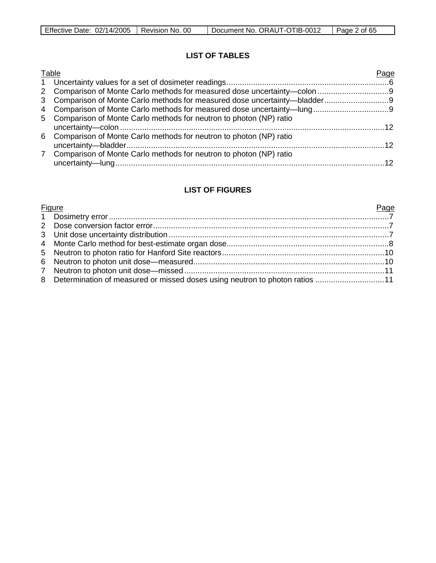# **LIST OF TABLES**

| Table                                                                | Page |
|----------------------------------------------------------------------|------|
|                                                                      |      |
|                                                                      |      |
|                                                                      |      |
|                                                                      |      |
| 5 Comparison of Monte Carlo methods for neutron to photon (NP) ratio |      |
| 6 Comparison of Monte Carlo methods for neutron to photon (NP) ratio |      |
| 7 Comparison of Monte Carlo methods for neutron to photon (NP) ratio |      |

## **LIST OF FIGURES**

| <b>Figure</b>                                                                 | Page |
|-------------------------------------------------------------------------------|------|
|                                                                               |      |
|                                                                               |      |
|                                                                               |      |
|                                                                               |      |
|                                                                               |      |
|                                                                               |      |
|                                                                               |      |
| 8 Determination of measured or missed doses using neutron to photon ratios 11 |      |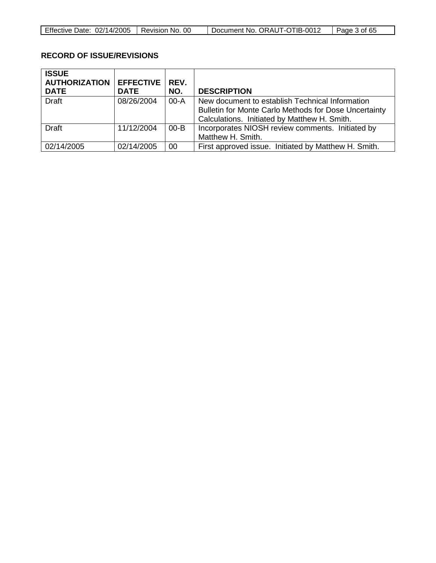| Effective Date: 02/14/2005 | l Revision No. 00 | Document No. ORAUT-OTIB-0012 | Page 3 of 65 |
|----------------------------|-------------------|------------------------------|--------------|

# **RECORD OF ISSUE/REVISIONS**

| <b>ISSUE</b><br><b>AUTHORIZATION</b><br><b>DATE</b> | <b>EFFECTIVE</b><br><b>DATE</b> | REV.<br>NO. | <b>DESCRIPTION</b>                                                                                                                                       |
|-----------------------------------------------------|---------------------------------|-------------|----------------------------------------------------------------------------------------------------------------------------------------------------------|
| <b>Draft</b>                                        | 08/26/2004                      | $00 - A$    | New document to establish Technical Information<br>Bulletin for Monte Carlo Methods for Dose Uncertainty<br>Calculations. Initiated by Matthew H. Smith. |
| <b>Draft</b>                                        | 11/12/2004                      | $00 - B$    | Incorporates NIOSH review comments. Initiated by<br>Matthew H. Smith.                                                                                    |
| 02/14/2005                                          | 02/14/2005                      | 00          | First approved issue. Initiated by Matthew H. Smith.                                                                                                     |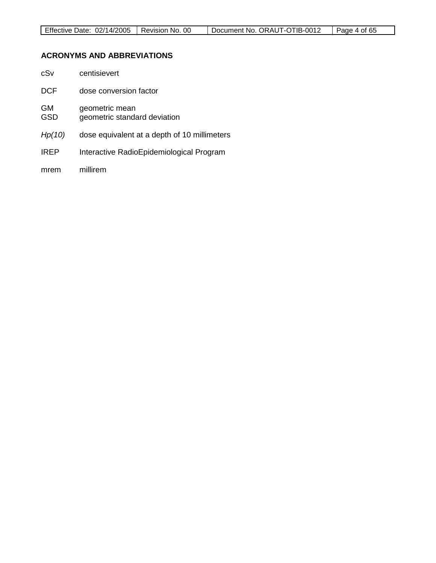# **ACRONYMS AND ABBREVIATIONS**

| cSv              | centisievert                                   |
|------------------|------------------------------------------------|
| DCF              | dose conversion factor                         |
| GM<br><b>GSD</b> | geometric mean<br>geometric standard deviation |
| Hp(10)           | dose equivalent at a depth of 10 millimeters   |
| <b>IREP</b>      | Interactive RadioEpidemiological Program       |
| mrem             | millirem                                       |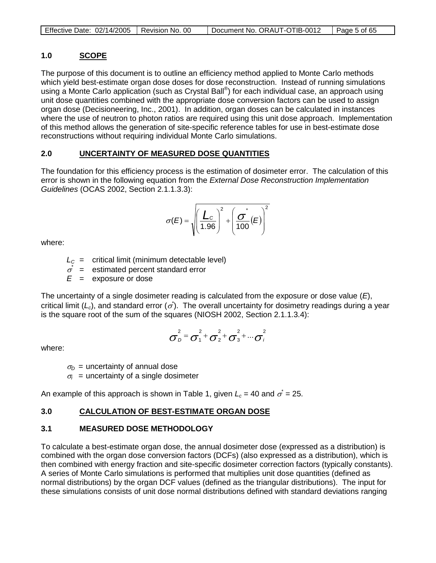|  | Effective Date: 02/14/2005   Revision No. 00 |  | Document No. ORAUT-OTIB-0012 | $\vert$ Page 5 of 65 |
|--|----------------------------------------------|--|------------------------------|----------------------|
|--|----------------------------------------------|--|------------------------------|----------------------|

#### **1.0 SCOPE**

The purpose of this document is to outline an efficiency method applied to Monte Carlo methods which yield best-estimate organ dose doses for dose reconstruction. Instead of running simulations using a Monte Carlo application (such as Crystal Ball®) for each individual case, an approach using unit dose quantities combined with the appropriate dose conversion factors can be used to assign organ dose (Decisioneering, Inc., 2001). In addition, organ doses can be calculated in instances where the use of neutron to photon ratios are required using this unit dose approach. Implementation of this method allows the generation of site-specific reference tables for use in best-estimate dose reconstructions without requiring individual Monte Carlo simulations.

#### **2.0 UNCERTAINTY OF MEASURED DOSE QUANTITIES**

The foundation for this efficiency process is the estimation of dosimeter error. The calculation of this error is shown in the following equation from the *External Dose Reconstruction Implementation Guidelines* (OCAS 2002, Section 2.1.1.3.3):

$$
\sigma(E) = \sqrt{\left(\frac{L_c}{1.96}\right)^2 + \left(\frac{\sigma^*}{100}(E)\right)^2}
$$

where:

 $L_c$  = critical limit (minimum detectable level)

 $\sigma^*$  = estimated percent standard error

 $E =$  exposure or dose

The uncertainty of a single dosimeter reading is calculated from the exposure or dose value (*E*), critical limit ( $L_c$ ), and standard error ( $\sigma$ ). The overall uncertainty for dosimetry readings during a year is the square root of the sum of the squares (NIOSH 2002, Section 2.1.1.3.4):

$$
\sigma_D^2 = \sigma_1^2 + \sigma_2^2 + \sigma_3^2 + \cdots + \sigma_i^2
$$

where:

 $\sigma_D$  = uncertainty of annual dose  $\sigma_i$  = uncertainty of a single dosimeter

An example of this approach is shown in Table 1, given  $L_c$  = 40 and  $\sigma^*=$  25.

#### **3.0 CALCULATION OF BEST-ESTIMATE ORGAN DOSE**

# **3.1 MEASURED DOSE METHODOLOGY**

To calculate a best-estimate organ dose, the annual dosimeter dose (expressed as a distribution) is combined with the organ dose conversion factors (DCFs) (also expressed as a distribution), which is then combined with energy fraction and site-specific dosimeter correction factors (typically constants). A series of Monte Carlo simulations is performed that multiplies unit dose quantities (defined as normal distributions) by the organ DCF values (defined as the triangular distributions). The input for these simulations consists of unit dose normal distributions defined with standard deviations ranging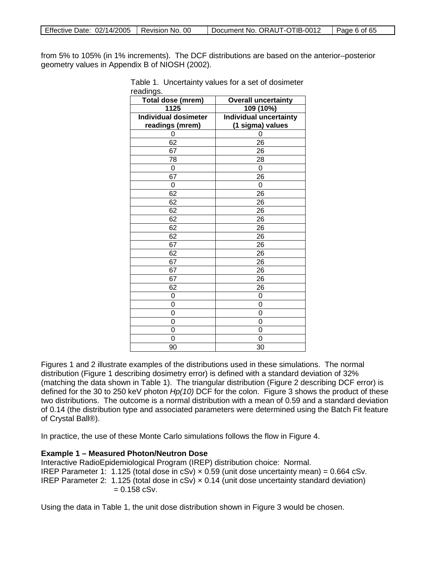from 5% to 105% (in 1% increments). The DCF distributions are based on the anterior–posterior geometry values in Appendix B of NIOSH (2002).

| Total dose (mrem)           | <b>Overall uncertainty</b>    |
|-----------------------------|-------------------------------|
| 1125                        | 109 (10%)                     |
| <b>Individual dosimeter</b> | <b>Individual uncertainty</b> |
| readings (mrem)             | (1 sigma) values              |
| 0                           | 0                             |
| 62                          | 26                            |
| 67                          | 26                            |
| 78                          | 28                            |
| 0                           | 0                             |
| 67                          | 26                            |
| $\overline{0}$              | 0                             |
| 62                          | 26                            |
| 62                          | $\overline{26}$               |
| 62                          | 26                            |
| 62                          | 26                            |
| 62                          | 26                            |
| 62                          | 26                            |
| 67                          | 26                            |
| 62                          | 26                            |
| 67                          | 26                            |
| 67                          | 26                            |
| 67                          | $\overline{2}6$               |
| 62                          | 26                            |
| 0                           | 0                             |
| 0                           | 0                             |
| 0                           | $\overline{0}$                |
| 0                           | 0                             |
| 0                           | 0                             |
| 0                           | 0                             |
| 90                          | 30                            |

Table 1. Uncertainty values for a set of dosimeter readings.

Figures 1 and 2 illustrate examples of the distributions used in these simulations. The normal distribution (Figure 1 describing dosimetry error) is defined with a standard deviation of 32% (matching the data shown in Table 1). The triangular distribution (Figure 2 describing DCF error) is defined for the 30 to 250 keV photon *Hp(10)* DCF for the colon. Figure 3 shows the product of these two distributions. The outcome is a normal distribution with a mean of 0.59 and a standard deviation of 0.14 (the distribution type and associated parameters were determined using the Batch Fit feature of Crystal Ball®).

In practice, the use of these Monte Carlo simulations follows the flow in Figure 4.

### **Example 1 – Measured Photon/Neutron Dose**

Interactive RadioEpidemiological Program (IREP) distribution choice: Normal. IREP Parameter 1: 1.125 (total dose in cSv)  $\times$  0.59 (unit dose uncertainty mean) = 0.664 cSv. IREP Parameter 2: 1.125 (total dose in cSv)  $\times$  0.14 (unit dose uncertainty standard deviation)  $= 0.158$  cSv.

Using the data in Table 1, the unit dose distribution shown in Figure 3 would be chosen.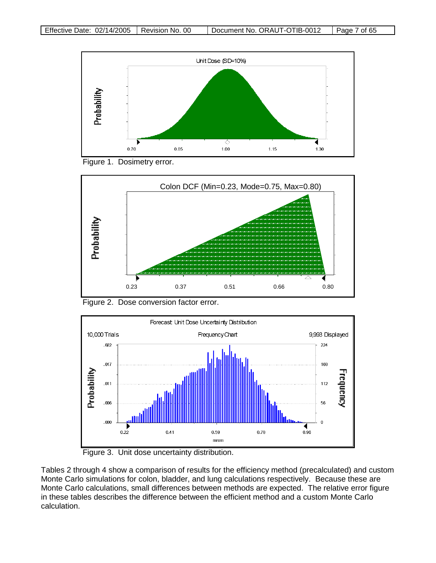

Figure 1. Dosimetry error.



Figure 2. Dose conversion factor error.



Figure 3. Unit dose uncertainty distribution.

Tables 2 through 4 show a comparison of results for the efficiency method (precalculated) and custom Monte Carlo simulations for colon, bladder, and lung calculations respectively. Because these are Monte Carlo calculations, small differences between methods are expected. The relative error figure in these tables describes the difference between the efficient method and a custom Monte Carlo calculation.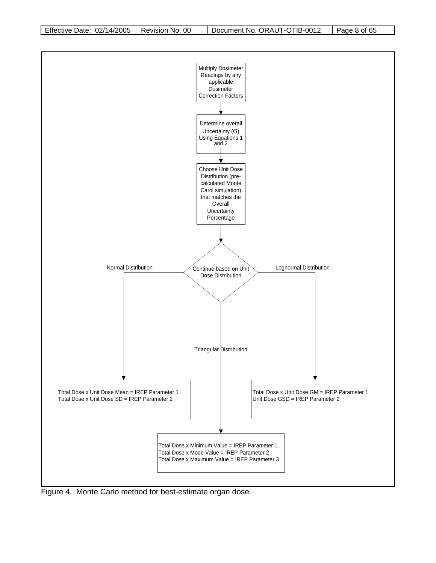

Figure 4. Monte Carlo method for best-estimate organ dose.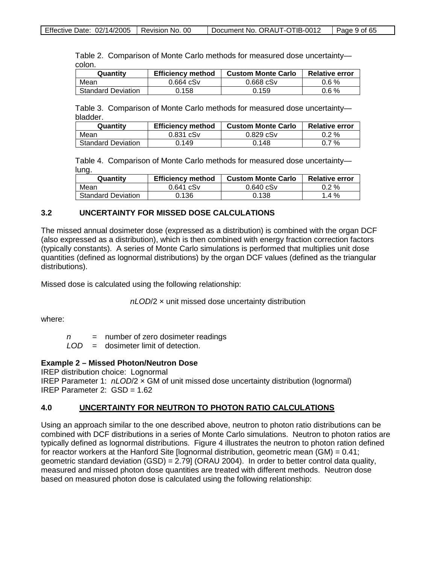|        | Table 2. Comparison of Monte Carlo methods for measured dose uncertainty- |  |  |
|--------|---------------------------------------------------------------------------|--|--|
| colon. |                                                                           |  |  |

| Quantity                  | <b>Efficiency method</b> | <b>Custom Monte Carlo</b> | <b>Relative error</b> |
|---------------------------|--------------------------|---------------------------|-----------------------|
| Mean                      | $0.664$ $cSv$            | $0.668$ $cSv$             | $0.6\%$               |
| <b>Standard Deviation</b> | 0.158                    | 0.159                     | $0.6\%$               |

Table 3. Comparison of Monte Carlo methods for measured dose uncertainty bladder.

| Quantitv                  | <b>Efficiency method</b> | <b>Custom Monte Carlo</b> | <b>Relative error</b> |
|---------------------------|--------------------------|---------------------------|-----------------------|
| Mean                      | $0.831$ $cSv$            | $0.829$ $cSv$             | $0.2 \%$              |
| <b>Standard Deviation</b> | 0.149                    | 0.148                     | 0.7 %                 |

Table 4. Comparison of Monte Carlo methods for measured dose uncertainty lung.

| Quantity                  | <b>Efficiency method</b> | <b>Custom Monte Carlo</b> | <b>Relative error</b> |
|---------------------------|--------------------------|---------------------------|-----------------------|
| Mean                      | $0.641$ $cSv$            | $0.640$ cSv               | $0.2 \%$              |
| <b>Standard Deviation</b> | 0.136                    | 0.138                     | $1.4\%$               |

#### **3.2 UNCERTAINTY FOR MISSED DOSE CALCULATIONS**

The missed annual dosimeter dose (expressed as a distribution) is combined with the organ DCF (also expressed as a distribution), which is then combined with energy fraction correction factors (typically constants). A series of Monte Carlo simulations is performed that multiplies unit dose quantities (defined as lognormal distributions) by the organ DCF values (defined as the triangular distributions).

Missed dose is calculated using the following relationship:

*nLOD*/2 × unit missed dose uncertainty distribution

where:

*n* = number of zero dosimeter readings

*LOD* = dosimeter limit of detection.

#### **Example 2 – Missed Photon/Neutron Dose**

IREP distribution choice: Lognormal IREP Parameter 1: *nLOD*/2 × GM of unit missed dose uncertainty distribution (lognormal) IREP Parameter 2: GSD = 1.62

#### **4.0 UNCERTAINTY FOR NEUTRON TO PHOTON RATIO CALCULATIONS**

Using an approach similar to the one described above, neutron to photon ratio distributions can be combined with DCF distributions in a series of Monte Carlo simulations. Neutron to photon ratios are typically defined as lognormal distributions. Figure 4 illustrates the neutron to photon ration defined for reactor workers at the Hanford Site [lognormal distribution, geometric mean (GM) = 0.41; geometric standard deviation (GSD) = 2.79] (ORAU 2004). In order to better control data quality, measured and missed photon dose quantities are treated with different methods. Neutron dose based on measured photon dose is calculated using the following relationship: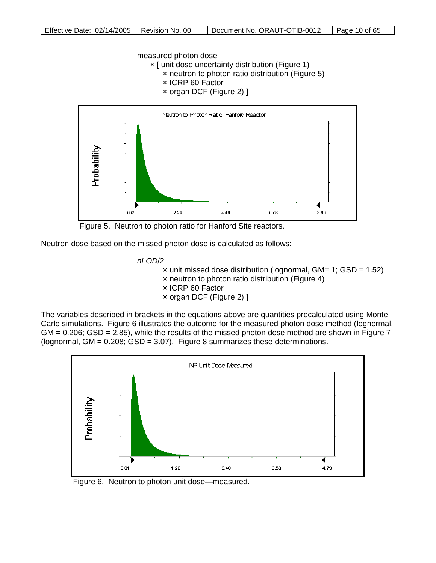measured photon dose

× [ unit dose uncertainty distribution (Figure 1) × neutron to photon ratio distribution (Figure 5)

- × ICRP 60 Factor
- × organ DCF (Figure 2) ]



Figure 5. Neutron to photon ratio for Hanford Site reactors.

Neutron dose based on the missed photon dose is calculated as follows:

*nLOD*/2

 $\times$  unit missed dose distribution (lognormal, GM= 1; GSD = 1.52) × neutron to photon ratio distribution (Figure 4) × ICRP 60 Factor × organ DCF (Figure 2) ]

The variables described in brackets in the equations above are quantities precalculated using Monte Carlo simulations. Figure 6 illustrates the outcome for the measured photon dose method (lognormal,  $GM = 0.206$ ;  $GSD = 2.85$ ), while the results of the missed photon dose method are shown in Figure 7 (lognormal, GM = 0.208; GSD = 3.07). Figure 8 summarizes these determinations.



Figure 6. Neutron to photon unit dose—measured.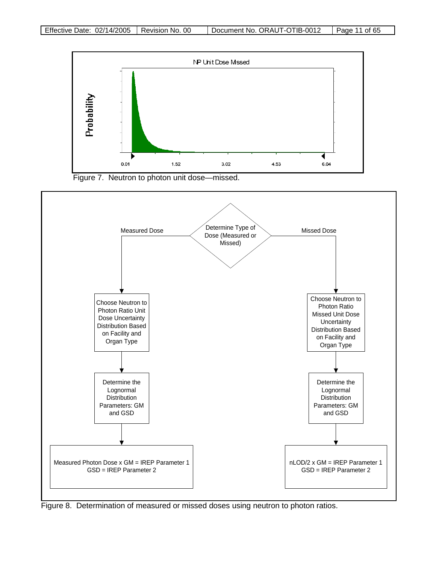





Figure 8. Determination of measured or missed doses using neutron to photon ratios.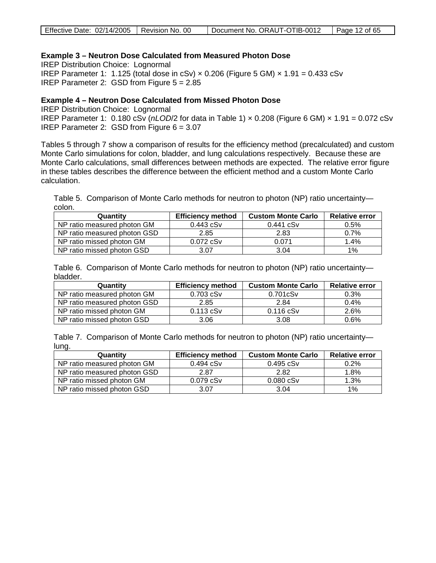| Effective Date: 02/14/2005   Revision No. 00 | Document No. ORAUT-OTIB-0012   Page 12 of 65 |  |
|----------------------------------------------|----------------------------------------------|--|
|                                              |                                              |  |

### **Example 3 – Neutron Dose Calculated from Measured Photon Dose**

IREP Distribution Choice: Lognormal IREP Parameter 1: 1.125 (total dose in cSv)  $\times$  0.206 (Figure 5 GM)  $\times$  1.91 = 0.433 cSv IREP Parameter 2: GSD from Figure 5 = 2.85

#### **Example 4 – Neutron Dose Calculated from Missed Photon Dose**

IREP Distribution Choice: Lognormal IREP Parameter 1: 0.180 cSv (*nLOD*/2 for data in Table 1) × 0.208 (Figure 6 GM) × 1.91 = 0.072 cSv IREP Parameter 2: GSD from Figure 6 = 3.07

Tables 5 through 7 show a comparison of results for the efficiency method (precalculated) and custom Monte Carlo simulations for colon, bladder, and lung calculations respectively. Because these are Monte Carlo calculations, small differences between methods are expected. The relative error figure in these tables describes the difference between the efficient method and a custom Monte Carlo calculation.

Table 5. Comparison of Monte Carlo methods for neutron to photon (NP) ratio uncertainty colon.

| Quantity                     | <b>Efficiency method</b> | <b>Custom Monte Carlo</b> | <b>Relative error</b> |
|------------------------------|--------------------------|---------------------------|-----------------------|
| NP ratio measured photon GM  | $0.443$ cSv              | $0.441$ $cSv$             | $0.5\%$               |
| NP ratio measured photon GSD | 2.85                     | 2.83                      | 0.7%                  |
| NP ratio missed photon GM    | $0.072$ $cSv$            | 0.071                     | 1.4%                  |
| NP ratio missed photon GSD   | 3.07                     | 3.04                      | $1\%$                 |

|          | Table 6. Comparison of Monte Carlo methods for neutron to photon (NP) ratio uncertainty— |
|----------|------------------------------------------------------------------------------------------|
| bladder. |                                                                                          |

| Quantity                     | <b>Efficiency method</b> | <b>Custom Monte Carlo</b> | <b>Relative error</b> |
|------------------------------|--------------------------|---------------------------|-----------------------|
| NP ratio measured photon GM  | $0.703$ cSv              | 0.701cSv                  | 0.3%                  |
| NP ratio measured photon GSD | 2.85                     | 2.84                      | $0.4\%$               |
| NP ratio missed photon GM    | $0.113$ cSv              | $0.116$ cSv               | 2.6%                  |
| NP ratio missed photon GSD   | 3.06                     | 3.08                      | 0.6%                  |

Table 7. Comparison of Monte Carlo methods for neutron to photon (NP) ratio uncertainty lung.

| Quantity                     | <b>Efficiency method</b> | <b>Custom Monte Carlo</b> | <b>Relative error</b> |
|------------------------------|--------------------------|---------------------------|-----------------------|
| NP ratio measured photon GM  | $0.494$ cSv              | $0.495$ cSv               | 0.2%                  |
| NP ratio measured photon GSD | 2.87                     | 2.82                      | 1.8%                  |
| NP ratio missed photon GM    | $0.079$ $cSv$            | $0.080$ $cSv$             | 1.3%                  |
| NP ratio missed photon GSD   | 3.07                     | 3.04                      | 1%                    |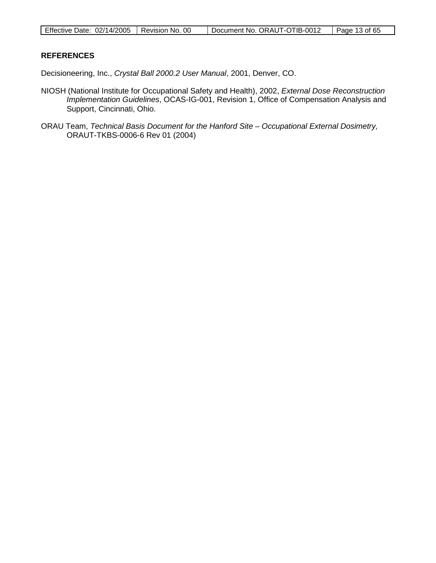| Effective Date: 02/14/2005   Revision No. 00 |  | Document No. ORAUT-OTIB-0012 | Page 13 of 65 |
|----------------------------------------------|--|------------------------------|---------------|
|----------------------------------------------|--|------------------------------|---------------|

### **REFERENCES**

Decisioneering, Inc., *Crystal Ball 2000.2 User Manual*, 2001, Denver, CO.

- NIOSH (National Institute for Occupational Safety and Health), 2002, *External Dose Reconstruction Implementation Guidelines*, OCAS-IG-001, Revision 1, Office of Compensation Analysis and Support, Cincinnati, Ohio.
- ORAU Team, *Technical Basis Document for the Hanford Site – Occupational External Dosimetry,* ORAUT-TKBS-0006-6 Rev 01 (2004)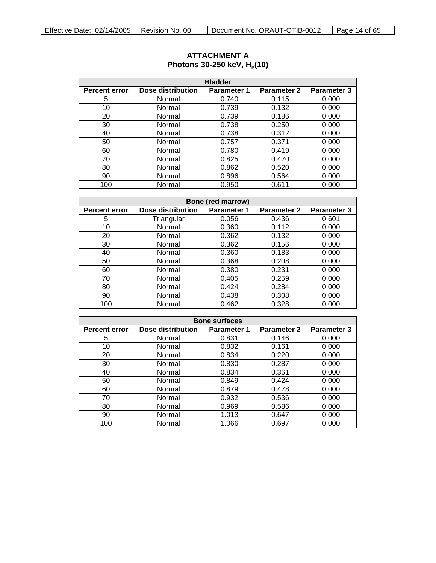| <b>Bladder</b>       |                   |             |                    |                    |  |
|----------------------|-------------------|-------------|--------------------|--------------------|--|
| <b>Percent error</b> | Dose distribution | Parameter 1 | <b>Parameter 2</b> | <b>Parameter 3</b> |  |
| 5                    | Normal            | 0.740       | 0.115              | 0.000              |  |
| 10                   | Normal            | 0.739       | 0.132              | 0.000              |  |
| 20                   | Normal            | 0.739       | 0.186              | 0.000              |  |
| 30                   | Normal            | 0.738       | 0.250              | 0.000              |  |
| 40                   | Normal            | 0.738       | 0.312              | 0.000              |  |
| 50                   | Normal            | 0.757       | 0.371              | 0.000              |  |
| 60                   | Normal            | 0.780       | 0.419              | 0.000              |  |
| 70                   | Normal            | 0.825       | 0.470              | 0.000              |  |
| 80                   | Normal            | 0.862       | 0.520              | 0.000              |  |
| 90                   | Normal            | 0.896       | 0.564              | 0.000              |  |
| 100                  | Normal            | 0.950       | 0.611              | 0.000              |  |

## <span id="page-13-0"></span>**ATTACHMENT A Photons 30-250 keV, H<sub>p</sub>(10)**

| <b>Bone (red marrow)</b> |                   |                    |                    |                    |  |  |
|--------------------------|-------------------|--------------------|--------------------|--------------------|--|--|
| <b>Percent error</b>     | Dose distribution | <b>Parameter 1</b> | <b>Parameter 2</b> | <b>Parameter 3</b> |  |  |
| 5                        | Triangular        | 0.056              | 0.436              | 0.601              |  |  |
| 10                       | Normal            | 0.360              | 0.112              | 0.000              |  |  |
| 20                       | Normal            | 0.362              | 0.132              | 0.000              |  |  |
| 30                       | Normal            | 0.362              | 0.156              | 0.000              |  |  |
| 40                       | Normal            | 0.360              | 0.183              | 0.000              |  |  |
| 50                       | Normal            | 0.368              | 0.208              | 0.000              |  |  |
| 60                       | Normal            | 0.380              | 0.231              | 0.000              |  |  |
| 70                       | Normal            | 0.405              | 0.259              | 0.000              |  |  |
| 80                       | Normal            | 0.424              | 0.284              | 0.000              |  |  |
| 90                       | Normal            | 0.438              | 0.308              | 0.000              |  |  |
| 100                      | Normal            | 0.462              | 0.328              | 0.000              |  |  |

| <b>Bone surfaces</b> |                   |                    |                    |             |  |
|----------------------|-------------------|--------------------|--------------------|-------------|--|
| <b>Percent error</b> | Dose distribution | <b>Parameter 1</b> | <b>Parameter 2</b> | Parameter 3 |  |
| 5                    | Normal            | 0.831              | 0.146              | 0.000       |  |
| 10                   | Normal            | 0.832              | 0.161              | 0.000       |  |
| 20                   | Normal            | 0.834              | 0.220              | 0.000       |  |
| 30                   | Normal            | 0.830              | 0.287              | 0.000       |  |
| 40                   | Normal            | 0.834              | 0.361              | 0.000       |  |
| 50                   | Normal            | 0.849              | 0.424              | 0.000       |  |
| 60                   | Normal            | 0.879              | 0.478              | 0.000       |  |
| 70                   | Normal            | 0.932              | 0.536              | 0.000       |  |
| 80                   | Normal            | 0.969              | 0.586              | 0.000       |  |
| 90                   | Normal            | 1.013              | 0.647              | 0.000       |  |
| 100                  | Normal            | 1.066              | 0.697              | 0.000       |  |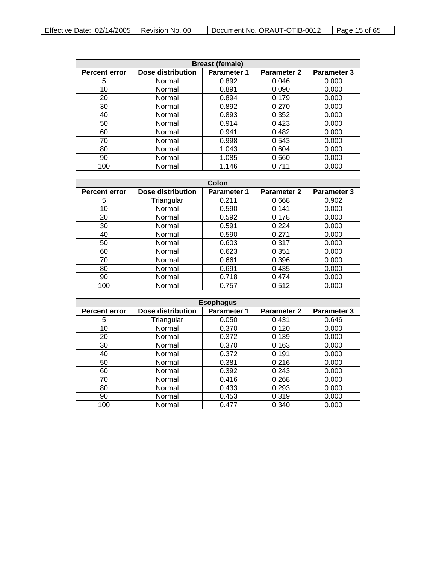| <b>Breast (female)</b>                                                                                      |        |       |       |       |  |  |
|-------------------------------------------------------------------------------------------------------------|--------|-------|-------|-------|--|--|
| Dose distribution<br><b>Parameter 2</b><br><b>Parameter 3</b><br><b>Percent error</b><br><b>Parameter 1</b> |        |       |       |       |  |  |
| 5                                                                                                           | Normal | 0.892 | 0.046 | 0.000 |  |  |
| 10                                                                                                          | Normal | 0.891 | 0.090 | 0.000 |  |  |
| 20                                                                                                          | Normal | 0.894 | 0.179 | 0.000 |  |  |
| 30                                                                                                          | Normal | 0.892 | 0.270 | 0.000 |  |  |
| 40                                                                                                          | Normal | 0.893 | 0.352 | 0.000 |  |  |
| 50                                                                                                          | Normal | 0.914 | 0.423 | 0.000 |  |  |
| 60                                                                                                          | Normal | 0.941 | 0.482 | 0.000 |  |  |
| 70                                                                                                          | Normal | 0.998 | 0.543 | 0.000 |  |  |
| 80                                                                                                          | Normal | 1.043 | 0.604 | 0.000 |  |  |
| 90                                                                                                          | Normal | 1.085 | 0.660 | 0.000 |  |  |
| 100                                                                                                         | Normal | 1.146 | 0.711 | 0.000 |  |  |

| Colon                |                   |                    |                    |             |  |
|----------------------|-------------------|--------------------|--------------------|-------------|--|
| <b>Percent error</b> | Dose distribution | <b>Parameter 1</b> | <b>Parameter 2</b> | Parameter 3 |  |
| 5                    | Triangular        | 0.211              | 0.668              | 0.902       |  |
| 10                   | Normal            | 0.590              | 0.141              | 0.000       |  |
| 20                   | Normal            | 0.592              | 0.178              | 0.000       |  |
| 30                   | Normal            | 0.591              | 0.224              | 0.000       |  |
| 40                   | Normal            | 0.590              | 0.271              | 0.000       |  |
| 50                   | Normal            | 0.603              | 0.317              | 0.000       |  |
| 60                   | Normal            | 0.623              | 0.351              | 0.000       |  |
| 70                   | Normal            | 0.661              | 0.396              | 0.000       |  |
| 80                   | Normal            | 0.691              | 0.435              | 0.000       |  |
| 90                   | Normal            | 0.718              | 0.474              | 0.000       |  |
| 100                  | Normal            | 0.757              | 0.512              | 0.000       |  |

| <b>Esophagus</b>     |                          |                    |                    |             |  |
|----------------------|--------------------------|--------------------|--------------------|-------------|--|
| <b>Percent error</b> | <b>Dose distribution</b> | <b>Parameter 1</b> | <b>Parameter 2</b> | Parameter 3 |  |
| 5                    | Triangular               | 0.050              | 0.431              | 0.646       |  |
| 10                   | Normal                   | 0.370              | 0.120              | 0.000       |  |
| 20                   | Normal                   | 0.372              | 0.139              | 0.000       |  |
| 30                   | Normal                   | 0.370              | 0.163              | 0.000       |  |
| 40                   | Normal                   | 0.372              | 0.191              | 0.000       |  |
| 50                   | Normal                   | 0.381              | 0.216              | 0.000       |  |
| 60                   | Normal                   | 0.392              | 0.243              | 0.000       |  |
| 70                   | Normal                   | 0.416              | 0.268              | 0.000       |  |
| 80                   | Normal                   | 0.433              | 0.293              | 0.000       |  |
| 90                   | Normal                   | 0.453              | 0.319              | 0.000       |  |
| 100                  | Normal                   | 0.477              | 0.340              | 0.000       |  |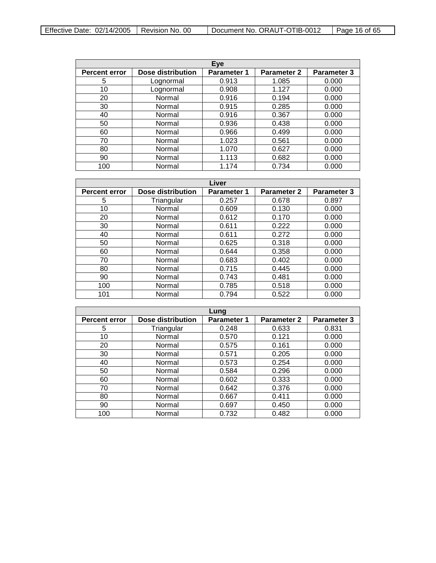| Effective Date: $02/14/2005$   Revision No. 00 |  | Document No. ORAUT-OTIB-0012 | $\vert$ Page 16 of 65 |
|------------------------------------------------|--|------------------------------|-----------------------|
|------------------------------------------------|--|------------------------------|-----------------------|

| Eye                  |                   |                    |                    |                    |
|----------------------|-------------------|--------------------|--------------------|--------------------|
| <b>Percent error</b> | Dose distribution | <b>Parameter 1</b> | <b>Parameter 2</b> | <b>Parameter 3</b> |
| 5                    | Lognormal         | 0.913              | 1.085              | 0.000              |
| 10                   | Lognormal         | 0.908              | 1.127              | 0.000              |
| 20                   | Normal            | 0.916              | 0.194              | 0.000              |
| 30                   | Normal            | 0.915              | 0.285              | 0.000              |
| 40                   | Normal            | 0.916              | 0.367              | 0.000              |
| 50                   | Normal            | 0.936              | 0.438              | 0.000              |
| 60                   | Normal            | 0.966              | 0.499              | 0.000              |
| 70                   | Normal            | 1.023              | 0.561              | 0.000              |
| 80                   | Normal            | 1.070              | 0.627              | 0.000              |
| 90                   | Normal            | 1.113              | 0.682              | 0.000              |
| 100                  | Normal            | 1.174              | 0.734              | 0.000              |

| Liver                |                   |                    |             |                    |
|----------------------|-------------------|--------------------|-------------|--------------------|
| <b>Percent error</b> | Dose distribution | <b>Parameter 1</b> | Parameter 2 | <b>Parameter 3</b> |
| 5                    | Triangular        | 0.257              | 0.678       | 0.897              |
| 10                   | Normal            | 0.609              | 0.130       | 0.000              |
| 20                   | Normal            | 0.612              | 0.170       | 0.000              |
| 30                   | Normal            | 0.611              | 0.222       | 0.000              |
| 40                   | Normal            | 0.611              | 0.272       | 0.000              |
| 50                   | Normal            | 0.625              | 0.318       | 0.000              |
| 60                   | Normal            | 0.644              | 0.358       | 0.000              |
| 70                   | Normal            | 0.683              | 0.402       | 0.000              |
| 80                   | Normal            | 0.715              | 0.445       | 0.000              |
| 90                   | Normal            | 0.743              | 0.481       | 0.000              |
| 100                  | Normal            | 0.785              | 0.518       | 0.000              |
| 101                  | Normal            | 0.794              | 0.522       | 0.000              |

| Lung                 |                   |                    |                    |                    |
|----------------------|-------------------|--------------------|--------------------|--------------------|
| <b>Percent error</b> | Dose distribution | <b>Parameter 1</b> | <b>Parameter 2</b> | <b>Parameter 3</b> |
| 5                    | Triangular        | 0.248              | 0.633              | 0.831              |
| 10                   | Normal            | 0.570              | 0.121              | 0.000              |
| 20                   | Normal            | 0.575              | 0.161              | 0.000              |
| 30                   | Normal            | 0.571              | 0.205              | 0.000              |
| 40                   | Normal            | 0.573              | 0.254              | 0.000              |
| 50                   | Normal            | 0.584              | 0.296              | 0.000              |
| 60                   | Normal            | 0.602              | 0.333              | 0.000              |
| 70                   | Normal            | 0.642              | 0.376              | 0.000              |
| 80                   | Normal            | 0.667              | 0.411              | 0.000              |
| 90                   | Normal            | 0.697              | 0.450              | 0.000              |
| 100                  | Normal            | 0.732              | 0.482              | 0.000              |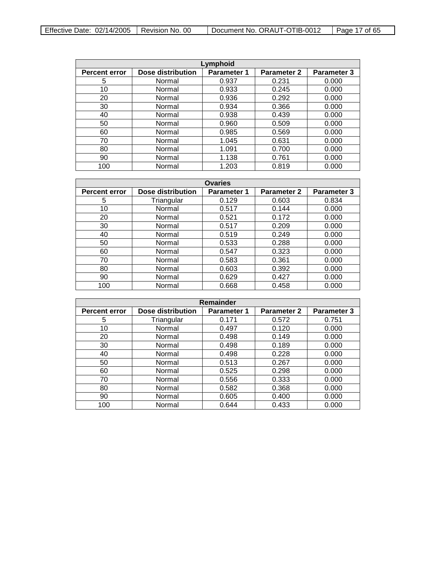| Effective Date: $02/14/2005$   Revision No. 00 |  | Document No. ORAUT-OTIB-0012 | $\vert$ Page 17 of 65 |
|------------------------------------------------|--|------------------------------|-----------------------|
|------------------------------------------------|--|------------------------------|-----------------------|

| Lymphoid             |                          |                    |                    |                    |  |
|----------------------|--------------------------|--------------------|--------------------|--------------------|--|
| <b>Percent error</b> | <b>Dose distribution</b> | <b>Parameter 1</b> | <b>Parameter 2</b> | <b>Parameter 3</b> |  |
| 5                    | Normal                   | 0.937              | 0.231              | 0.000              |  |
| 10                   | Normal                   | 0.933              | 0.245              | 0.000              |  |
| 20                   | Normal                   | 0.936              | 0.292              | 0.000              |  |
| 30                   | Normal                   | 0.934              | 0.366              | 0.000              |  |
| 40                   | Normal                   | 0.938              | 0.439              | 0.000              |  |
| 50                   | Normal                   | 0.960              | 0.509              | 0.000              |  |
| 60                   | Normal                   | 0.985              | 0.569              | 0.000              |  |
| 70                   | Normal                   | 1.045              | 0.631              | 0.000              |  |
| 80                   | Normal                   | 1.091              | 0.700              | 0.000              |  |
| 90                   | Normal                   | 1.138              | 0.761              | 0.000              |  |
| 100                  | Normal                   | 1.203              | 0.819              | 0.000              |  |

| <b>Ovaries</b>       |                   |                    |                    |                    |
|----------------------|-------------------|--------------------|--------------------|--------------------|
| <b>Percent error</b> | Dose distribution | <b>Parameter 1</b> | <b>Parameter 2</b> | <b>Parameter 3</b> |
| 5                    | Triangular        | 0.129              | 0.603              | 0.834              |
| 10                   | Normal            | 0.517              | 0.144              | 0.000              |
| 20                   | Normal            | 0.521              | 0.172              | 0.000              |
| 30                   | Normal            | 0.517              | 0.209              | 0.000              |
| 40                   | Normal            | 0.519              | 0.249              | 0.000              |
| 50                   | Normal            | 0.533              | 0.288              | 0.000              |
| 60                   | Normal            | 0.547              | 0.323              | 0.000              |
| 70                   | Normal            | 0.583              | 0.361              | 0.000              |
| 80                   | Normal            | 0.603              | 0.392              | 0.000              |
| 90                   | Normal            | 0.629              | 0.427              | 0.000              |
| 100                  | Normal            | 0.668              | 0.458              | 0.000              |

| Remainder            |                   |                    |                    |                    |  |
|----------------------|-------------------|--------------------|--------------------|--------------------|--|
| <b>Percent error</b> | Dose distribution | <b>Parameter 1</b> | <b>Parameter 2</b> | <b>Parameter 3</b> |  |
| 5                    | Triangular        | 0.171              | 0.572              | 0.751              |  |
| 10                   | Normal            | 0.497              | 0.120              | 0.000              |  |
| 20                   | Normal            | 0.498              | 0.149              | 0.000              |  |
| 30                   | Normal            | 0.498              | 0.189              | 0.000              |  |
| 40                   | Normal            | 0.498              | 0.228              | 0.000              |  |
| 50                   | Normal            | 0.513              | 0.267              | 0.000              |  |
| 60                   | Normal            | 0.525              | 0.298              | 0.000              |  |
| 70                   | Normal            | 0.556              | 0.333              | 0.000              |  |
| 80                   | Normal            | 0.582              | 0.368              | 0.000              |  |
| 90                   | Normal            | 0.605              | 0.400              | 0.000              |  |
| 100                  | Normal            | 0.644              | 0.433              | 0.000              |  |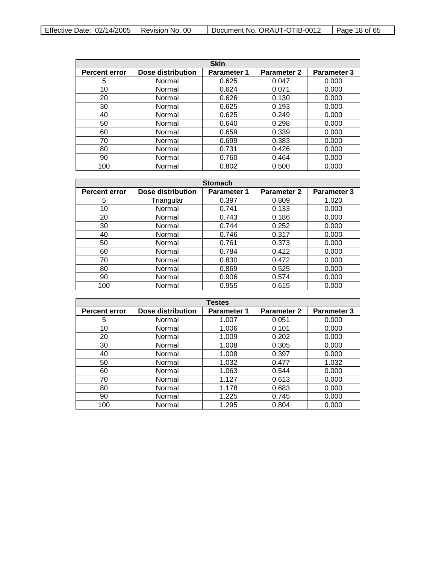| <b>Skin</b>          |                   |                    |                    |                    |
|----------------------|-------------------|--------------------|--------------------|--------------------|
| <b>Percent error</b> | Dose distribution | <b>Parameter 1</b> | <b>Parameter 2</b> | <b>Parameter 3</b> |
| 5                    | Normal            | 0.625              | 0.047              | 0.000              |
| 10                   | Normal            | 0.624              | 0.071              | 0.000              |
| 20                   | Normal            | 0.626              | 0.130              | 0.000              |
| 30                   | Normal            | 0.625              | 0.193              | 0.000              |
| 40                   | Normal            | 0.625              | 0.249              | 0.000              |
| 50                   | Normal            | 0.640              | 0.298              | 0.000              |
| 60                   | Normal            | 0.659              | 0.339              | 0.000              |
| 70                   | Normal            | 0.699              | 0.383              | 0.000              |
| 80                   | Normal            | 0.731              | 0.426              | 0.000              |
| 90                   | Normal            | 0.760              | 0.464              | 0.000              |
| 100                  | Normal            | 0.802              | 0.500              | 0.000              |

| <b>Stomach</b>       |                          |                    |                    |                    |  |
|----------------------|--------------------------|--------------------|--------------------|--------------------|--|
| <b>Percent error</b> | <b>Dose distribution</b> | <b>Parameter 1</b> | <b>Parameter 2</b> | <b>Parameter 3</b> |  |
| 5                    | Triangular               | 0.397              | 0.809              | 1.020              |  |
| 10                   | Normal                   | 0.741              | 0.133              | 0.000              |  |
| 20                   | Normal                   | 0.743              | 0.186              | 0.000              |  |
| 30                   | Normal                   | 0.744              | 0.252              | 0.000              |  |
| 40                   | Normal                   | 0.746              | 0.317              | 0.000              |  |
| 50                   | Normal                   | 0.761              | 0.373              | 0.000              |  |
| 60                   | Normal                   | 0.784              | 0.422              | 0.000              |  |
| 70                   | Normal                   | 0.830              | 0.472              | 0.000              |  |
| 80                   | Normal                   | 0.869              | 0.525              | 0.000              |  |
| 90                   | Normal                   | 0.906              | 0.574              | 0.000              |  |
| 100                  | Normal                   | 0.955              | 0.615              | 0.000              |  |

| <b>Testes</b>        |                          |                    |                    |                    |
|----------------------|--------------------------|--------------------|--------------------|--------------------|
| <b>Percent error</b> | <b>Dose distribution</b> | <b>Parameter 1</b> | <b>Parameter 2</b> | <b>Parameter 3</b> |
| 5                    | Normal                   | 1.007              | 0.051              | 0.000              |
| 10                   | Normal                   | 1.006              | 0.101              | 0.000              |
| 20                   | Normal                   | 1.009              | 0.202              | 0.000              |
| 30                   | Normal                   | 1.008              | 0.305              | 0.000              |
| 40                   | Normal                   | 1.008              | 0.397              | 0.000              |
| 50                   | Normal                   | 1.032              | 0.477              | 1.032              |
| 60                   | Normal                   | 1.063              | 0.544              | 0.000              |
| 70                   | Normal                   | 1.127              | 0.613              | 0.000              |
| 80                   | Normal                   | 1.178              | 0.683              | 0.000              |
| 90                   | Normal                   | 1.225              | 0.745              | 0.000              |
| 100                  | Normal                   | 1.295              | 0.804              | 0.000              |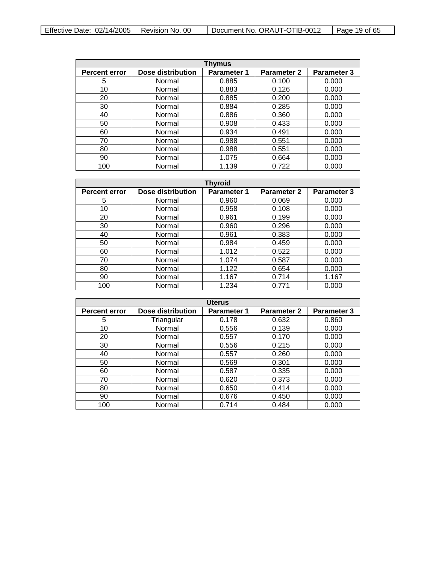| Effective Date: $02/14/2005$   Revision No. 00 |  | Document No. ORAUT-OTIB-0012 | $\vert$ Page 19 of 65 |
|------------------------------------------------|--|------------------------------|-----------------------|
|------------------------------------------------|--|------------------------------|-----------------------|

| Thymus               |                   |                    |                    |                    |  |
|----------------------|-------------------|--------------------|--------------------|--------------------|--|
| <b>Percent error</b> | Dose distribution | <b>Parameter 1</b> | <b>Parameter 2</b> | <b>Parameter 3</b> |  |
| 5                    | Normal            | 0.885              | 0.100              | 0.000              |  |
| 10                   | Normal            | 0.883              | 0.126              | 0.000              |  |
| 20                   | Normal            | 0.885              | 0.200              | 0.000              |  |
| 30                   | Normal            | 0.884              | 0.285              | 0.000              |  |
| 40                   | Normal            | 0.886              | 0.360              | 0.000              |  |
| 50                   | Normal            | 0.908              | 0.433              | 0.000              |  |
| 60                   | Normal            | 0.934              | 0.491              | 0.000              |  |
| 70                   | Normal            | 0.988              | 0.551              | 0.000              |  |
| 80                   | Normal            | 0.988              | 0.551              | 0.000              |  |
| 90                   | Normal            | 1.075              | 0.664              | 0.000              |  |
| 100                  | Normal            | 1.139              | 0.722              | 0.000              |  |

| <b>Thyroid</b>       |                          |                    |                    |                    |  |
|----------------------|--------------------------|--------------------|--------------------|--------------------|--|
| <b>Percent error</b> | <b>Dose distribution</b> | <b>Parameter 1</b> | <b>Parameter 2</b> | <b>Parameter 3</b> |  |
| 5                    | Normal                   | 0.960              | 0.069              | 0.000              |  |
| 10                   | Normal                   | 0.958              | 0.108              | 0.000              |  |
| 20                   | Normal                   | 0.961              | 0.199              | 0.000              |  |
| 30                   | Normal                   | 0.960              | 0.296              | 0.000              |  |
| 40                   | Normal                   | 0.961              | 0.383              | 0.000              |  |
| 50                   | Normal                   | 0.984              | 0.459              | 0.000              |  |
| 60                   | Normal                   | 1.012              | 0.522              | 0.000              |  |
| 70                   | Normal                   | 1.074              | 0.587              | 0.000              |  |
| 80                   | Normal                   | 1.122              | 0.654              | 0.000              |  |
| 90                   | Normal                   | 1.167              | 0.714              | 1.167              |  |
| 100                  | Normal                   | 1.234              | 0.771              | 0.000              |  |

| <b>Uterus</b>        |                   |                    |                    |                    |  |
|----------------------|-------------------|--------------------|--------------------|--------------------|--|
| <b>Percent error</b> | Dose distribution | <b>Parameter 1</b> | <b>Parameter 2</b> | <b>Parameter 3</b> |  |
| 5                    | Triangular        | 0.178              | 0.632              | 0.860              |  |
| 10                   | Normal            | 0.556              | 0.139              | 0.000              |  |
| 20                   | Normal            | 0.557              | 0.170              | 0.000              |  |
| 30                   | Normal            | 0.556              | 0.215              | 0.000              |  |
| 40                   | Normal            | 0.557              | 0.260              | 0.000              |  |
| 50                   | Normal            | 0.569              | 0.301              | 0.000              |  |
| 60                   | Normal            | 0.587              | 0.335              | 0.000              |  |
| 70                   | Normal            | 0.620              | 0.373              | 0.000              |  |
| 80                   | Normal            | 0.650              | 0.414              | 0.000              |  |
| 90                   | Normal            | 0.676              | 0.450              | 0.000              |  |
| 100                  | Normal            | 0.714              | 0.484              | 0.000              |  |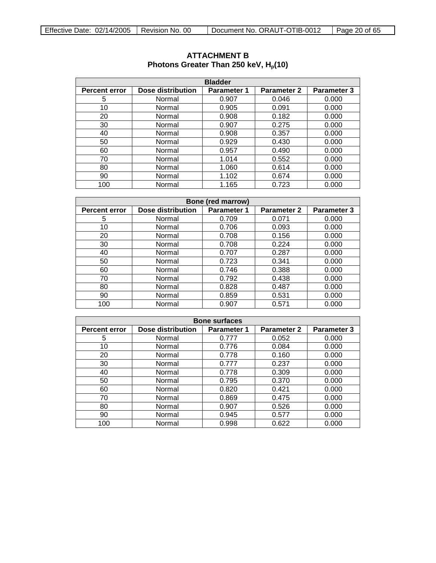| <b>Bladder</b>       |                   |                    |                    |                    |  |
|----------------------|-------------------|--------------------|--------------------|--------------------|--|
| <b>Percent error</b> | Dose distribution | <b>Parameter 1</b> | <b>Parameter 2</b> | <b>Parameter 3</b> |  |
| 5                    | Normal            | 0.907              | 0.046              | 0.000              |  |
| 10                   | Normal            | 0.905              | 0.091              | 0.000              |  |
| 20                   | Normal            | 0.908              | 0.182              | 0.000              |  |
| 30                   | Normal            | 0.907              | 0.275              | 0.000              |  |
| 40                   | Normal            | 0.908              | 0.357              | 0.000              |  |
| 50                   | Normal            | 0.929              | 0.430              | 0.000              |  |
| 60                   | Normal            | 0.957              | 0.490              | 0.000              |  |
| 70                   | Normal            | 1.014              | 0.552              | 0.000              |  |
| 80                   | Normal            | 1.060              | 0.614              | 0.000              |  |
| 90                   | Normal            | 1.102              | 0.674              | 0.000              |  |
| 100                  | Normal            | 1.165              | 0.723              | 0.000              |  |

## <span id="page-19-0"></span>**ATTACHMENT B** Photons Greater Than 250 keV, H<sub>p</sub>(10)

| <b>Bone (red marrow)</b>                                                                                    |        |       |       |       |  |  |  |
|-------------------------------------------------------------------------------------------------------------|--------|-------|-------|-------|--|--|--|
| Dose distribution<br><b>Parameter 3</b><br><b>Parameter 2</b><br><b>Parameter 1</b><br><b>Percent error</b> |        |       |       |       |  |  |  |
| 5                                                                                                           | Normal | 0.709 | 0.071 | 0.000 |  |  |  |
| 10                                                                                                          | Normal | 0.706 | 0.093 | 0.000 |  |  |  |
| 20                                                                                                          | Normal | 0.708 | 0.156 | 0.000 |  |  |  |
| 30                                                                                                          | Normal | 0.708 | 0.224 | 0.000 |  |  |  |
| 40                                                                                                          | Normal | 0.707 | 0.287 | 0.000 |  |  |  |
| 50                                                                                                          | Normal | 0.723 | 0.341 | 0.000 |  |  |  |
| 60                                                                                                          | Normal | 0.746 | 0.388 | 0.000 |  |  |  |
| 70                                                                                                          | Normal | 0.792 | 0.438 | 0.000 |  |  |  |
| 80                                                                                                          | Normal | 0.828 | 0.487 | 0.000 |  |  |  |
| 90                                                                                                          | Normal | 0.859 | 0.531 | 0.000 |  |  |  |
| 100                                                                                                         | Normal | 0.907 | 0.571 | 0.000 |  |  |  |

| <b>Bone surfaces</b> |                    |       |       |       |  |
|----------------------|--------------------|-------|-------|-------|--|
| <b>Percent error</b> | <b>Parameter 3</b> |       |       |       |  |
| 5                    | Normal             | 0.777 | 0.052 | 0.000 |  |
| 10                   | Normal             | 0.776 | 0.084 | 0.000 |  |
| 20                   | Normal             | 0.778 | 0.160 | 0.000 |  |
| 30                   | Normal             | 0.777 | 0.237 | 0.000 |  |
| 40                   | Normal             | 0.778 | 0.309 | 0.000 |  |
| 50                   | Normal             | 0.795 | 0.370 | 0.000 |  |
| 60                   | Normal             | 0.820 | 0.421 | 0.000 |  |
| 70                   | Normal             | 0.869 | 0.475 | 0.000 |  |
| 80                   | Normal             | 0.907 | 0.526 | 0.000 |  |
| 90                   | Normal             | 0.945 | 0.577 | 0.000 |  |
| 100                  | Normal             | 0.998 | 0.622 | 0.000 |  |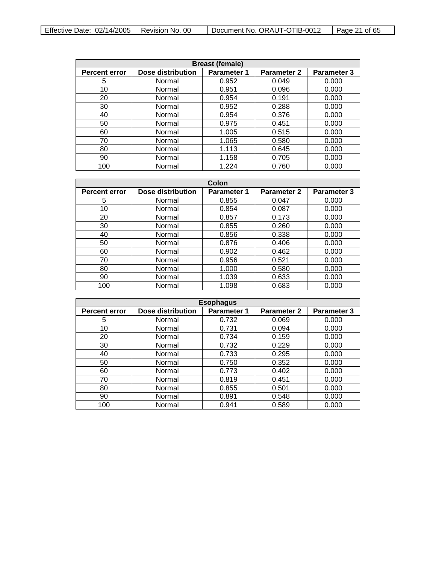| <b>Breast (female)</b>                                                                                      |        |       |       |       |  |  |  |
|-------------------------------------------------------------------------------------------------------------|--------|-------|-------|-------|--|--|--|
| Dose distribution<br><b>Parameter 3</b><br><b>Parameter 2</b><br><b>Parameter 1</b><br><b>Percent error</b> |        |       |       |       |  |  |  |
| 5                                                                                                           | Normal | 0.952 | 0.049 | 0.000 |  |  |  |
| 10                                                                                                          | Normal | 0.951 | 0.096 | 0.000 |  |  |  |
| 20                                                                                                          | Normal | 0.954 | 0.191 | 0.000 |  |  |  |
| 30                                                                                                          | Normal | 0.952 | 0.288 | 0.000 |  |  |  |
| 40                                                                                                          | Normal | 0.954 | 0.376 | 0.000 |  |  |  |
| 50                                                                                                          | Normal | 0.975 | 0.451 | 0.000 |  |  |  |
| 60                                                                                                          | Normal | 1.005 | 0.515 | 0.000 |  |  |  |
| 70                                                                                                          | Normal | 1.065 | 0.580 | 0.000 |  |  |  |
| 80                                                                                                          | Normal | 1.113 | 0.645 | 0.000 |  |  |  |
| 90                                                                                                          | Normal | 1.158 | 0.705 | 0.000 |  |  |  |
| 100                                                                                                         | Normal | 1.224 | 0.760 | 0.000 |  |  |  |

| Colon                |                          |                    |                    |             |  |
|----------------------|--------------------------|--------------------|--------------------|-------------|--|
| <b>Percent error</b> | <b>Dose distribution</b> | <b>Parameter 1</b> | <b>Parameter 2</b> | Parameter 3 |  |
| 5                    | Normal                   | 0.855              | 0.047              | 0.000       |  |
| 10                   | Normal                   | 0.854              | 0.087              | 0.000       |  |
| 20                   | Normal                   | 0.857              | 0.173              | 0.000       |  |
| 30                   | Normal                   | 0.855              | 0.260              | 0.000       |  |
| 40                   | Normal                   | 0.856              | 0.338              | 0.000       |  |
| 50                   | Normal                   | 0.876              | 0.406              | 0.000       |  |
| 60                   | Normal                   | 0.902              | 0.462              | 0.000       |  |
| 70                   | Normal                   | 0.956              | 0.521              | 0.000       |  |
| 80                   | Normal                   | 1.000              | 0.580              | 0.000       |  |
| 90                   | Normal                   | 1.039              | 0.633              | 0.000       |  |
| 100                  | Normal                   | 1.098              | 0.683              | 0.000       |  |

| <b>Esophagus</b>                                                                                     |        |       |       |       |  |  |
|------------------------------------------------------------------------------------------------------|--------|-------|-------|-------|--|--|
| Dose distribution<br>Parameter 2<br><b>Parameter 3</b><br><b>Parameter 1</b><br><b>Percent error</b> |        |       |       |       |  |  |
| 5                                                                                                    | Normal | 0.732 | 0.069 | 0.000 |  |  |
| 10                                                                                                   | Normal | 0.731 | 0.094 | 0.000 |  |  |
| 20                                                                                                   | Normal | 0.734 | 0.159 | 0.000 |  |  |
| 30                                                                                                   | Normal | 0.732 | 0.229 | 0.000 |  |  |
| 40                                                                                                   | Normal | 0.733 | 0.295 | 0.000 |  |  |
| 50                                                                                                   | Normal | 0.750 | 0.352 | 0.000 |  |  |
| 60                                                                                                   | Normal | 0.773 | 0.402 | 0.000 |  |  |
| 70                                                                                                   | Normal | 0.819 | 0.451 | 0.000 |  |  |
| 80                                                                                                   | Normal | 0.855 | 0.501 | 0.000 |  |  |
| 90                                                                                                   | Normal | 0.891 | 0.548 | 0.000 |  |  |
| 100                                                                                                  | Normal | 0.941 | 0.589 | 0.000 |  |  |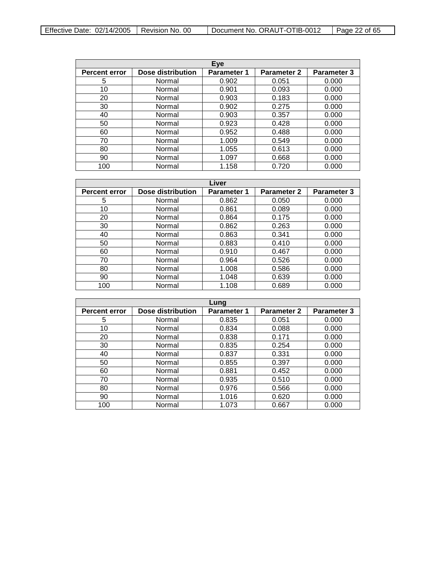| Effective Date: $02/14/2005$   Revision No. 00 |  | Document No. ORAUT-OTIB-0012 | Page 22 of 65 |
|------------------------------------------------|--|------------------------------|---------------|
|------------------------------------------------|--|------------------------------|---------------|

| Eye                  |                   |                    |                    |                    |
|----------------------|-------------------|--------------------|--------------------|--------------------|
| <b>Percent error</b> | Dose distribution | <b>Parameter 1</b> | <b>Parameter 2</b> | <b>Parameter 3</b> |
| 5                    | Normal            | 0.902              | 0.051              | 0.000              |
| 10                   | Normal            | 0.901              | 0.093              | 0.000              |
| 20                   | Normal            | 0.903              | 0.183              | 0.000              |
| 30                   | Normal            | 0.902              | 0.275              | 0.000              |
| 40                   | Normal            | 0.903              | 0.357              | 0.000              |
| 50                   | Normal            | 0.923              | 0.428              | 0.000              |
| 60                   | Normal            | 0.952              | 0.488              | 0.000              |
| 70                   | Normal            | 1.009              | 0.549              | 0.000              |
| 80                   | Normal            | 1.055              | 0.613              | 0.000              |
| 90                   | Normal            | 1.097              | 0.668              | 0.000              |
| 100                  | Normal            | 1.158              | 0.720              | 0.000              |

| Liver                |                   |                    |                    |                    |
|----------------------|-------------------|--------------------|--------------------|--------------------|
| <b>Percent error</b> | Dose distribution | <b>Parameter 1</b> | <b>Parameter 2</b> | <b>Parameter 3</b> |
| 5                    | Normal            | 0.862              | 0.050              | 0.000              |
| 10                   | Normal            | 0.861              | 0.089              | 0.000              |
| 20                   | Normal            | 0.864              | 0.175              | 0.000              |
| 30                   | Normal            | 0.862              | 0.263              | 0.000              |
| 40                   | Normal            | 0.863              | 0.341              | 0.000              |
| 50                   | Normal            | 0.883              | 0.410              | 0.000              |
| 60                   | Normal            | 0.910              | 0.467              | 0.000              |
| 70                   | Normal            | 0.964              | 0.526              | 0.000              |
| 80                   | Normal            | 1.008              | 0.586              | 0.000              |
| 90                   | Normal            | 1.048              | 0.639              | 0.000              |
| 100                  | Normal            | 1.108              | 0.689              | 0.000              |

|                      |                   | Lung               |                    |                    |
|----------------------|-------------------|--------------------|--------------------|--------------------|
| <b>Percent error</b> | Dose distribution | <b>Parameter 1</b> | <b>Parameter 2</b> | <b>Parameter 3</b> |
| 5                    | Normal            | 0.835              | 0.051              | 0.000              |
| 10                   | Normal            | 0.834              | 0.088              | 0.000              |
| 20                   | Normal            | 0.838              | 0.171              | 0.000              |
| 30                   | Normal            | 0.835              | 0.254              | 0.000              |
| 40                   | Normal            | 0.837              | 0.331              | 0.000              |
| 50                   | Normal            | 0.855              | 0.397              | 0.000              |
| 60                   | Normal            | 0.881              | 0.452              | 0.000              |
| 70                   | Normal            | 0.935              | 0.510              | 0.000              |
| 80                   | Normal            | 0.976              | 0.566              | 0.000              |
| 90                   | Normal            | 1.016              | 0.620              | 0.000              |
| 100                  | Normal            | 1.073              | 0.667              | 0.000              |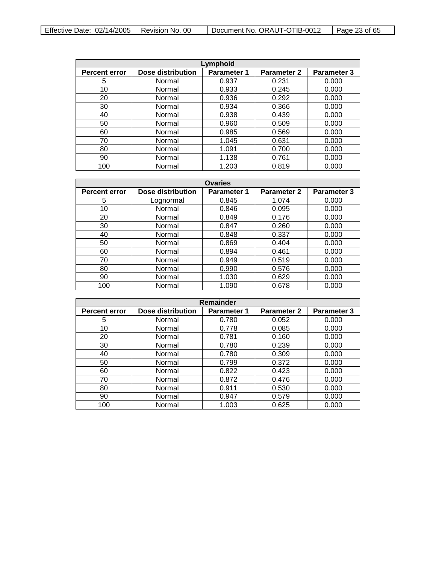| Effective Date: $02/14/2005$   Revision No. 00 |  | Document No. ORAUT-OTIB-0012 | Page 23 of $65$ |
|------------------------------------------------|--|------------------------------|-----------------|
|------------------------------------------------|--|------------------------------|-----------------|

| Lymphoid             |                   |                    |                    |                    |
|----------------------|-------------------|--------------------|--------------------|--------------------|
| <b>Percent error</b> | Dose distribution | <b>Parameter 1</b> | <b>Parameter 2</b> | <b>Parameter 3</b> |
| 5                    | Normal            | 0.937              | 0.231              | 0.000              |
| 10                   | Normal            | 0.933              | 0.245              | 0.000              |
| 20                   | Normal            | 0.936              | 0.292              | 0.000              |
| 30                   | Normal            | 0.934              | 0.366              | 0.000              |
| 40                   | Normal            | 0.938              | 0.439              | 0.000              |
| 50                   | Normal            | 0.960              | 0.509              | 0.000              |
| 60                   | Normal            | 0.985              | 0.569              | 0.000              |
| 70                   | Normal            | 1.045              | 0.631              | 0.000              |
| 80                   | Normal            | 1.091              | 0.700              | 0.000              |
| 90                   | Normal            | 1.138              | 0.761              | 0.000              |
| 100                  | Normal            | 1.203              | 0.819              | 0.000              |

| <b>Ovaries</b>       |                          |                    |                    |                    |
|----------------------|--------------------------|--------------------|--------------------|--------------------|
| <b>Percent error</b> | <b>Dose distribution</b> | <b>Parameter 1</b> | <b>Parameter 2</b> | <b>Parameter 3</b> |
| 5                    | Lognormal                | 0.845              | 1.074              | 0.000              |
| 10                   | Normal                   | 0.846              | 0.095              | 0.000              |
| 20                   | Normal                   | 0.849              | 0.176              | 0.000              |
| 30                   | Normal                   | 0.847              | 0.260              | 0.000              |
| 40                   | Normal                   | 0.848              | 0.337              | 0.000              |
| 50                   | Normal                   | 0.869              | 0.404              | 0.000              |
| 60                   | Normal                   | 0.894              | 0.461              | 0.000              |
| 70                   | Normal                   | 0.949              | 0.519              | 0.000              |
| 80                   | Normal                   | 0.990              | 0.576              | 0.000              |
| 90                   | Normal                   | 1.030              | 0.629              | 0.000              |
| 100                  | Normal                   | 1.090              | 0.678              | 0.000              |

| Remainder            |                   |                    |                    |                    |
|----------------------|-------------------|--------------------|--------------------|--------------------|
| <b>Percent error</b> | Dose distribution | <b>Parameter 1</b> | <b>Parameter 2</b> | <b>Parameter 3</b> |
| 5                    | Normal            | 0.780              | 0.052              | 0.000              |
| 10                   | Normal            | 0.778              | 0.085              | 0.000              |
| 20                   | Normal            | 0.781              | 0.160              | 0.000              |
| 30                   | Normal            | 0.780              | 0.239              | 0.000              |
| 40                   | Normal            | 0.780              | 0.309              | 0.000              |
| 50                   | Normal            | 0.799              | 0.372              | 0.000              |
| 60                   | Normal            | 0.822              | 0.423              | 0.000              |
| 70                   | Normal            | 0.872              | 0.476              | 0.000              |
| 80                   | Normal            | 0.911              | 0.530              | 0.000              |
| 90                   | Normal            | 0.947              | 0.579              | 0.000              |
| 100                  | Normal            | 1.003              | 0.625              | 0.000              |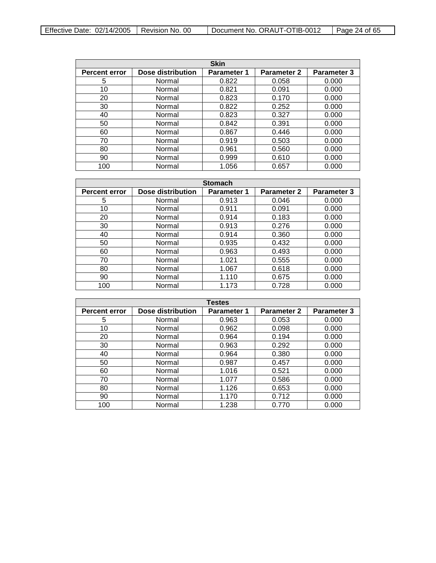| <b>Skin</b>          |                          |                    |                    |                    |
|----------------------|--------------------------|--------------------|--------------------|--------------------|
| <b>Percent error</b> | <b>Dose distribution</b> | <b>Parameter 1</b> | <b>Parameter 2</b> | <b>Parameter 3</b> |
| 5                    | Normal                   | 0.822              | 0.058              | 0.000              |
| 10                   | Normal                   | 0.821              | 0.091              | 0.000              |
| 20                   | Normal                   | 0.823              | 0.170              | 0.000              |
| 30                   | Normal                   | 0.822              | 0.252              | 0.000              |
| 40                   | Normal                   | 0.823              | 0.327              | 0.000              |
| 50                   | Normal                   | 0.842              | 0.391              | 0.000              |
| 60                   | Normal                   | 0.867              | 0.446              | 0.000              |
| 70                   | Normal                   | 0.919              | 0.503              | 0.000              |
| 80                   | Normal                   | 0.961              | 0.560              | 0.000              |
| 90                   | Normal                   | 0.999              | 0.610              | 0.000              |
| 100                  | Normal                   | 1.056              | 0.657              | 0.000              |

| <b>Stomach</b>       |                   |                    |                    |                    |
|----------------------|-------------------|--------------------|--------------------|--------------------|
| <b>Percent error</b> | Dose distribution | <b>Parameter 1</b> | <b>Parameter 2</b> | <b>Parameter 3</b> |
| 5                    | Normal            | 0.913              | 0.046              | 0.000              |
| 10                   | Normal            | 0.911              | 0.091              | 0.000              |
| 20                   | Normal            | 0.914              | 0.183              | 0.000              |
| 30                   | Normal            | 0.913              | 0.276              | 0.000              |
| 40                   | Normal            | 0.914              | 0.360              | 0.000              |
| 50                   | Normal            | 0.935              | 0.432              | 0.000              |
| 60                   | Normal            | 0.963              | 0.493              | 0.000              |
| 70                   | Normal            | 1.021              | 0.555              | 0.000              |
| 80                   | Normal            | 1.067              | 0.618              | 0.000              |
| 90                   | Normal            | 1.110              | 0.675              | 0.000              |
| 100                  | Normal            | 1.173              | 0.728              | 0.000              |

| <b>Testes</b>        |                   |                    |                    |                    |
|----------------------|-------------------|--------------------|--------------------|--------------------|
| <b>Percent error</b> | Dose distribution | <b>Parameter 1</b> | <b>Parameter 2</b> | <b>Parameter 3</b> |
| 5                    | Normal            | 0.963              | 0.053              | 0.000              |
| 10                   | Normal            | 0.962              | 0.098              | 0.000              |
| 20                   | Normal            | 0.964              | 0.194              | 0.000              |
| 30                   | Normal            | 0.963              | 0.292              | 0.000              |
| 40                   | Normal            | 0.964              | 0.380              | 0.000              |
| 50                   | Normal            | 0.987              | 0.457              | 0.000              |
| 60                   | Normal            | 1.016              | 0.521              | 0.000              |
| 70                   | Normal            | 1.077              | 0.586              | 0.000              |
| 80                   | Normal            | 1.126              | 0.653              | 0.000              |
| 90                   | Normal            | 1.170              | 0.712              | 0.000              |
| 100                  | Normal            | 1.238              | 0.770              | 0.000              |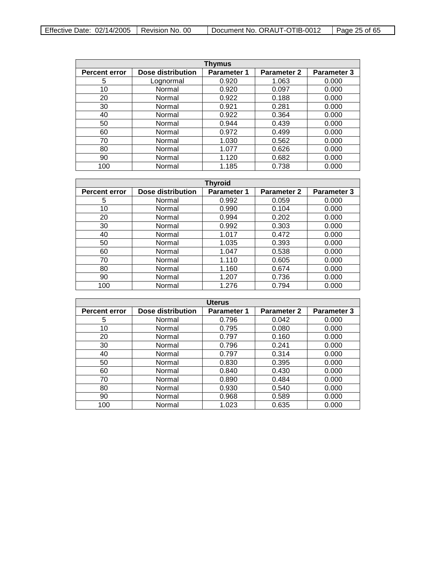| Effective Date: $02/14/2005$   Revision No. 00 |  | Document No. ORAUT-OTIB-0012 | l Page 25 of 65 |
|------------------------------------------------|--|------------------------------|-----------------|
|------------------------------------------------|--|------------------------------|-----------------|

| <b>Thymus</b>        |                   |                    |                    |                    |
|----------------------|-------------------|--------------------|--------------------|--------------------|
| <b>Percent error</b> | Dose distribution | <b>Parameter 1</b> | <b>Parameter 2</b> | <b>Parameter 3</b> |
| 5                    | Lognormal         | 0.920              | 1.063              | 0.000              |
| 10                   | Normal            | 0.920              | 0.097              | 0.000              |
| 20                   | Normal            | 0.922              | 0.188              | 0.000              |
| 30                   | Normal            | 0.921              | 0.281              | 0.000              |
| 40                   | Normal            | 0.922              | 0.364              | 0.000              |
| 50                   | Normal            | 0.944              | 0.439              | 0.000              |
| 60                   | Normal            | 0.972              | 0.499              | 0.000              |
| 70                   | Normal            | 1.030              | 0.562              | 0.000              |
| 80                   | Normal            | 1.077              | 0.626              | 0.000              |
| 90                   | Normal            | 1.120              | 0.682              | 0.000              |
| 100                  | Normal            | 1.185              | 0.738              | 0.000              |

| <b>Thyroid</b>       |                   |                    |                    |                    |
|----------------------|-------------------|--------------------|--------------------|--------------------|
| <b>Percent error</b> | Dose distribution | <b>Parameter 1</b> | <b>Parameter 2</b> | <b>Parameter 3</b> |
| 5                    | Normal            | 0.992              | 0.059              | 0.000              |
| 10                   | Normal            | 0.990              | 0.104              | 0.000              |
| 20                   | Normal            | 0.994              | 0.202              | 0.000              |
| 30                   | Normal            | 0.992              | 0.303              | 0.000              |
| 40                   | Normal            | 1.017              | 0.472              | 0.000              |
| 50                   | Normal            | 1.035              | 0.393              | 0.000              |
| 60                   | Normal            | 1.047              | 0.538              | 0.000              |
| 70                   | Normal            | 1.110              | 0.605              | 0.000              |
| 80                   | Normal            | 1.160              | 0.674              | 0.000              |
| 90                   | Normal            | 1.207              | 0.736              | 0.000              |
| 100                  | Normal            | 1.276              | 0.794              | 0.000              |

| <b>Uterus</b>        |                   |                    |                    |                    |
|----------------------|-------------------|--------------------|--------------------|--------------------|
| <b>Percent error</b> | Dose distribution | <b>Parameter 1</b> | <b>Parameter 2</b> | <b>Parameter 3</b> |
| 5                    | Normal            | 0.796              | 0.042              | 0.000              |
| 10                   | Normal            | 0.795              | 0.080              | 0.000              |
| 20                   | Normal            | 0.797              | 0.160              | 0.000              |
| 30                   | Normal            | 0.796              | 0.241              | 0.000              |
| 40                   | Normal            | 0.797              | 0.314              | 0.000              |
| 50                   | Normal            | 0.830              | 0.395              | 0.000              |
| 60                   | Normal            | 0.840              | 0.430              | 0.000              |
| 70                   | Normal            | 0.890              | 0.484              | 0.000              |
| 80                   | Normal            | 0.930              | 0.540              | 0.000              |
| 90                   | Normal            | 0.968              | 0.589              | 0.000              |
| 100                  | Normal            | 1.023              | 0.635              | 0.000              |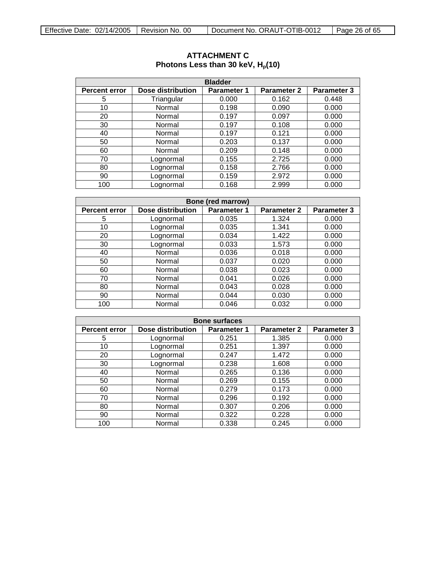| <b>Bladder</b>       |                   |                    |                    |                    |  |
|----------------------|-------------------|--------------------|--------------------|--------------------|--|
| <b>Percent error</b> | Dose distribution | <b>Parameter 1</b> | <b>Parameter 2</b> | <b>Parameter 3</b> |  |
| 5                    | Triangular        | 0.000              | 0.162              | 0.448              |  |
| 10                   | Normal            | 0.198              | 0.090              | 0.000              |  |
| 20                   | Normal            | 0.197              | 0.097              | 0.000              |  |
| 30                   | Normal            | 0.197              | 0.108              | 0.000              |  |
| 40                   | Normal            | 0.197              | 0.121              | 0.000              |  |
| 50                   | Normal            | 0.203              | 0.137              | 0.000              |  |
| 60                   | Normal            | 0.209              | 0.148              | 0.000              |  |
| 70                   | Lognormal         | 0.155              | 2.725              | 0.000              |  |
| 80                   | Lognormal         | 0.158              | 2.766              | 0.000              |  |
| 90                   | Lognormal         | 0.159              | 2.972              | 0.000              |  |
| 100                  | Lognormal         | 0.168              | 2.999              | 0.000              |  |

# <span id="page-25-0"></span>**ATTACHMENT C** Photons Less than 30 keV,  $H_p(10)$

| <b>Bone (red marrow)</b>                                                                             |           |       |       |       |  |  |  |
|------------------------------------------------------------------------------------------------------|-----------|-------|-------|-------|--|--|--|
| Dose distribution<br>Parameter 3<br><b>Parameter 1</b><br><b>Parameter 2</b><br><b>Percent error</b> |           |       |       |       |  |  |  |
| 5                                                                                                    | Lognormal | 0.035 | 1.324 | 0.000 |  |  |  |
| 10                                                                                                   | Lognormal | 0.035 | 1.341 | 0.000 |  |  |  |
| 20                                                                                                   | Lognormal | 0.034 | 1.422 | 0.000 |  |  |  |
| 30                                                                                                   | Lognormal | 0.033 | 1.573 | 0.000 |  |  |  |
| 40                                                                                                   | Normal    | 0.036 | 0.018 | 0.000 |  |  |  |
| 50                                                                                                   | Normal    | 0.037 | 0.020 | 0.000 |  |  |  |
| 60                                                                                                   | Normal    | 0.038 | 0.023 | 0.000 |  |  |  |
| 70                                                                                                   | Normal    | 0.041 | 0.026 | 0.000 |  |  |  |
| 80                                                                                                   | Normal    | 0.043 | 0.028 | 0.000 |  |  |  |
| 90                                                                                                   | Normal    | 0.044 | 0.030 | 0.000 |  |  |  |
| 100                                                                                                  | Normal    | 0.046 | 0.032 | 0.000 |  |  |  |

| <b>Bone surfaces</b> |                          |                    |                    |                    |  |
|----------------------|--------------------------|--------------------|--------------------|--------------------|--|
| <b>Percent error</b> | <b>Dose distribution</b> | <b>Parameter 1</b> | <b>Parameter 2</b> | <b>Parameter 3</b> |  |
| 5                    | Lognormal                | 0.251              | 1.385              | 0.000              |  |
| 10                   | Lognormal                | 0.251              | 1.397              | 0.000              |  |
| 20                   | Lognormal                | 0.247              | 1.472              | 0.000              |  |
| 30                   | Lognormal                | 0.238              | 1.608              | 0.000              |  |
| 40                   | Normal                   | 0.265              | 0.136              | 0.000              |  |
| 50                   | Normal                   | 0.269              | 0.155              | 0.000              |  |
| 60                   | Normal                   | 0.279              | 0.173              | 0.000              |  |
| 70                   | Normal                   | 0.296              | 0.192              | 0.000              |  |
| 80                   | Normal                   | 0.307              | 0.206              | 0.000              |  |
| 90                   | Normal                   | 0.322              | 0.228              | 0.000              |  |
| 100                  | Normal                   | 0.338              | 0.245              | 0.000              |  |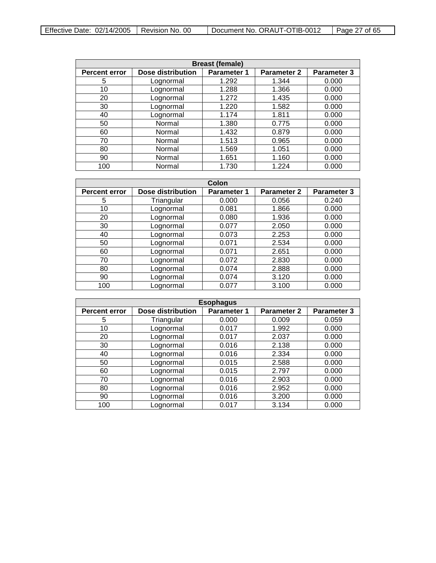| Effective Date: 02/14/2005 | <sup>1</sup> Revision No. 00 | Document No. ORAUT-OTIB-0012 | Page 27 of 65 |
|----------------------------|------------------------------|------------------------------|---------------|
|                            |                              |                              |               |

| <b>Breast (female)</b>                                                                                      |           |       |       |       |  |  |
|-------------------------------------------------------------------------------------------------------------|-----------|-------|-------|-------|--|--|
| Dose distribution<br><b>Parameter 3</b><br><b>Parameter 1</b><br><b>Parameter 2</b><br><b>Percent error</b> |           |       |       |       |  |  |
| 5                                                                                                           | Lognormal | 1.292 | 1.344 | 0.000 |  |  |
| 10                                                                                                          | Lognormal | 1.288 | 1.366 | 0.000 |  |  |
| 20                                                                                                          | Lognormal | 1.272 | 1.435 | 0.000 |  |  |
| 30                                                                                                          | Lognormal | 1.220 | 1.582 | 0.000 |  |  |
| 40                                                                                                          | Lognormal | 1.174 | 1.811 | 0.000 |  |  |
| 50                                                                                                          | Normal    | 1.380 | 0.775 | 0.000 |  |  |
| 60                                                                                                          | Normal    | 1.432 | 0.879 | 0.000 |  |  |
| 70                                                                                                          | Normal    | 1.513 | 0.965 | 0.000 |  |  |
| 80                                                                                                          | Normal    | 1.569 | 1.051 | 0.000 |  |  |
| 90                                                                                                          | Normal    | 1.651 | 1.160 | 0.000 |  |  |
| 100                                                                                                         | Normal    | 1.730 | 1.224 | 0.000 |  |  |

| Colon                |                          |             |                    |             |
|----------------------|--------------------------|-------------|--------------------|-------------|
| <b>Percent error</b> | <b>Dose distribution</b> | Parameter 1 | <b>Parameter 2</b> | Parameter 3 |
| 5                    | Triangular               | 0.000       | 0.056              | 0.240       |
| 10                   | Lognormal                | 0.081       | 1.866              | 0.000       |
| 20                   | Lognormal                | 0.080       | 1.936              | 0.000       |
| 30                   | Lognormal                | 0.077       | 2.050              | 0.000       |
| 40                   | Lognormal                | 0.073       | 2.253              | 0.000       |
| 50                   | Lognormal                | 0.071       | 2.534              | 0.000       |
| 60                   | Lognormal                | 0.071       | 2.651              | 0.000       |
| 70                   | Lognormal                | 0.072       | 2.830              | 0.000       |
| 80                   | Lognormal                | 0.074       | 2.888              | 0.000       |
| 90                   | Lognormal                | 0.074       | 3.120              | 0.000       |
| 100                  | Lognormal                | 0.077       | 3.100              | 0.000       |

| <b>Esophagus</b>     |                   |                    |                    |                    |  |
|----------------------|-------------------|--------------------|--------------------|--------------------|--|
| <b>Percent error</b> | Dose distribution | <b>Parameter 1</b> | <b>Parameter 2</b> | <b>Parameter 3</b> |  |
| 5                    | Triangular        | 0.000              | 0.009              | 0.059              |  |
| 10                   | Lognormal         | 0.017              | 1.992              | 0.000              |  |
| 20                   | Lognormal         | 0.017              | 2.037              | 0.000              |  |
| 30                   | Lognormal         | 0.016              | 2.138              | 0.000              |  |
| 40                   | Lognormal         | 0.016              | 2.334              | 0.000              |  |
| 50                   | Lognormal         | 0.015              | 2.588              | 0.000              |  |
| 60                   | Lognormal         | 0.015              | 2.797              | 0.000              |  |
| 70                   | Lognormal         | 0.016              | 2.903              | 0.000              |  |
| 80                   | Lognormal         | 0.016              | 2.952              | 0.000              |  |
| 90                   | Lognormal         | 0.016              | 3.200              | 0.000              |  |
| 100                  | Lognormal         | 0.017              | 3.134              | 0.000              |  |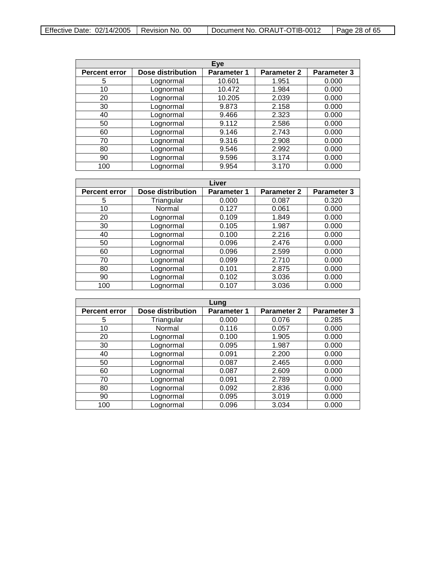| Effective Date: $02/14/2005$   Revision No. 00 |  | Document No. ORAUT-OTIB-0012 | $\vert$ Page 28 of 65 |
|------------------------------------------------|--|------------------------------|-----------------------|
|------------------------------------------------|--|------------------------------|-----------------------|

 $\overline{\phantom{0}}$ 

| Eye                  |                   |                    |                    |                    |
|----------------------|-------------------|--------------------|--------------------|--------------------|
| <b>Percent error</b> | Dose distribution | <b>Parameter 1</b> | <b>Parameter 2</b> | <b>Parameter 3</b> |
| 5                    | Lognormal         | 10.601             | 1.951              | 0.000              |
| 10                   | Lognormal         | 10.472             | 1.984              | 0.000              |
| 20                   | Lognormal         | 10.205             | 2.039              | 0.000              |
| 30                   | Lognormal         | 9.873              | 2.158              | 0.000              |
| 40                   | Lognormal         | 9.466              | 2.323              | 0.000              |
| 50                   | Lognormal         | 9.112              | 2.586              | 0.000              |
| 60                   | Lognormal         | 9.146              | 2.743              | 0.000              |
| 70                   | Lognormal         | 9.316              | 2.908              | 0.000              |
| 80                   | Lognormal         | 9.546              | 2.992              | 0.000              |
| 90                   | Lognormal         | 9.596              | 3.174              | 0.000              |
| 100                  | Lognormal         | 9.954              | 3.170              | 0.000              |

| Liver                |                          |                    |                    |             |
|----------------------|--------------------------|--------------------|--------------------|-------------|
| <b>Percent error</b> | <b>Dose distribution</b> | <b>Parameter 1</b> | <b>Parameter 2</b> | Parameter 3 |
| 5                    | Triangular               | 0.000              | 0.087              | 0.320       |
| 10                   | Normal                   | 0.127              | 0.061              | 0.000       |
| 20                   | Lognormal                | 0.109              | 1.849              | 0.000       |
| 30                   | Lognormal                | 0.105              | 1.987              | 0.000       |
| 40                   | Lognormal                | 0.100              | 2.216              | 0.000       |
| 50                   | Lognormal                | 0.096              | 2.476              | 0.000       |
| 60                   | Lognormal                | 0.096              | 2.599              | 0.000       |
| 70                   | Lognormal                | 0.099              | 2.710              | 0.000       |
| 80                   | Lognormal                | 0.101              | 2.875              | 0.000       |
| 90                   | Lognormal                | 0.102              | 3.036              | 0.000       |
| 100                  | Lognormal                | 0.107              | 3.036              | 0.000       |

| Lung                 |                   |                    |             |                    |
|----------------------|-------------------|--------------------|-------------|--------------------|
| <b>Percent error</b> | Dose distribution | <b>Parameter 1</b> | Parameter 2 | <b>Parameter 3</b> |
| 5                    | Triangular        | 0.000              | 0.076       | 0.285              |
| 10                   | Normal            | 0.116              | 0.057       | 0.000              |
| 20                   | Lognormal         | 0.100              | 1.905       | 0.000              |
| 30                   | Lognormal         | 0.095              | 1.987       | 0.000              |
| 40                   | Lognormal         | 0.091              | 2.200       | 0.000              |
| 50                   | Lognormal         | 0.087              | 2.465       | 0.000              |
| 60                   | Lognormal         | 0.087              | 2.609       | 0.000              |
| 70                   | Lognormal         | 0.091              | 2.789       | 0.000              |
| 80                   | Lognormal         | 0.092              | 2.836       | 0.000              |
| 90                   | Lognormal         | 0.095              | 3.019       | 0.000              |
| 100                  | Lognormal         | 0.096              | 3.034       | 0.000              |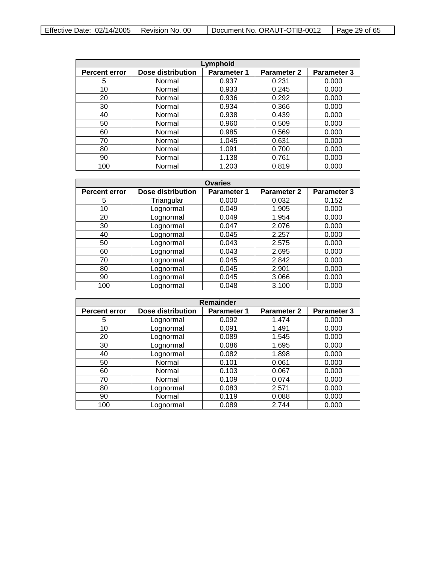| Effective Date: $02/14/2005$   Revision No. 00 |  | Document No. ORAUT-OTIB-0012 | Page 29 of 65 |
|------------------------------------------------|--|------------------------------|---------------|
|------------------------------------------------|--|------------------------------|---------------|

| Lymphoid             |                          |                    |                    |                    |  |
|----------------------|--------------------------|--------------------|--------------------|--------------------|--|
| <b>Percent error</b> | <b>Dose distribution</b> | <b>Parameter 1</b> | <b>Parameter 2</b> | <b>Parameter 3</b> |  |
| 5                    | Normal                   | 0.937              | 0.231              | 0.000              |  |
| 10                   | Normal                   | 0.933              | 0.245              | 0.000              |  |
| 20                   | Normal                   | 0.936              | 0.292              | 0.000              |  |
| 30                   | Normal                   | 0.934              | 0.366              | 0.000              |  |
| 40                   | Normal                   | 0.938              | 0.439              | 0.000              |  |
| 50                   | Normal                   | 0.960              | 0.509              | 0.000              |  |
| 60                   | Normal                   | 0.985              | 0.569              | 0.000              |  |
| 70                   | Normal                   | 1.045              | 0.631              | 0.000              |  |
| 80                   | Normal                   | 1.091              | 0.700              | 0.000              |  |
| 90                   | Normal                   | 1.138              | 0.761              | 0.000              |  |
| 100                  | Normal                   | 1.203              | 0.819              | 0.000              |  |

| <b>Ovaries</b>       |                   |                    |                    |             |  |
|----------------------|-------------------|--------------------|--------------------|-------------|--|
| <b>Percent error</b> | Dose distribution | <b>Parameter 1</b> | <b>Parameter 2</b> | Parameter 3 |  |
| 5                    | Triangular        | 0.000              | 0.032              | 0.152       |  |
| 10                   | Lognormal         | 0.049              | 1.905              | 0.000       |  |
| 20                   | Lognormal         | 0.049              | 1.954              | 0.000       |  |
| 30                   | Lognormal         | 0.047              | 2.076              | 0.000       |  |
| 40                   | Lognormal         | 0.045              | 2.257              | 0.000       |  |
| 50                   | Lognormal         | 0.043              | 2.575              | 0.000       |  |
| 60                   | Lognormal         | 0.043              | 2.695              | 0.000       |  |
| 70                   | Lognormal         | 0.045              | 2.842              | 0.000       |  |
| 80                   | Lognormal         | 0.045              | 2.901              | 0.000       |  |
| 90                   | Lognormal         | 0.045              | 3.066              | 0.000       |  |
| 100                  | Lognormal         | 0.048              | 3.100              | 0.000       |  |

| <b>Remainder</b>     |                          |                    |                    |                    |  |
|----------------------|--------------------------|--------------------|--------------------|--------------------|--|
| <b>Percent error</b> | <b>Dose distribution</b> | <b>Parameter 1</b> | <b>Parameter 2</b> | <b>Parameter 3</b> |  |
| 5                    | Lognormal                | 0.092              | 1.474              | 0.000              |  |
| 10                   | Lognormal                | 0.091              | 1.491              | 0.000              |  |
| 20                   | Lognormal                | 0.089              | 1.545              | 0.000              |  |
| 30                   | Lognormal                | 0.086              | 1.695              | 0.000              |  |
| 40                   | Lognormal                | 0.082              | 1.898              | 0.000              |  |
| 50                   | Normal                   | 0.101              | 0.061              | 0.000              |  |
| 60                   | Normal                   | 0.103              | 0.067              | 0.000              |  |
| 70                   | Normal                   | 0.109              | 0.074              | 0.000              |  |
| 80                   | Lognormal                | 0.083              | 2.571              | 0.000              |  |
| 90                   | Normal                   | 0.119              | 0.088              | 0.000              |  |
| 100                  | Lognormal                | 0.089              | 2.744              | 0.000              |  |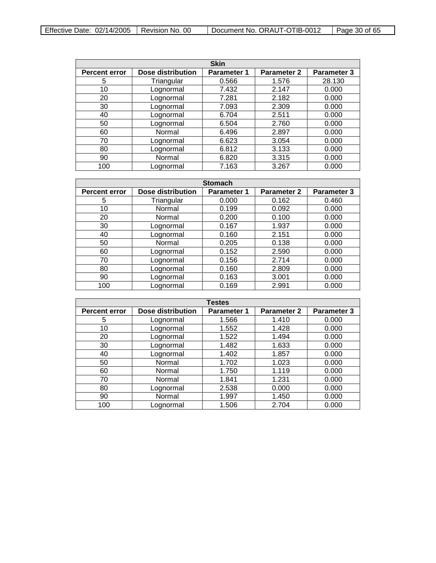| Effective Date: $02/14/2005$   Revision No. 00 |  | Document No. ORAUT-OTIB-0012 | $\vert$ Page 30 of 65 |
|------------------------------------------------|--|------------------------------|-----------------------|
|------------------------------------------------|--|------------------------------|-----------------------|

 $\overline{\phantom{0}}$ 

| <b>Skin</b>          |                   |                    |                    |                    |
|----------------------|-------------------|--------------------|--------------------|--------------------|
| <b>Percent error</b> | Dose distribution | <b>Parameter 1</b> | <b>Parameter 2</b> | <b>Parameter 3</b> |
| 5                    | Triangular        | 0.566              | 1.576              | 28.130             |
| 10                   | Lognormal         | 7.432              | 2.147              | 0.000              |
| 20                   | Lognormal         | 7.281              | 2.182              | 0.000              |
| 30                   | Lognormal         | 7.093              | 2.309              | 0.000              |
| 40                   | Lognormal         | 6.704              | 2.511              | 0.000              |
| 50                   | Lognormal         | 6.504              | 2.760              | 0.000              |
| 60                   | Normal            | 6.496              | 2.897              | 0.000              |
| 70                   | Lognormal         | 6.623              | 3.054              | 0.000              |
| 80                   | Lognormal         | 6.812              | 3.133              | 0.000              |
| 90                   | Normal            | 6.820              | 3.315              | 0.000              |
| 100                  | Lognormal         | 7.163              | 3.267              | 0.000              |

| <b>Stomach</b>       |                          |                    |                    |             |  |
|----------------------|--------------------------|--------------------|--------------------|-------------|--|
| <b>Percent error</b> | <b>Dose distribution</b> | <b>Parameter 1</b> | <b>Parameter 2</b> | Parameter 3 |  |
| 5                    | Triangular               | 0.000              | 0.162              | 0.460       |  |
| 10                   | Normal                   | 0.199              | 0.092              | 0.000       |  |
| 20                   | Normal                   | 0.200              | 0.100              | 0.000       |  |
| 30                   | Lognormal                | 0.167              | 1.937              | 0.000       |  |
| 40                   | Lognormal                | 0.160              | 2.151              | 0.000       |  |
| 50                   | Normal                   | 0.205              | 0.138              | 0.000       |  |
| 60                   | Lognormal                | 0.152              | 2.590              | 0.000       |  |
| 70                   | Lognormal                | 0.156              | 2.714              | 0.000       |  |
| 80                   | Lognormal                | 0.160              | 2.809              | 0.000       |  |
| 90                   | Lognormal                | 0.163              | 3.001              | 0.000       |  |
| 100                  | Lognormal                | 0.169              | 2.991              | 0.000       |  |

| <b>Testes</b>        |                   |                    |                    |                    |  |
|----------------------|-------------------|--------------------|--------------------|--------------------|--|
| <b>Percent error</b> | Dose distribution | <b>Parameter 1</b> | <b>Parameter 2</b> | <b>Parameter 3</b> |  |
| 5                    | Lognormal         | 1.566              | 1.410              | 0.000              |  |
| 10                   | Lognormal         | 1.552              | 1.428              | 0.000              |  |
| 20                   | Lognormal         | 1.522              | 1.494              | 0.000              |  |
| 30                   | Lognormal         | 1.482              | 1.633              | 0.000              |  |
| 40                   | Lognormal         | 1.402              | 1.857              | 0.000              |  |
| 50                   | Normal            | 1.702              | 1.023              | 0.000              |  |
| 60                   | Normal            | 1.750              | 1.119              | 0.000              |  |
| 70                   | Normal            | 1.841              | 1.231              | 0.000              |  |
| 80                   | Lognormal         | 2.538              | 0.000              | 0.000              |  |
| 90                   | Normal            | 1.997              | 1.450              | 0.000              |  |
| 100                  | Lognormal         | 1.506              | 2.704              | 0.000              |  |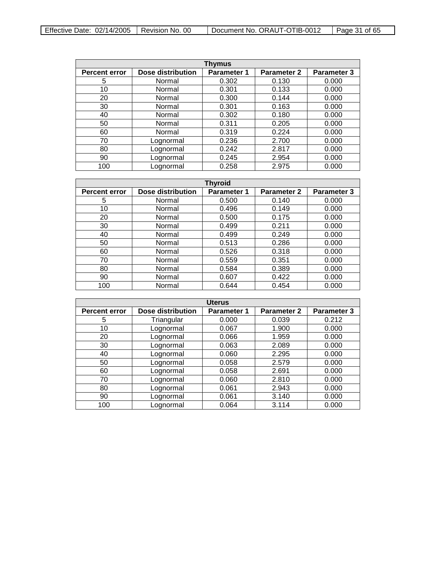| Effective Date: $02/14/2005$   Revision No. 00 |  | Document No. ORAUT-OTIB-0012 | $\vert$ Page 31 of 65 |
|------------------------------------------------|--|------------------------------|-----------------------|
|------------------------------------------------|--|------------------------------|-----------------------|

| Thymus               |                          |                    |                    |                    |  |
|----------------------|--------------------------|--------------------|--------------------|--------------------|--|
| <b>Percent error</b> | <b>Dose distribution</b> | <b>Parameter 1</b> | <b>Parameter 2</b> | <b>Parameter 3</b> |  |
| 5                    | Normal                   | 0.302              | 0.130              | 0.000              |  |
| 10                   | Normal                   | 0.301              | 0.133              | 0.000              |  |
| 20                   | Normal                   | 0.300              | 0.144              | 0.000              |  |
| 30                   | Normal                   | 0.301              | 0.163              | 0.000              |  |
| 40                   | Normal                   | 0.302              | 0.180              | 0.000              |  |
| 50                   | Normal                   | 0.311              | 0.205              | 0.000              |  |
| 60                   | Normal                   | 0.319              | 0.224              | 0.000              |  |
| 70                   | Lognormal                | 0.236              | 2.700              | 0.000              |  |
| 80                   | Lognormal                | 0.242              | 2.817              | 0.000              |  |
| 90                   | Lognormal                | 0.245              | 2.954              | 0.000              |  |
| 100                  | Lognormal                | 0.258              | 2.975              | 0.000              |  |

| <b>Thyroid</b>       |                   |                    |                    |                    |
|----------------------|-------------------|--------------------|--------------------|--------------------|
| <b>Percent error</b> | Dose distribution | <b>Parameter 1</b> | <b>Parameter 2</b> | <b>Parameter 3</b> |
| 5                    | Normal            | 0.500              | 0.140              | 0.000              |
| 10                   | Normal            | 0.496              | 0.149              | 0.000              |
| 20                   | Normal            | 0.500              | 0.175              | 0.000              |
| 30                   | Normal            | 0.499              | 0.211              | 0.000              |
| 40                   | Normal            | 0.499              | 0.249              | 0.000              |
| 50                   | Normal            | 0.513              | 0.286              | 0.000              |
| 60                   | Normal            | 0.526              | 0.318              | 0.000              |
| 70                   | Normal            | 0.559              | 0.351              | 0.000              |
| 80                   | Normal            | 0.584              | 0.389              | 0.000              |
| 90                   | Normal            | 0.607              | 0.422              | 0.000              |
| 100                  | Normal            | 0.644              | 0.454              | 0.000              |

| <b>Uterus</b>        |                   |                    |                    |                    |
|----------------------|-------------------|--------------------|--------------------|--------------------|
| <b>Percent error</b> | Dose distribution | <b>Parameter 1</b> | <b>Parameter 2</b> | <b>Parameter 3</b> |
| 5                    | Triangular        | 0.000              | 0.039              | 0.212              |
| 10                   | Lognormal         | 0.067              | 1.900              | 0.000              |
| 20                   | Lognormal         | 0.066              | 1.959              | 0.000              |
| 30                   | Lognormal         | 0.063              | 2.089              | 0.000              |
| 40                   | Lognormal         | 0.060              | 2.295              | 0.000              |
| 50                   | Lognormal         | 0.058              | 2.579              | 0.000              |
| 60                   | Lognormal         | 0.058              | 2.691              | 0.000              |
| 70                   | Lognormal         | 0.060              | 2.810              | 0.000              |
| 80                   | Lognormal         | 0.061              | 2.943              | 0.000              |
| 90                   | Lognormal         | 0.061              | 3.140              | 0.000              |
| 100                  | Lognormal         | 0.064              | 3.114              | 0.000              |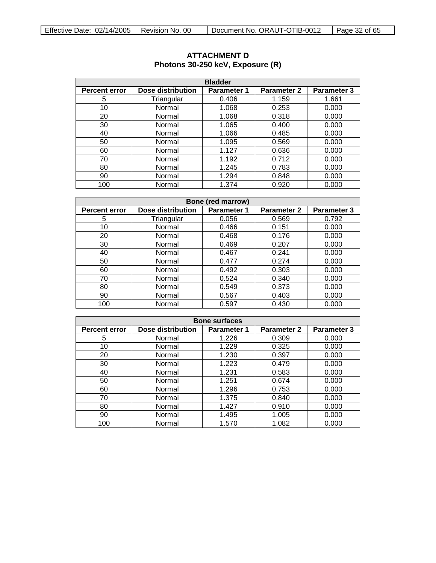| <b>Bladder</b>       |                   |             |                    |                    |  |
|----------------------|-------------------|-------------|--------------------|--------------------|--|
| <b>Percent error</b> | Dose distribution | Parameter 1 | <b>Parameter 2</b> | <b>Parameter 3</b> |  |
| 5                    | Triangular        | 0.406       | 1.159              | 1.661              |  |
| 10                   | Normal            | 1.068       | 0.253              | 0.000              |  |
| 20                   | Normal            | 1.068       | 0.318              | 0.000              |  |
| 30                   | Normal            | 1.065       | 0.400              | 0.000              |  |
| 40                   | Normal            | 1.066       | 0.485              | 0.000              |  |
| 50                   | Normal            | 1.095       | 0.569              | 0.000              |  |
| 60                   | Normal            | 1.127       | 0.636              | 0.000              |  |
| 70                   | Normal            | 1.192       | 0.712              | 0.000              |  |
| 80                   | Normal            | 1.245       | 0.783              | 0.000              |  |
| 90                   | Normal            | 1.294       | 0.848              | 0.000              |  |
| 100                  | Normal            | 1.374       | 0.920              | 0.000              |  |

# <span id="page-31-0"></span>**ATTACHMENT D Photons 30-250 keV, Exposure (R)**

| Bone (red marrow)                                                                                    |            |       |       |       |  |  |  |
|------------------------------------------------------------------------------------------------------|------------|-------|-------|-------|--|--|--|
| Dose distribution<br><b>Parameter 3</b><br>Parameter 1<br><b>Parameter 2</b><br><b>Percent error</b> |            |       |       |       |  |  |  |
| 5                                                                                                    | Triangular | 0.056 | 0.569 | 0.792 |  |  |  |
| 10                                                                                                   | Normal     | 0.466 | 0.151 | 0.000 |  |  |  |
| 20                                                                                                   | Normal     | 0.468 | 0.176 | 0.000 |  |  |  |
| 30                                                                                                   | Normal     | 0.469 | 0.207 | 0.000 |  |  |  |
| 40                                                                                                   | Normal     | 0.467 | 0.241 | 0.000 |  |  |  |
| 50                                                                                                   | Normal     | 0.477 | 0.274 | 0.000 |  |  |  |
| 60                                                                                                   | Normal     | 0.492 | 0.303 | 0.000 |  |  |  |
| 70                                                                                                   | Normal     | 0.524 | 0.340 | 0.000 |  |  |  |
| 80                                                                                                   | Normal     | 0.549 | 0.373 | 0.000 |  |  |  |
| 90                                                                                                   | Normal     | 0.567 | 0.403 | 0.000 |  |  |  |
| 100                                                                                                  | Normal     | 0.597 | 0.430 | 0.000 |  |  |  |

| <b>Bone surfaces</b> |                   |                    |                    |                    |  |
|----------------------|-------------------|--------------------|--------------------|--------------------|--|
| <b>Percent error</b> | Dose distribution | <b>Parameter 1</b> | <b>Parameter 2</b> | <b>Parameter 3</b> |  |
| 5                    | Normal            | 1.226              | 0.309              | 0.000              |  |
| 10                   | Normal            | 1.229              | 0.325              | 0.000              |  |
| 20                   | Normal            | 1.230              | 0.397              | 0.000              |  |
| 30                   | Normal            | 1.223              | 0.479              | 0.000              |  |
| 40                   | Normal            | 1.231              | 0.583              | 0.000              |  |
| 50                   | Normal            | 1.251              | 0.674              | 0.000              |  |
| 60                   | Normal            | 1.296              | 0.753              | 0.000              |  |
| 70                   | Normal            | 1.375              | 0.840              | 0.000              |  |
| 80                   | Normal            | 1.427              | 0.910              | 0.000              |  |
| 90                   | Normal            | 1.495              | 1.005              | 0.000              |  |
| 100                  | Normal            | 1.570              | 1.082              | 0.000              |  |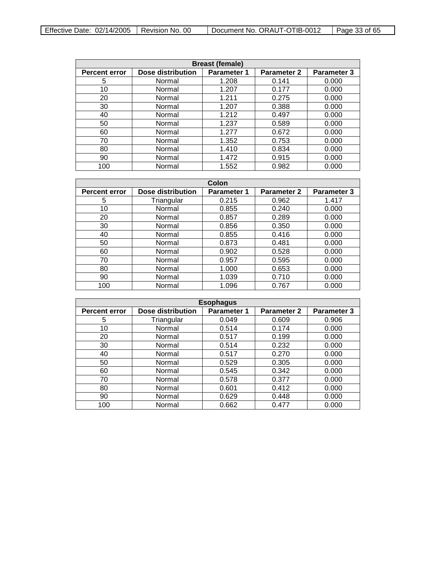| <b>Breast (female)</b>                                                                                      |        |       |       |       |  |  |
|-------------------------------------------------------------------------------------------------------------|--------|-------|-------|-------|--|--|
| Dose distribution<br><b>Parameter 3</b><br><b>Parameter 2</b><br><b>Percent error</b><br><b>Parameter 1</b> |        |       |       |       |  |  |
| 5                                                                                                           | Normal | 1.208 | 0.141 | 0.000 |  |  |
| 10                                                                                                          | Normal | 1.207 | 0.177 | 0.000 |  |  |
| 20                                                                                                          | Normal | 1.211 | 0.275 | 0.000 |  |  |
| 30                                                                                                          | Normal | 1.207 | 0.388 | 0.000 |  |  |
| 40                                                                                                          | Normal | 1.212 | 0.497 | 0.000 |  |  |
| 50                                                                                                          | Normal | 1.237 | 0.589 | 0.000 |  |  |
| 60                                                                                                          | Normal | 1.277 | 0.672 | 0.000 |  |  |
| 70                                                                                                          | Normal | 1.352 | 0.753 | 0.000 |  |  |
| 80                                                                                                          | Normal | 1.410 | 0.834 | 0.000 |  |  |
| 90                                                                                                          | Normal | 1.472 | 0.915 | 0.000 |  |  |
| 100                                                                                                         | Normal | 1.552 | 0.982 | 0.000 |  |  |

| Colon                |                   |                    |                    |                    |
|----------------------|-------------------|--------------------|--------------------|--------------------|
| <b>Percent error</b> | Dose distribution | <b>Parameter 1</b> | <b>Parameter 2</b> | <b>Parameter 3</b> |
| 5                    | Triangular        | 0.215              | 0.962              | 1.417              |
| 10                   | Normal            | 0.855              | 0.240              | 0.000              |
| 20                   | Normal            | 0.857              | 0.289              | 0.000              |
| 30                   | Normal            | 0.856              | 0.350              | 0.000              |
| 40                   | Normal            | 0.855              | 0.416              | 0.000              |
| 50                   | Normal            | 0.873              | 0.481              | 0.000              |
| 60                   | Normal            | 0.902              | 0.528              | 0.000              |
| 70                   | Normal            | 0.957              | 0.595              | 0.000              |
| 80                   | Normal            | 1.000              | 0.653              | 0.000              |
| 90                   | Normal            | 1.039              | 0.710              | 0.000              |
| 100                  | Normal            | 1.096              | 0.767              | 0.000              |

| <b>Esophagus</b>     |             |             |       |       |  |
|----------------------|-------------|-------------|-------|-------|--|
| <b>Percent error</b> | Parameter 2 | Parameter 3 |       |       |  |
| 5                    | Triangular  | 0.049       | 0.609 | 0.906 |  |
| 10                   | Normal      | 0.514       | 0.174 | 0.000 |  |
| 20                   | Normal      | 0.517       | 0.199 | 0.000 |  |
| 30                   | Normal      | 0.514       | 0.232 | 0.000 |  |
| 40                   | Normal      | 0.517       | 0.270 | 0.000 |  |
| 50                   | Normal      | 0.529       | 0.305 | 0.000 |  |
| 60                   | Normal      | 0.545       | 0.342 | 0.000 |  |
| 70                   | Normal      | 0.578       | 0.377 | 0.000 |  |
| 80                   | Normal      | 0.601       | 0.412 | 0.000 |  |
| 90                   | Normal      | 0.629       | 0.448 | 0.000 |  |
| 100                  | Normal      | 0.662       | 0.477 | 0.000 |  |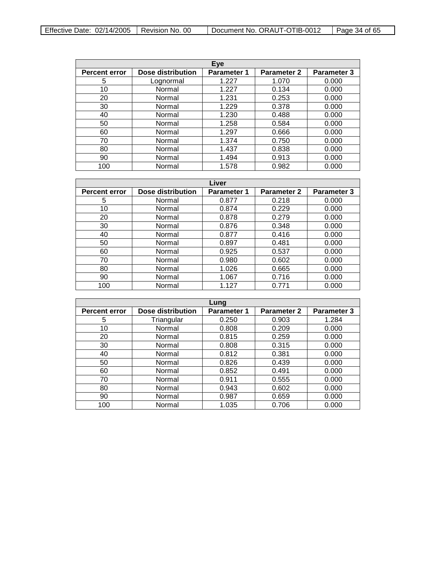| Effective Date: $02/14/2005$   Revision No. 00 |  | Document No. ORAUT-OTIB-0012 | $\vert$ Page 34 of 65 |
|------------------------------------------------|--|------------------------------|-----------------------|
|------------------------------------------------|--|------------------------------|-----------------------|

| Eye                  |                   |                    |                    |                    |
|----------------------|-------------------|--------------------|--------------------|--------------------|
| <b>Percent error</b> | Dose distribution | <b>Parameter 1</b> | <b>Parameter 2</b> | <b>Parameter 3</b> |
| 5                    | Lognormal         | 1.227              | 1.070              | 0.000              |
| 10                   | Normal            | 1.227              | 0.134              | 0.000              |
| 20                   | Normal            | 1.231              | 0.253              | 0.000              |
| 30                   | Normal            | 1.229              | 0.378              | 0.000              |
| 40                   | Normal            | 1.230              | 0.488              | 0.000              |
| 50                   | Normal            | 1.258              | 0.584              | 0.000              |
| 60                   | Normal            | 1.297              | 0.666              | 0.000              |
| 70                   | Normal            | 1.374              | 0.750              | 0.000              |
| 80                   | Normal            | 1.437              | 0.838              | 0.000              |
| 90                   | Normal            | 1.494              | 0.913              | 0.000              |
| 100                  | Normal            | 1.578              | 0.982              | 0.000              |

| Liver                |                   |                    |                    |                    |
|----------------------|-------------------|--------------------|--------------------|--------------------|
| <b>Percent error</b> | Dose distribution | <b>Parameter 1</b> | <b>Parameter 2</b> | <b>Parameter 3</b> |
| 5                    | Normal            | 0.877              | 0.218              | 0.000              |
| 10                   | Normal            | 0.874              | 0.229              | 0.000              |
| 20                   | Normal            | 0.878              | 0.279              | 0.000              |
| 30                   | Normal            | 0.876              | 0.348              | 0.000              |
| 40                   | Normal            | 0.877              | 0.416              | 0.000              |
| 50                   | Normal            | 0.897              | 0.481              | 0.000              |
| 60                   | Normal            | 0.925              | 0.537              | 0.000              |
| 70                   | Normal            | 0.980              | 0.602              | 0.000              |
| 80                   | Normal            | 1.026              | 0.665              | 0.000              |
| 90                   | Normal            | 1.067              | 0.716              | 0.000              |
| 100                  | Normal            | 1.127              | 0.771              | 0.000              |

| Lung                 |                   |                    |                    |                    |
|----------------------|-------------------|--------------------|--------------------|--------------------|
| <b>Percent error</b> | Dose distribution | <b>Parameter 1</b> | <b>Parameter 2</b> | <b>Parameter 3</b> |
| 5                    | Triangular        | 0.250              | 0.903              | 1.284              |
| 10                   | Normal            | 0.808              | 0.209              | 0.000              |
| 20                   | Normal            | 0.815              | 0.259              | 0.000              |
| 30                   | Normal            | 0.808              | 0.315              | 0.000              |
| 40                   | Normal            | 0.812              | 0.381              | 0.000              |
| 50                   | Normal            | 0.826              | 0.439              | 0.000              |
| 60                   | Normal            | 0.852              | 0.491              | 0.000              |
| 70                   | Normal            | 0.911              | 0.555              | 0.000              |
| 80                   | Normal            | 0.943              | 0.602              | 0.000              |
| 90                   | Normal            | 0.987              | 0.659              | 0.000              |
| 100                  | Normal            | 1.035              | 0.706              | 0.000              |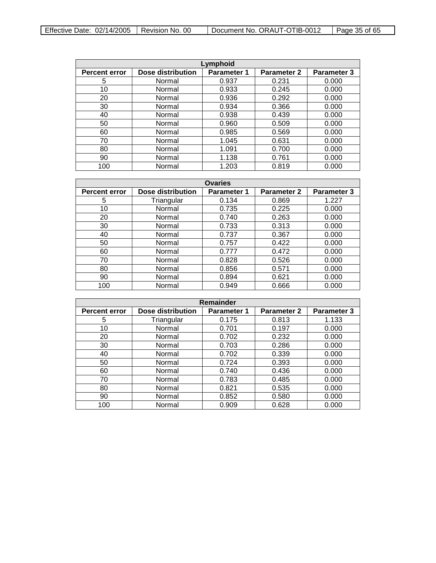| Effective Date: $02/14/2005$   Revision No. 00 |  | Document No. ORAUT-OTIB-0012 | $\vert$ Page 35 of 65 |
|------------------------------------------------|--|------------------------------|-----------------------|
|------------------------------------------------|--|------------------------------|-----------------------|

| Lymphoid             |                          |                    |                    |                    |  |
|----------------------|--------------------------|--------------------|--------------------|--------------------|--|
| <b>Percent error</b> | <b>Dose distribution</b> | <b>Parameter 1</b> | <b>Parameter 2</b> | <b>Parameter 3</b> |  |
| 5                    | Normal                   | 0.937              | 0.231              | 0.000              |  |
| 10                   | Normal                   | 0.933              | 0.245              | 0.000              |  |
| 20                   | Normal                   | 0.936              | 0.292              | 0.000              |  |
| 30                   | Normal                   | 0.934              | 0.366              | 0.000              |  |
| 40                   | Normal                   | 0.938              | 0.439              | 0.000              |  |
| 50                   | Normal                   | 0.960              | 0.509              | 0.000              |  |
| 60                   | Normal                   | 0.985              | 0.569              | 0.000              |  |
| 70                   | Normal                   | 1.045              | 0.631              | 0.000              |  |
| 80                   | Normal                   | 1.091              | 0.700              | 0.000              |  |
| 90                   | Normal                   | 1.138              | 0.761              | 0.000              |  |
| 100                  | Normal                   | 1.203              | 0.819              | 0.000              |  |

| <b>Ovaries</b>       |                   |                    |                    |                    |
|----------------------|-------------------|--------------------|--------------------|--------------------|
| <b>Percent error</b> | Dose distribution | <b>Parameter 1</b> | <b>Parameter 2</b> | <b>Parameter 3</b> |
| 5                    | Triangular        | 0.134              | 0.869              | 1.227              |
| 10                   | Normal            | 0.735              | 0.225              | 0.000              |
| 20                   | Normal            | 0.740              | 0.263              | 0.000              |
| 30                   | Normal            | 0.733              | 0.313              | 0.000              |
| 40                   | Normal            | 0.737              | 0.367              | 0.000              |
| 50                   | Normal            | 0.757              | 0.422              | 0.000              |
| 60                   | Normal            | 0.777              | 0.472              | 0.000              |
| 70                   | Normal            | 0.828              | 0.526              | 0.000              |
| 80                   | Normal            | 0.856              | 0.571              | 0.000              |
| 90                   | Normal            | 0.894              | 0.621              | 0.000              |
| 100                  | Normal            | 0.949              | 0.666              | 0.000              |

| Remainder            |                   |                    |                    |                    |  |
|----------------------|-------------------|--------------------|--------------------|--------------------|--|
| <b>Percent error</b> | Dose distribution | <b>Parameter 1</b> | <b>Parameter 2</b> | <b>Parameter 3</b> |  |
| 5                    | Triangular        | 0.175              | 0.813              | 1.133              |  |
| 10                   | Normal            | 0.701              | 0.197              | 0.000              |  |
| 20                   | Normal            | 0.702              | 0.232              | 0.000              |  |
| 30                   | Normal            | 0.703              | 0.286              | 0.000              |  |
| 40                   | Normal            | 0.702              | 0.339              | 0.000              |  |
| 50                   | Normal            | 0.724              | 0.393              | 0.000              |  |
| 60                   | Normal            | 0.740              | 0.436              | 0.000              |  |
| 70                   | Normal            | 0.783              | 0.485              | 0.000              |  |
| 80                   | Normal            | 0.821              | 0.535              | 0.000              |  |
| 90                   | Normal            | 0.852              | 0.580              | 0.000              |  |
| 100                  | Normal            | 0.909              | 0.628              | 0.000              |  |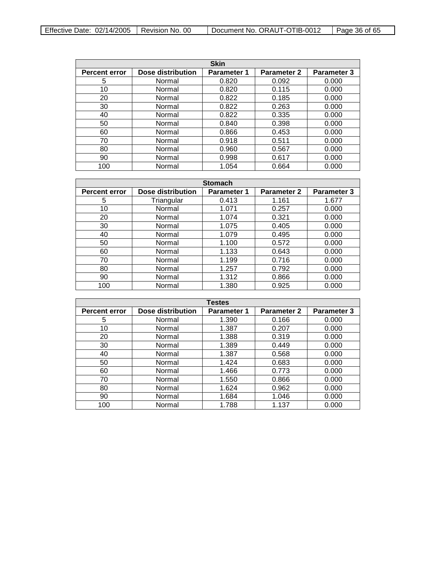| <b>Skin</b>          |                          |                    |                    |                    |
|----------------------|--------------------------|--------------------|--------------------|--------------------|
| <b>Percent error</b> | <b>Dose distribution</b> | <b>Parameter 1</b> | <b>Parameter 2</b> | <b>Parameter 3</b> |
| 5                    | Normal                   | 0.820              | 0.092              | 0.000              |
| 10                   | Normal                   | 0.820              | 0.115              | 0.000              |
| 20                   | Normal                   | 0.822              | 0.185              | 0.000              |
| 30                   | Normal                   | 0.822              | 0.263              | 0.000              |
| 40                   | Normal                   | 0.822              | 0.335              | 0.000              |
| 50                   | Normal                   | 0.840              | 0.398              | 0.000              |
| 60                   | Normal                   | 0.866              | 0.453              | 0.000              |
| 70                   | Normal                   | 0.918              | 0.511              | 0.000              |
| 80                   | Normal                   | 0.960              | 0.567              | 0.000              |
| 90                   | Normal                   | 0.998              | 0.617              | 0.000              |
| 100                  | Normal                   | 1.054              | 0.664              | 0.000              |

| <b>Stomach</b>       |                   |                    |                    |                    |
|----------------------|-------------------|--------------------|--------------------|--------------------|
| <b>Percent error</b> | Dose distribution | <b>Parameter 1</b> | <b>Parameter 2</b> | <b>Parameter 3</b> |
| 5                    | Triangular        | 0.413              | 1.161              | 1.677              |
| 10                   | Normal            | 1.071              | 0.257              | 0.000              |
| 20                   | Normal            | 1.074              | 0.321              | 0.000              |
| 30                   | Normal            | 1.075              | 0.405              | 0.000              |
| 40                   | Normal            | 1.079              | 0.495              | 0.000              |
| 50                   | Normal            | 1.100              | 0.572              | 0.000              |
| 60                   | Normal            | 1.133              | 0.643              | 0.000              |
| 70                   | Normal            | 1.199              | 0.716              | 0.000              |
| 80                   | Normal            | 1.257              | 0.792              | 0.000              |
| 90                   | Normal            | 1.312              | 0.866              | 0.000              |
| 100                  | Normal            | 1.380              | 0.925              | 0.000              |

| <b>Testes</b>        |                   |                    |                    |                    |
|----------------------|-------------------|--------------------|--------------------|--------------------|
| <b>Percent error</b> | Dose distribution | <b>Parameter 1</b> | <b>Parameter 2</b> | <b>Parameter 3</b> |
| 5                    | Normal            | 1.390              | 0.166              | 0.000              |
| 10                   | Normal            | 1.387              | 0.207              | 0.000              |
| 20                   | Normal            | 1.388              | 0.319              | 0.000              |
| 30                   | Normal            | 1.389              | 0.449              | 0.000              |
| 40                   | Normal            | 1.387              | 0.568              | 0.000              |
| 50                   | Normal            | 1.424              | 0.683              | 0.000              |
| 60                   | Normal            | 1.466              | 0.773              | 0.000              |
| 70                   | Normal            | 1.550              | 0.866              | 0.000              |
| 80                   | Normal            | 1.624              | 0.962              | 0.000              |
| 90                   | Normal            | 1.684              | 1.046              | 0.000              |
| 100                  | Normal            | 1.788              | 1.137              | 0.000              |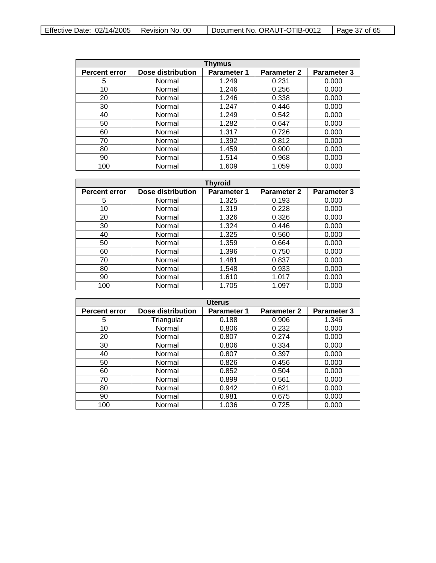| Effective Date: $02/14/2005$   Revision No. 00 |  | Document No. ORAUT-OTIB-0012 | $\vert$ Page 37 of 65 |
|------------------------------------------------|--|------------------------------|-----------------------|
|------------------------------------------------|--|------------------------------|-----------------------|

| Thymus               |                   |                    |                    |                    |
|----------------------|-------------------|--------------------|--------------------|--------------------|
| <b>Percent error</b> | Dose distribution | <b>Parameter 1</b> | <b>Parameter 2</b> | <b>Parameter 3</b> |
| 5                    | Normal            | 1.249              | 0.231              | 0.000              |
| 10                   | Normal            | 1.246              | 0.256              | 0.000              |
| 20                   | Normal            | 1.246              | 0.338              | 0.000              |
| 30                   | Normal            | 1.247              | 0.446              | 0.000              |
| 40                   | Normal            | 1.249              | 0.542              | 0.000              |
| 50                   | Normal            | 1.282              | 0.647              | 0.000              |
| 60                   | Normal            | 1.317              | 0.726              | 0.000              |
| 70                   | Normal            | 1.392              | 0.812              | 0.000              |
| 80                   | Normal            | 1.459              | 0.900              | 0.000              |
| 90                   | Normal            | 1.514              | 0.968              | 0.000              |
| 100                  | Normal            | 1.609              | 1.059              | 0.000              |

| <b>Thyroid</b>       |                   |                    |                    |                    |
|----------------------|-------------------|--------------------|--------------------|--------------------|
| <b>Percent error</b> | Dose distribution | <b>Parameter 1</b> | <b>Parameter 2</b> | <b>Parameter 3</b> |
| 5                    | Normal            | 1.325              | 0.193              | 0.000              |
| 10                   | Normal            | 1.319              | 0.228              | 0.000              |
| 20                   | Normal            | 1.326              | 0.326              | 0.000              |
| 30                   | Normal            | 1.324              | 0.446              | 0.000              |
| 40                   | Normal            | 1.325              | 0.560              | 0.000              |
| 50                   | Normal            | 1.359              | 0.664              | 0.000              |
| 60                   | Normal            | 1.396              | 0.750              | 0.000              |
| 70                   | Normal            | 1.481              | 0.837              | 0.000              |
| 80                   | Normal            | 1.548              | 0.933              | 0.000              |
| 90                   | Normal            | 1.610              | 1.017              | 0.000              |
| 100                  | Normal            | 1.705              | 1.097              | 0.000              |

| <b>Uterus</b>        |                   |                    |                    |                    |
|----------------------|-------------------|--------------------|--------------------|--------------------|
| <b>Percent error</b> | Dose distribution | <b>Parameter 1</b> | <b>Parameter 2</b> | <b>Parameter 3</b> |
| 5                    | Triangular        | 0.188              | 0.906              | 1.346              |
| 10                   | Normal            | 0.806              | 0.232              | 0.000              |
| 20                   | Normal            | 0.807              | 0.274              | 0.000              |
| 30                   | Normal            | 0.806              | 0.334              | 0.000              |
| 40                   | Normal            | 0.807              | 0.397              | 0.000              |
| 50                   | Normal            | 0.826              | 0.456              | 0.000              |
| 60                   | Normal            | 0.852              | 0.504              | 0.000              |
| 70                   | Normal            | 0.899              | 0.561              | 0.000              |
| 80                   | Normal            | 0.942              | 0.621              | 0.000              |
| 90                   | Normal            | 0.981              | 0.675              | 0.000              |
| 100                  | Normal            | 1.036              | 0.725              | 0.000              |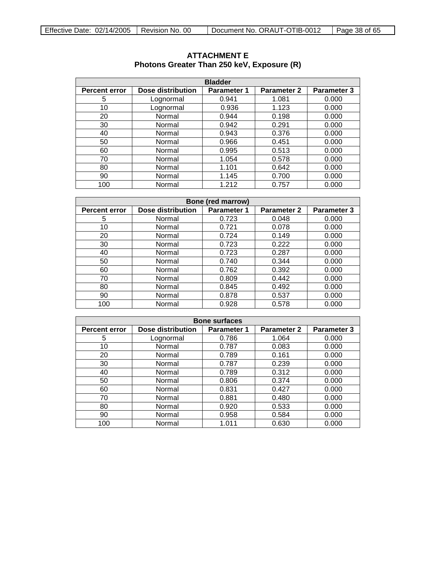| <b>Bladder</b>       |                   |                    |                    |                    |  |
|----------------------|-------------------|--------------------|--------------------|--------------------|--|
| <b>Percent error</b> | Dose distribution | <b>Parameter 1</b> | <b>Parameter 2</b> | <b>Parameter 3</b> |  |
| 5                    | Lognormal         | 0.941              | 1.081              | 0.000              |  |
| 10                   | Lognormal         | 0.936              | 1.123              | 0.000              |  |
| 20                   | Normal            | 0.944              | 0.198              | 0.000              |  |
| 30                   | Normal            | 0.942              | 0.291              | 0.000              |  |
| 40                   | Normal            | 0.943              | 0.376              | 0.000              |  |
| 50                   | Normal            | 0.966              | 0.451              | 0.000              |  |
| 60                   | Normal            | 0.995              | 0.513              | 0.000              |  |
| 70                   | Normal            | 1.054              | 0.578              | 0.000              |  |
| 80                   | Normal            | 1.101              | 0.642              | 0.000              |  |
| 90                   | Normal            | 1.145              | 0.700              | 0.000              |  |
| 100                  | Normal            | 1.212              | 0.757              | 0.000              |  |

### <span id="page-37-0"></span>**ATTACHMENT E Photons Greater Than 250 keV, Exposure (R)**

| Bone (red marrow)                                                                                                  |        |       |       |       |  |  |
|--------------------------------------------------------------------------------------------------------------------|--------|-------|-------|-------|--|--|
| <b>Dose distribution</b><br><b>Parameter 3</b><br><b>Percent error</b><br><b>Parameter 1</b><br><b>Parameter 2</b> |        |       |       |       |  |  |
| 5                                                                                                                  | Normal | 0.723 | 0.048 | 0.000 |  |  |
| 10                                                                                                                 | Normal | 0.721 | 0.078 | 0.000 |  |  |
| 20                                                                                                                 | Normal | 0.724 | 0.149 | 0.000 |  |  |
| 30                                                                                                                 | Normal | 0.723 | 0.222 | 0.000 |  |  |
| 40                                                                                                                 | Normal | 0.723 | 0.287 | 0.000 |  |  |
| 50                                                                                                                 | Normal | 0.740 | 0.344 | 0.000 |  |  |
| 60                                                                                                                 | Normal | 0.762 | 0.392 | 0.000 |  |  |
| 70                                                                                                                 | Normal | 0.809 | 0.442 | 0.000 |  |  |
| 80                                                                                                                 | Normal | 0.845 | 0.492 | 0.000 |  |  |
| 90                                                                                                                 | Normal | 0.878 | 0.537 | 0.000 |  |  |
| 100                                                                                                                | Normal | 0.928 | 0.578 | 0.000 |  |  |

| <b>Bone surfaces</b> |                          |                    |                    |             |
|----------------------|--------------------------|--------------------|--------------------|-------------|
| <b>Percent error</b> | <b>Dose distribution</b> | <b>Parameter 1</b> | <b>Parameter 2</b> | Parameter 3 |
| 5                    | Lognormal                | 0.786              | 1.064              | 0.000       |
| 10                   | Normal                   | 0.787              | 0.083              | 0.000       |
| 20                   | Normal                   | 0.789              | 0.161              | 0.000       |
| 30                   | Normal                   | 0.787              | 0.239              | 0.000       |
| 40                   | Normal                   | 0.789              | 0.312              | 0.000       |
| 50                   | Normal                   | 0.806              | 0.374              | 0.000       |
| 60                   | Normal                   | 0.831              | 0.427              | 0.000       |
| 70                   | Normal                   | 0.881              | 0.480              | 0.000       |
| 80                   | Normal                   | 0.920              | 0.533              | 0.000       |
| 90                   | Normal                   | 0.958              | 0.584              | 0.000       |
| 100                  | Normal                   | 1.011              | 0.630              | 0.000       |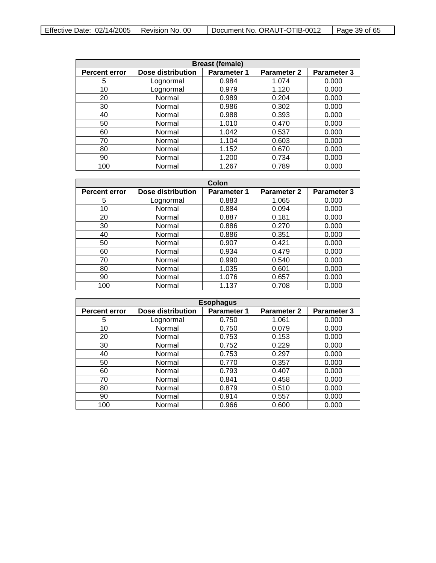| Effective Date: $02/14/2005$   Revision No. 00 |  | Document No. ORAUT-OTIB-0012 | l Page 39 of 65 |
|------------------------------------------------|--|------------------------------|-----------------|
|------------------------------------------------|--|------------------------------|-----------------|

| <b>Breast (female)</b> |                    |                    |       |       |  |
|------------------------|--------------------|--------------------|-------|-------|--|
| <b>Percent error</b>   | <b>Parameter 2</b> | <b>Parameter 3</b> |       |       |  |
| 5                      | Lognormal          | 0.984              | 1.074 | 0.000 |  |
| 10                     | Lognormal          | 0.979              | 1.120 | 0.000 |  |
| 20                     | Normal             | 0.989              | 0.204 | 0.000 |  |
| 30                     | Normal             | 0.986              | 0.302 | 0.000 |  |
| 40                     | Normal             | 0.988              | 0.393 | 0.000 |  |
| 50                     | Normal             | 1.010              | 0.470 | 0.000 |  |
| 60                     | Normal             | 1.042              | 0.537 | 0.000 |  |
| 70                     | Normal             | 1.104              | 0.603 | 0.000 |  |
| 80                     | Normal             | 1.152              | 0.670 | 0.000 |  |
| 90                     | Normal             | 1.200              | 0.734 | 0.000 |  |
| 100                    | Normal             | 1.267              | 0.789 | 0.000 |  |

| Colon                |                   |                    |                    |                    |
|----------------------|-------------------|--------------------|--------------------|--------------------|
| <b>Percent error</b> | Dose distribution | <b>Parameter 1</b> | <b>Parameter 2</b> | <b>Parameter 3</b> |
| 5                    | Lognormal         | 0.883              | 1.065              | 0.000              |
| 10                   | Normal            | 0.884              | 0.094              | 0.000              |
| 20                   | Normal            | 0.887              | 0.181              | 0.000              |
| 30                   | Normal            | 0.886              | 0.270              | 0.000              |
| 40                   | Normal            | 0.886              | 0.351              | 0.000              |
| 50                   | Normal            | 0.907              | 0.421              | 0.000              |
| 60                   | Normal            | 0.934              | 0.479              | 0.000              |
| 70                   | Normal            | 0.990              | 0.540              | 0.000              |
| 80                   | Normal            | 1.035              | 0.601              | 0.000              |
| 90                   | Normal            | 1.076              | 0.657              | 0.000              |
| 100                  | Normal            | 1.137              | 0.708              | 0.000              |

| <b>Esophagus</b>     |                          |                    |                    |             |  |
|----------------------|--------------------------|--------------------|--------------------|-------------|--|
| <b>Percent error</b> | <b>Dose distribution</b> | <b>Parameter 1</b> | <b>Parameter 2</b> | Parameter 3 |  |
| 5                    | Lognormal                | 0.750              | 1.061              | 0.000       |  |
| 10                   | Normal                   | 0.750              | 0.079              | 0.000       |  |
| 20                   | Normal                   | 0.753              | 0.153              | 0.000       |  |
| 30                   | Normal                   | 0.752              | 0.229              | 0.000       |  |
| 40                   | Normal                   | 0.753              | 0.297              | 0.000       |  |
| 50                   | Normal                   | 0.770              | 0.357              | 0.000       |  |
| 60                   | Normal                   | 0.793              | 0.407              | 0.000       |  |
| 70                   | Normal                   | 0.841              | 0.458              | 0.000       |  |
| 80                   | Normal                   | 0.879              | 0.510              | 0.000       |  |
| 90                   | Normal                   | 0.914              | 0.557              | 0.000       |  |
| 100                  | Normal                   | 0.966              | 0.600              | 0.000       |  |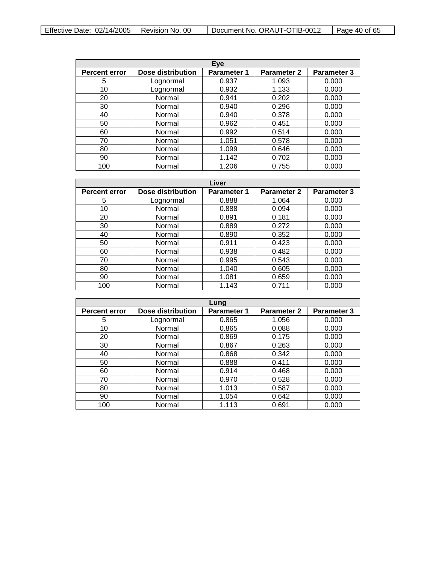| Effective Date: $02/14/2005$   Revision No. 00 |  | Document No. ORAUT-OTIB-0012 | Page 40 of 65 |
|------------------------------------------------|--|------------------------------|---------------|
|------------------------------------------------|--|------------------------------|---------------|

| Eye                  |                   |                    |                    |                    |
|----------------------|-------------------|--------------------|--------------------|--------------------|
| <b>Percent error</b> | Dose distribution | <b>Parameter 1</b> | <b>Parameter 2</b> | <b>Parameter 3</b> |
| 5                    | Lognormal         | 0.937              | 1.093              | 0.000              |
| 10                   | Lognormal         | 0.932              | 1.133              | 0.000              |
| 20                   | Normal            | 0.941              | 0.202              | 0.000              |
| 30                   | Normal            | 0.940              | 0.296              | 0.000              |
| 40                   | Normal            | 0.940              | 0.378              | 0.000              |
| 50                   | Normal            | 0.962              | 0.451              | 0.000              |
| 60                   | Normal            | 0.992              | 0.514              | 0.000              |
| 70                   | Normal            | 1.051              | 0.578              | 0.000              |
| 80                   | Normal            | 1.099              | 0.646              | 0.000              |
| 90                   | Normal            | 1.142              | 0.702              | 0.000              |
| 100                  | Normal            | 1.206              | 0.755              | 0.000              |

| Liver                |                          |                    |                    |             |
|----------------------|--------------------------|--------------------|--------------------|-------------|
| <b>Percent error</b> | <b>Dose distribution</b> | <b>Parameter 1</b> | <b>Parameter 2</b> | Parameter 3 |
| 5                    | Lognormal                | 0.888              | 1.064              | 0.000       |
| 10                   | Normal                   | 0.888              | 0.094              | 0.000       |
| 20                   | Normal                   | 0.891              | 0.181              | 0.000       |
| 30                   | Normal                   | 0.889              | 0.272              | 0.000       |
| 40                   | Normal                   | 0.890              | 0.352              | 0.000       |
| 50                   | Normal                   | 0.911              | 0.423              | 0.000       |
| 60                   | Normal                   | 0.938              | 0.482              | 0.000       |
| 70                   | Normal                   | 0.995              | 0.543              | 0.000       |
| 80                   | Normal                   | 1.040              | 0.605              | 0.000       |
| 90                   | Normal                   | 1.081              | 0.659              | 0.000       |
| 100                  | Normal                   | 1.143              | 0.711              | 0.000       |

| Lung                 |                          |                    |                    |                    |
|----------------------|--------------------------|--------------------|--------------------|--------------------|
| <b>Percent error</b> | <b>Dose distribution</b> | <b>Parameter 1</b> | <b>Parameter 2</b> | <b>Parameter 3</b> |
| 5                    | Lognormal                | 0.865              | 1.056              | 0.000              |
| 10                   | Normal                   | 0.865              | 0.088              | 0.000              |
| 20                   | Normal                   | 0.869              | 0.175              | 0.000              |
| 30                   | Normal                   | 0.867              | 0.263              | 0.000              |
| 40                   | Normal                   | 0.868              | 0.342              | 0.000              |
| 50                   | Normal                   | 0.888              | 0.411              | 0.000              |
| 60                   | Normal                   | 0.914              | 0.468              | 0.000              |
| 70                   | Normal                   | 0.970              | 0.528              | 0.000              |
| 80                   | Normal                   | 1.013              | 0.587              | 0.000              |
| 90                   | Normal                   | 1.054              | 0.642              | 0.000              |
| 100                  | Normal                   | 1.113              | 0.691              | 0.000              |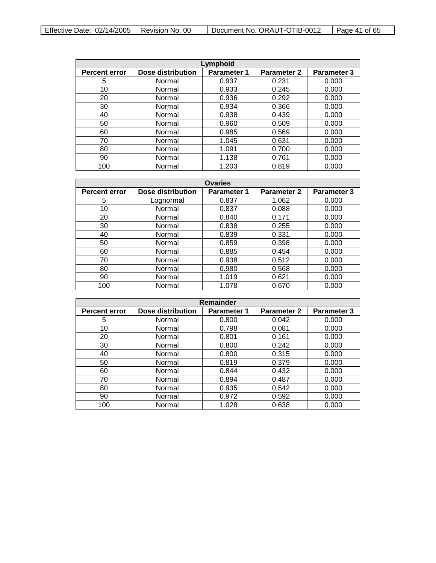| Effective Date: $02/14/2005$   Revision No. 00 |  | Document No. ORAUT-OTIB-0012 | Page 41 of 65 |
|------------------------------------------------|--|------------------------------|---------------|
|------------------------------------------------|--|------------------------------|---------------|

| Lymphoid             |                          |                    |                    |                    |  |
|----------------------|--------------------------|--------------------|--------------------|--------------------|--|
| <b>Percent error</b> | <b>Dose distribution</b> | <b>Parameter 1</b> | <b>Parameter 2</b> | <b>Parameter 3</b> |  |
| 5                    | Normal                   | 0.937              | 0.231              | 0.000              |  |
| 10                   | Normal                   | 0.933              | 0.245              | 0.000              |  |
| 20                   | Normal                   | 0.936              | 0.292              | 0.000              |  |
| 30                   | Normal                   | 0.934              | 0.366              | 0.000              |  |
| 40                   | Normal                   | 0.938              | 0.439              | 0.000              |  |
| 50                   | Normal                   | 0.960              | 0.509              | 0.000              |  |
| 60                   | Normal                   | 0.985              | 0.569              | 0.000              |  |
| 70                   | Normal                   | 1.045              | 0.631              | 0.000              |  |
| 80                   | Normal                   | 1.091              | 0.700              | 0.000              |  |
| 90                   | Normal                   | 1.138              | 0.761              | 0.000              |  |
| 100                  | Normal                   | 1.203              | 0.819              | 0.000              |  |

| <b>Ovaries</b>       |                          |                    |                    |             |
|----------------------|--------------------------|--------------------|--------------------|-------------|
| <b>Percent error</b> | <b>Dose distribution</b> | <b>Parameter 1</b> | <b>Parameter 2</b> | Parameter 3 |
| 5                    | Lognormal                | 0.837              | 1.062              | 0.000       |
| 10                   | Normal                   | 0.837              | 0.088              | 0.000       |
| 20                   | Normal                   | 0.840              | 0.171              | 0.000       |
| 30                   | Normal                   | 0.838              | 0.255              | 0.000       |
| 40                   | Normal                   | 0.839              | 0.331              | 0.000       |
| 50                   | Normal                   | 0.859              | 0.398              | 0.000       |
| 60                   | Normal                   | 0.885              | 0.454              | 0.000       |
| 70                   | Normal                   | 0.938              | 0.512              | 0.000       |
| 80                   | Normal                   | 0.980              | 0.568              | 0.000       |
| 90                   | Normal                   | 1.019              | 0.621              | 0.000       |
| 100                  | Normal                   | 1.078              | 0.670              | 0.000       |

| Remainder            |                   |                    |                    |                    |  |
|----------------------|-------------------|--------------------|--------------------|--------------------|--|
| <b>Percent error</b> | Dose distribution | <b>Parameter 1</b> | <b>Parameter 2</b> | <b>Parameter 3</b> |  |
| 5                    | Normal            | 0.800              | 0.042              | 0.000              |  |
| 10                   | Normal            | 0.798              | 0.081              | 0.000              |  |
| 20                   | Normal            | 0.801              | 0.161              | 0.000              |  |
| 30                   | Normal            | 0.800              | 0.242              | 0.000              |  |
| 40                   | Normal            | 0.800              | 0.315              | 0.000              |  |
| 50                   | Normal            | 0.819              | 0.379              | 0.000              |  |
| 60                   | Normal            | 0.844              | 0.432              | 0.000              |  |
| 70                   | Normal            | 0.894              | 0.487              | 0.000              |  |
| 80                   | Normal            | 0.935              | 0.542              | 0.000              |  |
| 90                   | Normal            | 0.972              | 0.592              | 0.000              |  |
| 100                  | Normal            | 1.028              | 0.638              | 0.000              |  |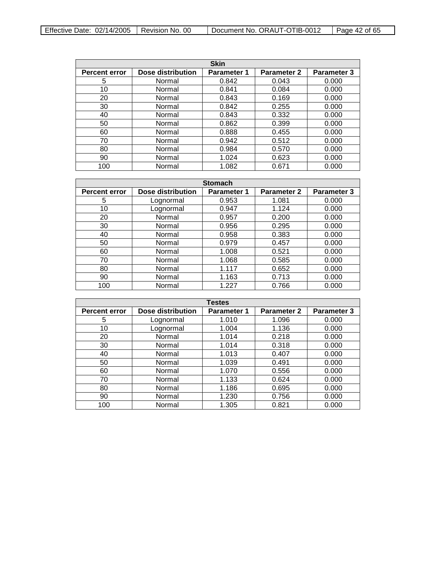| Effective Date: $02/14/2005$   Revision No. 00 |  | Document No. ORAUT-OTIB-0012 | l Page 42 of 65 |
|------------------------------------------------|--|------------------------------|-----------------|
|------------------------------------------------|--|------------------------------|-----------------|

| <b>Skin</b>          |                   |                    |                    |                    |
|----------------------|-------------------|--------------------|--------------------|--------------------|
| <b>Percent error</b> | Dose distribution | <b>Parameter 1</b> | <b>Parameter 2</b> | <b>Parameter 3</b> |
| 5                    | Normal            | 0.842              | 0.043              | 0.000              |
| 10                   | Normal            | 0.841              | 0.084              | 0.000              |
| 20                   | Normal            | 0.843              | 0.169              | 0.000              |
| 30                   | Normal            | 0.842              | 0.255              | 0.000              |
| 40                   | Normal            | 0.843              | 0.332              | 0.000              |
| 50                   | Normal            | 0.862              | 0.399              | 0.000              |
| 60                   | Normal            | 0.888              | 0.455              | 0.000              |
| 70                   | Normal            | 0.942              | 0.512              | 0.000              |
| 80                   | Normal            | 0.984              | 0.570              | 0.000              |
| 90                   | Normal            | 1.024              | 0.623              | 0.000              |
| 100                  | Normal            | 1.082              | 0.671              | 0.000              |

| <b>Stomach</b>       |                   |                    |                    |             |  |
|----------------------|-------------------|--------------------|--------------------|-------------|--|
| <b>Percent error</b> | Dose distribution | <b>Parameter 1</b> | <b>Parameter 2</b> | Parameter 3 |  |
| 5                    | Lognormal         | 0.953              | 1.081              | 0.000       |  |
| 10                   | Lognormal         | 0.947              | 1.124              | 0.000       |  |
| 20                   | Normal            | 0.957              | 0.200              | 0.000       |  |
| 30                   | Normal            | 0.956              | 0.295              | 0.000       |  |
| 40                   | Normal            | 0.958              | 0.383              | 0.000       |  |
| 50                   | Normal            | 0.979              | 0.457              | 0.000       |  |
| 60                   | Normal            | 1.008              | 0.521              | 0.000       |  |
| 70                   | Normal            | 1.068              | 0.585              | 0.000       |  |
| 80                   | Normal            | 1.117              | 0.652              | 0.000       |  |
| 90                   | Normal            | 1.163              | 0.713              | 0.000       |  |
| 100                  | Normal            | 1.227              | 0.766              | 0.000       |  |

| <b>Testes</b>        |                          |                    |                    |                    |
|----------------------|--------------------------|--------------------|--------------------|--------------------|
| <b>Percent error</b> | <b>Dose distribution</b> | <b>Parameter 1</b> | <b>Parameter 2</b> | <b>Parameter 3</b> |
| 5                    | Lognormal                | 1.010              | 1.096              | 0.000              |
| 10                   | Lognormal                | 1.004              | 1.136              | 0.000              |
| 20                   | Normal                   | 1.014              | 0.218              | 0.000              |
| 30                   | Normal                   | 1.014              | 0.318              | 0.000              |
| 40                   | Normal                   | 1.013              | 0.407              | 0.000              |
| 50                   | Normal                   | 1.039              | 0.491              | 0.000              |
| 60                   | Normal                   | 1.070              | 0.556              | 0.000              |
| 70                   | Normal                   | 1.133              | 0.624              | 0.000              |
| 80                   | Normal                   | 1.186              | 0.695              | 0.000              |
| 90                   | Normal                   | 1.230              | 0.756              | 0.000              |
| 100                  | Normal                   | 1.305              | 0.821              | 0.000              |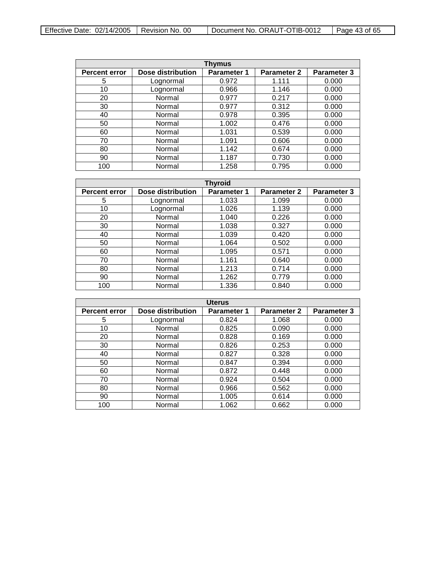| Effective Date: $02/14/2005$   Revision No. 00 |  | Document No. ORAUT-OTIB-0012 | Page 43 of 65 |
|------------------------------------------------|--|------------------------------|---------------|
|------------------------------------------------|--|------------------------------|---------------|

| <b>Thymus</b>        |                   |                    |                    |                    |  |
|----------------------|-------------------|--------------------|--------------------|--------------------|--|
| <b>Percent error</b> | Dose distribution | <b>Parameter 1</b> | <b>Parameter 2</b> | <b>Parameter 3</b> |  |
| 5                    | Lognormal         | 0.972              | 1.111              | 0.000              |  |
| 10                   | Lognormal         | 0.966              | 1.146              | 0.000              |  |
| 20                   | Normal            | 0.977              | 0.217              | 0.000              |  |
| 30                   | Normal            | 0.977              | 0.312              | 0.000              |  |
| 40                   | Normal            | 0.978              | 0.395              | 0.000              |  |
| 50                   | Normal            | 1.002              | 0.476              | 0.000              |  |
| 60                   | Normal            | 1.031              | 0.539              | 0.000              |  |
| 70                   | Normal            | 1.091              | 0.606              | 0.000              |  |
| 80                   | Normal            | 1.142              | 0.674              | 0.000              |  |
| 90                   | Normal            | 1.187              | 0.730              | 0.000              |  |
| 100                  | Normal            | 1.258              | 0.795              | 0.000              |  |

| <b>Thyroid</b>       |                   |                    |                    |                    |
|----------------------|-------------------|--------------------|--------------------|--------------------|
| <b>Percent error</b> | Dose distribution | <b>Parameter 1</b> | <b>Parameter 2</b> | <b>Parameter 3</b> |
| 5                    | Lognormal         | 1.033              | 1.099              | 0.000              |
| 10                   | Lognormal         | 1.026              | 1.139              | 0.000              |
| 20                   | Normal            | 1.040              | 0.226              | 0.000              |
| 30                   | Normal            | 1.038              | 0.327              | 0.000              |
| 40                   | Normal            | 1.039              | 0.420              | 0.000              |
| 50                   | Normal            | 1.064              | 0.502              | 0.000              |
| 60                   | Normal            | 1.095              | 0.571              | 0.000              |
| 70                   | Normal            | 1.161              | 0.640              | 0.000              |
| 80                   | Normal            | 1.213              | 0.714              | 0.000              |
| 90                   | Normal            | 1.262              | 0.779              | 0.000              |
| 100                  | Normal            | 1.336              | 0.840              | 0.000              |

| <b>Uterus</b>        |                   |                    |                    |                    |
|----------------------|-------------------|--------------------|--------------------|--------------------|
| <b>Percent error</b> | Dose distribution | <b>Parameter 1</b> | <b>Parameter 2</b> | <b>Parameter 3</b> |
| 5                    | Lognormal         | 0.824              | 1.068              | 0.000              |
| 10                   | Normal            | 0.825              | 0.090              | 0.000              |
| 20                   | Normal            | 0.828              | 0.169              | 0.000              |
| 30                   | Normal            | 0.826              | 0.253              | 0.000              |
| 40                   | Normal            | 0.827              | 0.328              | 0.000              |
| 50                   | Normal            | 0.847              | 0.394              | 0.000              |
| 60                   | Normal            | 0.872              | 0.448              | 0.000              |
| 70                   | Normal            | 0.924              | 0.504              | 0.000              |
| 80                   | Normal            | 0.966              | 0.562              | 0.000              |
| 90                   | Normal            | 1.005              | 0.614              | 0.000              |
| 100                  | Normal            | 1.062              | 0.662              | 0.000              |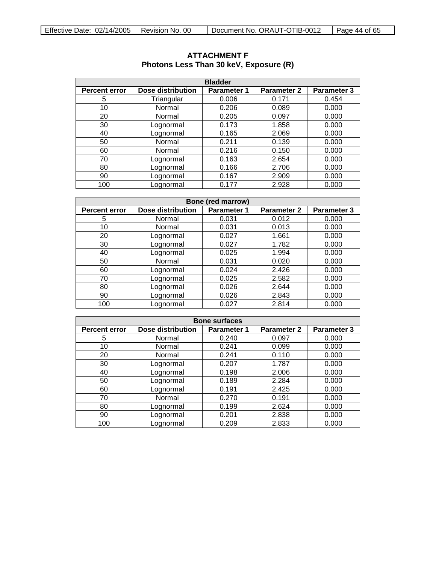| <b>Bladder</b>       |                          |                    |                    |                    |  |
|----------------------|--------------------------|--------------------|--------------------|--------------------|--|
| <b>Percent error</b> | <b>Dose distribution</b> | <b>Parameter 1</b> | <b>Parameter 2</b> | <b>Parameter 3</b> |  |
| 5                    | Triangular               | 0.006              | 0.171              | 0.454              |  |
| 10                   | Normal                   | 0.206              | 0.089              | 0.000              |  |
| 20                   | Normal                   | 0.205              | 0.097              | 0.000              |  |
| 30                   | Lognormal                | 0.173              | 1.858              | 0.000              |  |
| 40                   | Lognormal                | 0.165              | 2.069              | 0.000              |  |
| 50                   | Normal                   | 0.211              | 0.139              | 0.000              |  |
| 60                   | Normal                   | 0.216              | 0.150              | 0.000              |  |
| 70                   | Lognormal                | 0.163              | 2.654              | 0.000              |  |
| 80                   | Lognormal                | 0.166              | 2.706              | 0.000              |  |
| 90                   | Lognormal                | 0.167              | 2.909              | 0.000              |  |
| 100                  | Lognormal                | 0.177              | 2.928              | 0.000              |  |

## <span id="page-43-0"></span>**ATTACHMENT F Photons Less Than 30 keV, Exposure (R)**

| <b>Bone (red marrow)</b>                                                                      |           |       |       |       |  |  |
|-----------------------------------------------------------------------------------------------|-----------|-------|-------|-------|--|--|
| Dose distribution<br>Parameter 3<br>Parameter 1<br><b>Parameter 2</b><br><b>Percent error</b> |           |       |       |       |  |  |
| 5                                                                                             | Normal    | 0.031 | 0.012 | 0.000 |  |  |
| 10                                                                                            | Normal    | 0.031 | 0.013 | 0.000 |  |  |
| 20                                                                                            | Lognormal | 0.027 | 1.661 | 0.000 |  |  |
| 30                                                                                            | Lognormal | 0.027 | 1.782 | 0.000 |  |  |
| 40                                                                                            | Lognormal | 0.025 | 1.994 | 0.000 |  |  |
| 50                                                                                            | Normal    | 0.031 | 0.020 | 0.000 |  |  |
| 60                                                                                            | Lognormal | 0.024 | 2.426 | 0.000 |  |  |
| 70                                                                                            | Lognormal | 0.025 | 2.582 | 0.000 |  |  |
| 80                                                                                            | Lognormal | 0.026 | 2.644 | 0.000 |  |  |
| 90                                                                                            | Lognormal | 0.026 | 2.843 | 0.000 |  |  |
| 100                                                                                           | Lognormal | 0.027 | 2.814 | 0.000 |  |  |

| <b>Bone surfaces</b> |                          |                    |                    |                    |  |
|----------------------|--------------------------|--------------------|--------------------|--------------------|--|
| <b>Percent error</b> | <b>Dose distribution</b> | <b>Parameter 1</b> | <b>Parameter 2</b> | <b>Parameter 3</b> |  |
| 5                    | Normal                   | 0.240              | 0.097              | 0.000              |  |
| 10                   | Normal                   | 0.241              | 0.099              | 0.000              |  |
| 20                   | Normal                   | 0.241              | 0.110              | 0.000              |  |
| 30                   | Lognormal                | 0.207              | 1.787              | 0.000              |  |
| 40                   | Lognormal                | 0.198              | 2.006              | 0.000              |  |
| 50                   | Lognormal                | 0.189              | 2.284              | 0.000              |  |
| 60                   | Lognormal                | 0.191              | 2.425              | 0.000              |  |
| 70                   | Normal                   | 0.270              | 0.191              | 0.000              |  |
| 80                   | Lognormal                | 0.199              | 2.624              | 0.000              |  |
| 90                   | Lognormal                | 0.201              | 2.838              | 0.000              |  |
| 100                  | Lognormal                | 0.209              | 2.833              | 0.000              |  |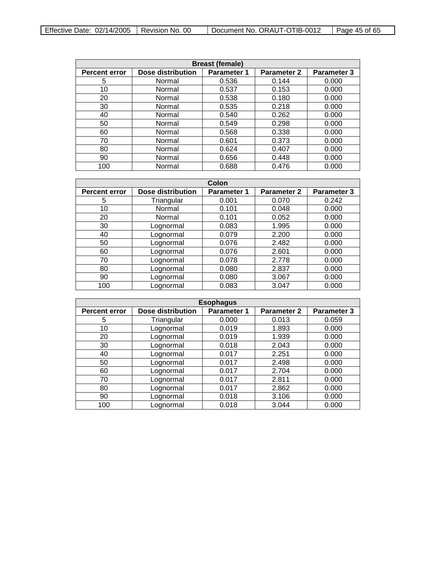| <b>Breast (female)</b>                                                                                      |        |       |       |       |  |
|-------------------------------------------------------------------------------------------------------------|--------|-------|-------|-------|--|
| Dose distribution<br><b>Parameter 3</b><br><b>Parameter 2</b><br><b>Parameter 1</b><br><b>Percent error</b> |        |       |       |       |  |
| 5                                                                                                           | Normal | 0.536 | 0.144 | 0.000 |  |
| 10                                                                                                          | Normal | 0.537 | 0.153 | 0.000 |  |
| 20                                                                                                          | Normal | 0.538 | 0.180 | 0.000 |  |
| 30                                                                                                          | Normal | 0.535 | 0.218 | 0.000 |  |
| 40                                                                                                          | Normal | 0.540 | 0.262 | 0.000 |  |
| 50                                                                                                          | Normal | 0.549 | 0.298 | 0.000 |  |
| 60                                                                                                          | Normal | 0.568 | 0.338 | 0.000 |  |
| 70                                                                                                          | Normal | 0.601 | 0.373 | 0.000 |  |
| 80                                                                                                          | Normal | 0.624 | 0.407 | 0.000 |  |
| 90                                                                                                          | Normal | 0.656 | 0.448 | 0.000 |  |
| 100                                                                                                         | Normal | 0.688 | 0.476 | 0.000 |  |

| Colon                |                          |                    |                    |                    |
|----------------------|--------------------------|--------------------|--------------------|--------------------|
| <b>Percent error</b> | <b>Dose distribution</b> | <b>Parameter 1</b> | <b>Parameter 2</b> | <b>Parameter 3</b> |
| 5                    | Triangular               | 0.001              | 0.070              | 0.242              |
| 10                   | Normal                   | 0.101              | 0.048              | 0.000              |
| 20                   | Normal                   | 0.101              | 0.052              | 0.000              |
| 30                   | Lognormal                | 0.083              | 1.995              | 0.000              |
| 40                   | Lognormal                | 0.079              | 2.200              | 0.000              |
| 50                   | Lognormal                | 0.076              | 2.482              | 0.000              |
| 60                   | Lognormal                | 0.076              | 2.601              | 0.000              |
| 70                   | Lognormal                | 0.078              | 2.778              | 0.000              |
| 80                   | Lognormal                | 0.080              | 2.837              | 0.000              |
| 90                   | Lognormal                | 0.080              | 3.067              | 0.000              |
| 100                  | Lognormal                | 0.083              | 3.047              | 0.000              |

| <b>Esophagus</b>     |                   |                    |                    |                    |
|----------------------|-------------------|--------------------|--------------------|--------------------|
| <b>Percent error</b> | Dose distribution | <b>Parameter 1</b> | <b>Parameter 2</b> | <b>Parameter 3</b> |
| 5                    | Triangular        | 0.000              | 0.013              | 0.059              |
| 10                   | Lognormal         | 0.019              | 1.893              | 0.000              |
| 20                   | Lognormal         | 0.019              | 1.939              | 0.000              |
| 30                   | Lognormal         | 0.018              | 2.043              | 0.000              |
| 40                   | Lognormal         | 0.017              | 2.251              | 0.000              |
| 50                   | Lognormal         | 0.017              | 2.498              | 0.000              |
| 60                   | Lognormal         | 0.017              | 2.704              | 0.000              |
| 70                   | Lognormal         | 0.017              | 2.811              | 0.000              |
| 80                   | Lognormal         | 0.017              | 2.862              | 0.000              |
| 90                   | Lognormal         | 0.018              | 3.106              | 0.000              |
| 100                  | Lognormal         | 0.018              | 3.044              | 0.000              |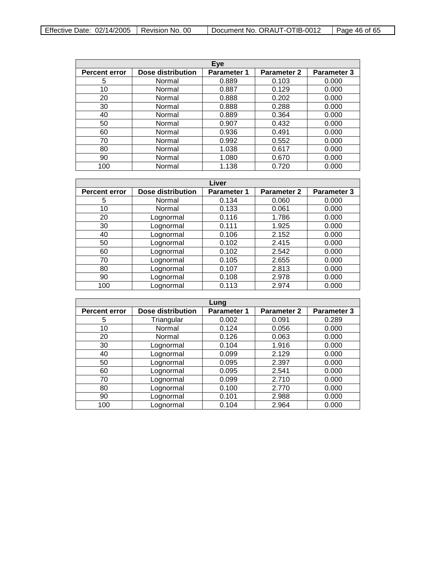| Effective Date: $02/14/2005$   Revision No. 00 |  | Document No. ORAUT-OTIB-0012 | Page 46 of 65 |
|------------------------------------------------|--|------------------------------|---------------|
|------------------------------------------------|--|------------------------------|---------------|

| Eye                  |                   |                    |                    |                    |
|----------------------|-------------------|--------------------|--------------------|--------------------|
| <b>Percent error</b> | Dose distribution | <b>Parameter 1</b> | <b>Parameter 2</b> | <b>Parameter 3</b> |
| 5                    | Normal            | 0.889              | 0.103              | 0.000              |
| 10                   | Normal            | 0.887              | 0.129              | 0.000              |
| 20                   | Normal            | 0.888              | 0.202              | 0.000              |
| 30                   | Normal            | 0.888              | 0.288              | 0.000              |
| 40                   | Normal            | 0.889              | 0.364              | 0.000              |
| 50                   | Normal            | 0.907              | 0.432              | 0.000              |
| 60                   | Normal            | 0.936              | 0.491              | 0.000              |
| 70                   | Normal            | 0.992              | 0.552              | 0.000              |
| 80                   | Normal            | 1.038              | 0.617              | 0.000              |
| 90                   | Normal            | 1.080              | 0.670              | 0.000              |
| 100                  | Normal            | 1.138              | 0.720              | 0.000              |

| Liver                |                   |             |                    |             |
|----------------------|-------------------|-------------|--------------------|-------------|
| <b>Percent error</b> | Dose distribution | Parameter 1 | <b>Parameter 2</b> | Parameter 3 |
| 5                    | Normal            | 0.134       | 0.060              | 0.000       |
| 10                   | Normal            | 0.133       | 0.061              | 0.000       |
| 20                   | Lognormal         | 0.116       | 1.786              | 0.000       |
| 30                   | Lognormal         | 0.111       | 1.925              | 0.000       |
| 40                   | Lognormal         | 0.106       | 2.152              | 0.000       |
| 50                   | Lognormal         | 0.102       | 2.415              | 0.000       |
| 60                   | Lognormal         | 0.102       | 2.542              | 0.000       |
| 70                   | Lognormal         | 0.105       | 2.655              | 0.000       |
| 80                   | Lognormal         | 0.107       | 2.813              | 0.000       |
| 90                   | Lognormal         | 0.108       | 2.978              | 0.000       |
| 100                  | Lognormal         | 0.113       | 2.974              | 0.000       |

| Lung                 |                          |                    |                    |                    |
|----------------------|--------------------------|--------------------|--------------------|--------------------|
| <b>Percent error</b> | <b>Dose distribution</b> | <b>Parameter 1</b> | <b>Parameter 2</b> | <b>Parameter 3</b> |
| 5                    | Triangular               | 0.002              | 0.091              | 0.289              |
| 10                   | Normal                   | 0.124              | 0.056              | 0.000              |
| 20                   | Normal                   | 0.126              | 0.063              | 0.000              |
| 30                   | Lognormal                | 0.104              | 1.916              | 0.000              |
| 40                   | Lognormal                | 0.099              | 2.129              | 0.000              |
| 50                   | Lognormal                | 0.095              | 2.397              | 0.000              |
| 60                   | Lognormal                | 0.095              | 2.541              | 0.000              |
| 70                   | Lognormal                | 0.099              | 2.710              | 0.000              |
| 80                   | Lognormal                | 0.100              | 2.770              | 0.000              |
| 90                   | Lognormal                | 0.101              | 2.988              | 0.000              |
| 100                  | Lognormal                | 0.104              | 2.964              | 0.000              |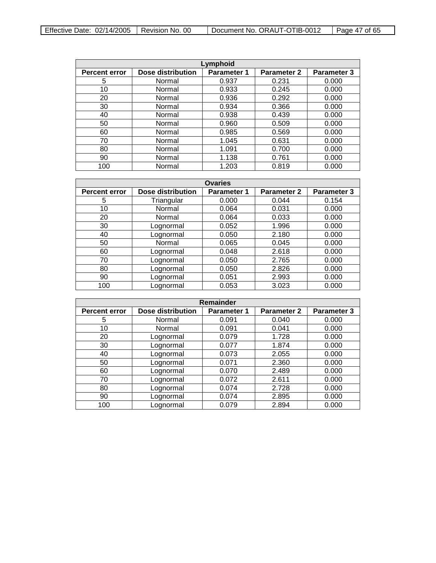| Effective Date: $02/14/2005$   Revision No. 00 |  | Document No. ORAUT-OTIB-0012 | l Page 47 of 65 |
|------------------------------------------------|--|------------------------------|-----------------|
|------------------------------------------------|--|------------------------------|-----------------|

| Lymphoid             |                          |                    |                    |                    |
|----------------------|--------------------------|--------------------|--------------------|--------------------|
| <b>Percent error</b> | <b>Dose distribution</b> | <b>Parameter 1</b> | <b>Parameter 2</b> | <b>Parameter 3</b> |
| 5                    | Normal                   | 0.937              | 0.231              | 0.000              |
| 10                   | Normal                   | 0.933              | 0.245              | 0.000              |
| 20                   | Normal                   | 0.936              | 0.292              | 0.000              |
| 30                   | Normal                   | 0.934              | 0.366              | 0.000              |
| 40                   | Normal                   | 0.938              | 0.439              | 0.000              |
| 50                   | Normal                   | 0.960              | 0.509              | 0.000              |
| 60                   | Normal                   | 0.985              | 0.569              | 0.000              |
| 70                   | Normal                   | 1.045              | 0.631              | 0.000              |
| 80                   | Normal                   | 1.091              | 0.700              | 0.000              |
| 90                   | Normal                   | 1.138              | 0.761              | 0.000              |
| 100                  | Normal                   | 1.203              | 0.819              | 0.000              |

| <b>Ovaries</b>       |                          |                    |                    |             |
|----------------------|--------------------------|--------------------|--------------------|-------------|
| <b>Percent error</b> | <b>Dose distribution</b> | <b>Parameter 1</b> | <b>Parameter 2</b> | Parameter 3 |
| 5                    | Triangular               | 0.000              | 0.044              | 0.154       |
| 10                   | Normal                   | 0.064              | 0.031              | 0.000       |
| 20                   | Normal                   | 0.064              | 0.033              | 0.000       |
| 30                   | Lognormal                | 0.052              | 1.996              | 0.000       |
| 40                   | Lognormal                | 0.050              | 2.180              | 0.000       |
| 50                   | Normal                   | 0.065              | 0.045              | 0.000       |
| 60                   | Lognormal                | 0.048              | 2.618              | 0.000       |
| 70                   | Lognormal                | 0.050              | 2.765              | 0.000       |
| 80                   | Lognormal                | 0.050              | 2.826              | 0.000       |
| 90                   | Lognormal                | 0.051              | 2.993              | 0.000       |
| 100                  | Lognormal                | 0.053              | 3.023              | 0.000       |

| <b>Remainder</b>     |                          |                    |                    |                    |  |
|----------------------|--------------------------|--------------------|--------------------|--------------------|--|
| <b>Percent error</b> | <b>Dose distribution</b> | <b>Parameter 1</b> | <b>Parameter 2</b> | <b>Parameter 3</b> |  |
| 5                    | Normal                   | 0.091              | 0.040              | 0.000              |  |
| 10                   | Normal                   | 0.091              | 0.041              | 0.000              |  |
| 20                   | Lognormal                | 0.079              | 1.728              | 0.000              |  |
| 30                   | Lognormal                | 0.077              | 1.874              | 0.000              |  |
| 40                   | Lognormal                | 0.073              | 2.055              | 0.000              |  |
| 50                   | Lognormal                | 0.071              | 2.360              | 0.000              |  |
| 60                   | Lognormal                | 0.070              | 2.489              | 0.000              |  |
| 70                   | Lognormal                | 0.072              | 2.611              | 0.000              |  |
| 80                   | Lognormal                | 0.074              | 2.728              | 0.000              |  |
| 90                   | Lognormal                | 0.074              | 2.895              | 0.000              |  |
| 100                  | Lognormal                | 0.079              | 2.894              | 0.000              |  |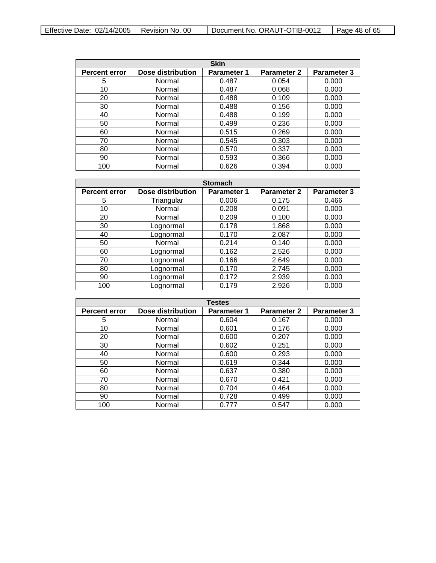| <b>Skin</b>          |                          |                    |                    |                    |
|----------------------|--------------------------|--------------------|--------------------|--------------------|
| <b>Percent error</b> | <b>Dose distribution</b> | <b>Parameter 1</b> | <b>Parameter 2</b> | <b>Parameter 3</b> |
| 5                    | Normal                   | 0.487              | 0.054              | 0.000              |
| 10                   | Normal                   | 0.487              | 0.068              | 0.000              |
| 20                   | Normal                   | 0.488              | 0.109              | 0.000              |
| 30                   | Normal                   | 0.488              | 0.156              | 0.000              |
| 40                   | Normal                   | 0.488              | 0.199              | 0.000              |
| 50                   | Normal                   | 0.499              | 0.236              | 0.000              |
| 60                   | Normal                   | 0.515              | 0.269              | 0.000              |
| 70                   | Normal                   | 0.545              | 0.303              | 0.000              |
| 80                   | Normal                   | 0.570              | 0.337              | 0.000              |
| 90                   | Normal                   | 0.593              | 0.366              | 0.000              |
| 100                  | Normal                   | 0.626              | 0.394              | 0.000              |

| <b>Stomach</b>       |                   |             |                    |                    |
|----------------------|-------------------|-------------|--------------------|--------------------|
| <b>Percent error</b> | Dose distribution | Parameter 1 | <b>Parameter 2</b> | <b>Parameter 3</b> |
| 5                    | Triangular        | 0.006       | 0.175              | 0.466              |
| 10                   | Normal            | 0.208       | 0.091              | 0.000              |
| 20                   | Normal            | 0.209       | 0.100              | 0.000              |
| 30                   | Lognormal         | 0.178       | 1.868              | 0.000              |
| 40                   | Lognormal         | 0.170       | 2.087              | 0.000              |
| 50                   | Normal            | 0.214       | 0.140              | 0.000              |
| 60                   | Lognormal         | 0.162       | 2.526              | 0.000              |
| 70                   | Lognormal         | 0.166       | 2.649              | 0.000              |
| 80                   | Lognormal         | 0.170       | 2.745              | 0.000              |
| 90                   | Lognormal         | 0.172       | 2.939              | 0.000              |
| 100                  | Lognormal         | 0.179       | 2.926              | 0.000              |

| <b>Testes</b>        |                          |                    |                    |             |
|----------------------|--------------------------|--------------------|--------------------|-------------|
| <b>Percent error</b> | <b>Dose distribution</b> | <b>Parameter 1</b> | <b>Parameter 2</b> | Parameter 3 |
| 5                    | Normal                   | 0.604              | 0.167              | 0.000       |
| 10                   | Normal                   | 0.601              | 0.176              | 0.000       |
| 20                   | Normal                   | 0.600              | 0.207              | 0.000       |
| 30                   | Normal                   | 0.602              | 0.251              | 0.000       |
| 40                   | Normal                   | 0.600              | 0.293              | 0.000       |
| 50                   | Normal                   | 0.619              | 0.344              | 0.000       |
| 60                   | Normal                   | 0.637              | 0.380              | 0.000       |
| 70                   | Normal                   | 0.670              | 0.421              | 0.000       |
| 80                   | Normal                   | 0.704              | 0.464              | 0.000       |
| 90                   | Normal                   | 0.728              | 0.499              | 0.000       |
| 100                  | Normal                   | 0.777              | 0.547              | 0.000       |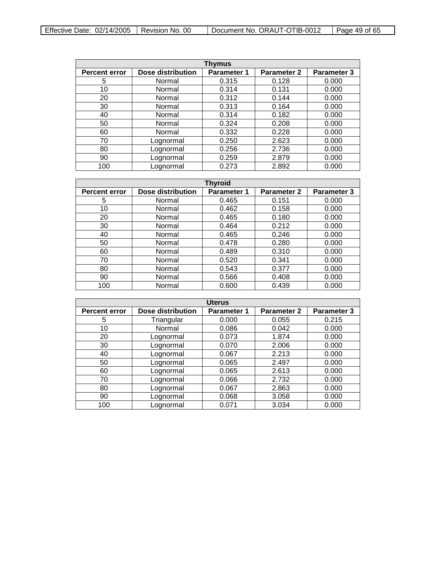| Effective Date: $02/14/2005$   Revision No. 00 |  | Document No. ORAUT-OTIB-0012 | $\vert$ Page 49 of 65 |
|------------------------------------------------|--|------------------------------|-----------------------|
|------------------------------------------------|--|------------------------------|-----------------------|

| Thymus               |                          |                    |                    |                    |
|----------------------|--------------------------|--------------------|--------------------|--------------------|
| <b>Percent error</b> | <b>Dose distribution</b> | <b>Parameter 1</b> | <b>Parameter 2</b> | <b>Parameter 3</b> |
| 5                    | Normal                   | 0.315              | 0.128              | 0.000              |
| 10                   | Normal                   | 0.314              | 0.131              | 0.000              |
| 20                   | Normal                   | 0.312              | 0.144              | 0.000              |
| 30                   | Normal                   | 0.313              | 0.164              | 0.000              |
| 40                   | Normal                   | 0.314              | 0.182              | 0.000              |
| 50                   | Normal                   | 0.324              | 0.208              | 0.000              |
| 60                   | Normal                   | 0.332              | 0.228              | 0.000              |
| 70                   | Lognormal                | 0.250              | 2.623              | 0.000              |
| 80                   | Lognormal                | 0.256              | 2.736              | 0.000              |
| 90                   | Lognormal                | 0.259              | 2.879              | 0.000              |
| 100                  | Lognormal                | 0.273              | 2.892              | 0.000              |

| <b>Thyroid</b>       |                   |                    |                    |             |
|----------------------|-------------------|--------------------|--------------------|-------------|
| <b>Percent error</b> | Dose distribution | <b>Parameter 1</b> | <b>Parameter 2</b> | Parameter 3 |
| 5                    | Normal            | 0.465              | 0.151              | 0.000       |
| 10                   | Normal            | 0.462              | 0.158              | 0.000       |
| 20                   | Normal            | 0.465              | 0.180              | 0.000       |
| 30                   | Normal            | 0.464              | 0.212              | 0.000       |
| 40                   | Normal            | 0.465              | 0.246              | 0.000       |
| 50                   | Normal            | 0.478              | 0.280              | 0.000       |
| 60                   | Normal            | 0.489              | 0.310              | 0.000       |
| 70                   | Normal            | 0.520              | 0.341              | 0.000       |
| 80                   | Normal            | 0.543              | 0.377              | 0.000       |
| 90                   | Normal            | 0.566              | 0.408              | 0.000       |
| 100                  | Normal            | 0.600              | 0.439              | 0.000       |

| <b>Uterus</b>        |                   |                    |                    |                    |
|----------------------|-------------------|--------------------|--------------------|--------------------|
| <b>Percent error</b> | Dose distribution | <b>Parameter 1</b> | <b>Parameter 2</b> | <b>Parameter 3</b> |
| 5                    | Triangular        | 0.000              | 0.055              | 0.215              |
| 10                   | Normal            | 0.086              | 0.042              | 0.000              |
| 20                   | Lognormal         | 0.073              | 1.874              | 0.000              |
| 30                   | Lognormal         | 0.070              | 2.006              | 0.000              |
| 40                   | Lognormal         | 0.067              | 2.213              | 0.000              |
| 50                   | Lognormal         | 0.065              | 2.497              | 0.000              |
| 60                   | Lognormal         | 0.065              | 2.613              | 0.000              |
| 70                   | Lognormal         | 0.066              | 2.732              | 0.000              |
| 80                   | Lognormal         | 0.067              | 2.863              | 0.000              |
| 90                   | Lognormal         | 0.068              | 3.058              | 0.000              |
| 100                  | Lognormal         | 0.071              | 3.034              | 0.000              |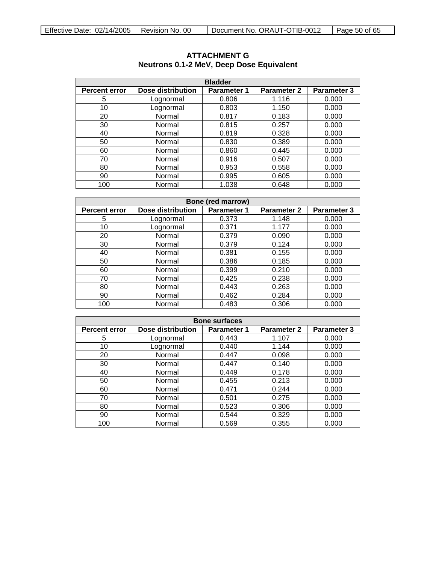| <b>Bladder</b>       |                   |                    |                    |                    |
|----------------------|-------------------|--------------------|--------------------|--------------------|
| <b>Percent error</b> | Dose distribution | <b>Parameter 1</b> | <b>Parameter 2</b> | <b>Parameter 3</b> |
| 5                    | Lognormal         | 0.806              | 1.116              | 0.000              |
| 10                   | Lognormal         | 0.803              | 1.150              | 0.000              |
| 20                   | Normal            | 0.817              | 0.183              | 0.000              |
| 30                   | Normal            | 0.815              | 0.257              | 0.000              |
| 40                   | Normal            | 0.819              | 0.328              | 0.000              |
| 50                   | Normal            | 0.830              | 0.389              | 0.000              |
| 60                   | Normal            | 0.860              | 0.445              | 0.000              |
| 70                   | Normal            | 0.916              | 0.507              | 0.000              |
| 80                   | Normal            | 0.953              | 0.558              | 0.000              |
| 90                   | Normal            | 0.995              | 0.605              | 0.000              |
| 100                  | Normal            | 1.038              | 0.648              | 0.000              |

## <span id="page-49-0"></span>**ATTACHMENT G Neutrons 0.1-2 MeV, Deep Dose Equivalent**

| Bone (red marrow)    |                   |                    |                    |             |
|----------------------|-------------------|--------------------|--------------------|-------------|
| <b>Percent error</b> | Dose distribution | <b>Parameter 1</b> | <b>Parameter 2</b> | Parameter 3 |
| 5                    | Lognormal         | 0.373              | 1.148              | 0.000       |
| 10                   | Lognormal         | 0.371              | 1.177              | 0.000       |
| 20                   | Normal            | 0.379              | 0.090              | 0.000       |
| 30                   | Normal            | 0.379              | 0.124              | 0.000       |
| 40                   | Normal            | 0.381              | 0.155              | 0.000       |
| 50                   | Normal            | 0.386              | 0.185              | 0.000       |
| 60                   | Normal            | 0.399              | 0.210              | 0.000       |
| 70                   | Normal            | 0.425              | 0.238              | 0.000       |
| 80                   | Normal            | 0.443              | 0.263              | 0.000       |
| 90                   | Normal            | 0.462              | 0.284              | 0.000       |
| 100                  | Normal            | 0.483              | 0.306              | 0.000       |

| <b>Bone surfaces</b> |                   |                    |                    |                    |
|----------------------|-------------------|--------------------|--------------------|--------------------|
| <b>Percent error</b> | Dose distribution | <b>Parameter 1</b> | <b>Parameter 2</b> | <b>Parameter 3</b> |
| 5                    | Lognormal         | 0.443              | 1.107              | 0.000              |
| 10                   | Lognormal         | 0.440              | 1.144              | 0.000              |
| 20                   | Normal            | 0.447              | 0.098              | 0.000              |
| 30                   | Normal            | 0.447              | 0.140              | 0.000              |
| 40                   | Normal            | 0.449              | 0.178              | 0.000              |
| 50                   | Normal            | 0.455              | 0.213              | 0.000              |
| 60                   | Normal            | 0.471              | 0.244              | 0.000              |
| 70                   | Normal            | 0.501              | 0.275              | 0.000              |
| 80                   | Normal            | 0.523              | 0.306              | 0.000              |
| 90                   | Normal            | 0.544              | 0.329              | 0.000              |
| 100                  | Normal            | 0.569              | 0.355              | 0.000              |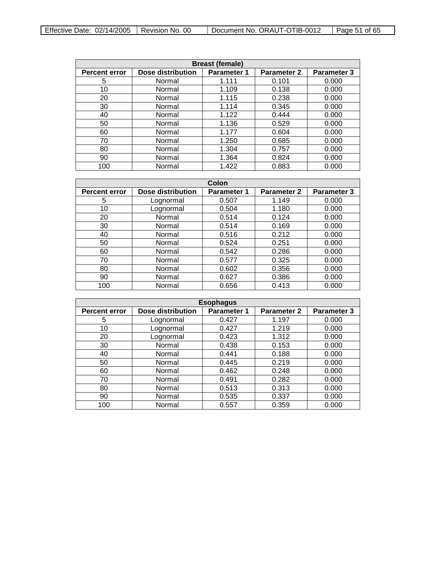| <b>Breast (female)</b> |                   |                    |                    |                    |
|------------------------|-------------------|--------------------|--------------------|--------------------|
| <b>Percent error</b>   | Dose distribution | <b>Parameter 1</b> | <b>Parameter 2</b> | <b>Parameter 3</b> |
| 5                      | Normal            | 1.111              | 0.101              | 0.000              |
| 10                     | Normal            | 1.109              | 0.138              | 0.000              |
| 20                     | Normal            | 1.115              | 0.238              | 0.000              |
| 30                     | Normal            | 1.114              | 0.345              | 0.000              |
| 40                     | Normal            | 1.122              | 0.444              | 0.000              |
| 50                     | Normal            | 1.136              | 0.529              | 0.000              |
| 60                     | Normal            | 1.177              | 0.604              | 0.000              |
| 70                     | Normal            | 1.250              | 0.685              | 0.000              |
| 80                     | Normal            | 1.304              | 0.757              | 0.000              |
| 90                     | Normal            | 1.364              | 0.824              | 0.000              |
| 100                    | Normal            | 1.422              | 0.883              | 0.000              |

| Colon                |                   |                    |                    |             |
|----------------------|-------------------|--------------------|--------------------|-------------|
| <b>Percent error</b> | Dose distribution | <b>Parameter 1</b> | <b>Parameter 2</b> | Parameter 3 |
| 5                    | Lognormal         | 0.507              | 1.149              | 0.000       |
| 10                   | Lognormal         | 0.504              | 1.180              | 0.000       |
| 20                   | Normal            | 0.514              | 0.124              | 0.000       |
| 30                   | Normal            | 0.514              | 0.169              | 0.000       |
| 40                   | Normal            | 0.516              | 0.212              | 0.000       |
| 50                   | Normal            | 0.524              | 0.251              | 0.000       |
| 60                   | Normal            | 0.542              | 0.286              | 0.000       |
| 70                   | Normal            | 0.577              | 0.325              | 0.000       |
| 80                   | Normal            | 0.602              | 0.356              | 0.000       |
| 90                   | Normal            | 0.627              | 0.386              | 0.000       |
| 100                  | Normal            | 0.656              | 0.413              | 0.000       |

| <b>Esophagus</b>     |                   |                    |             |                    |
|----------------------|-------------------|--------------------|-------------|--------------------|
| <b>Percent error</b> | Dose distribution | <b>Parameter 1</b> | Parameter 2 | <b>Parameter 3</b> |
| 5                    | Lognormal         | 0.427              | 1.197       | 0.000              |
| 10                   | Lognormal         | 0.427              | 1.219       | 0.000              |
| 20                   | Lognormal         | 0.423              | 1.312       | 0.000              |
| 30                   | Normal            | 0.438              | 0.153       | 0.000              |
| 40                   | Normal            | 0.441              | 0.188       | 0.000              |
| 50                   | Normal            | 0.445              | 0.219       | 0.000              |
| 60                   | Normal            | 0.462              | 0.248       | 0.000              |
| 70                   | Normal            | 0.491              | 0.282       | 0.000              |
| 80                   | Normal            | 0.513              | 0.313       | 0.000              |
| 90                   | Normal            | 0.535              | 0.337       | 0.000              |
| 100                  | Normal            | 0.557              | 0.359       | 0.000              |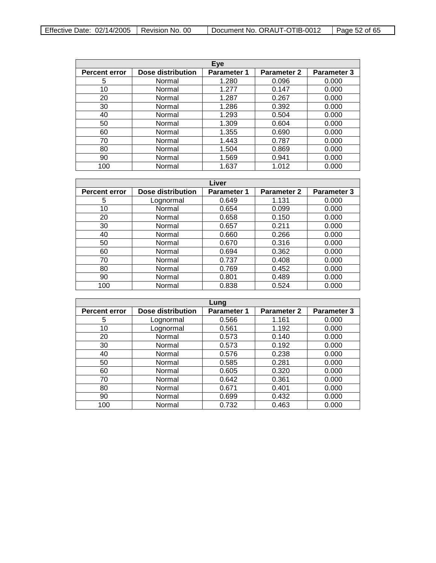| Effective Date: $02/14/2005$   Revision No. 00 |  | Document No. ORAUT-OTIB-0012 | Page 52 of 65 |
|------------------------------------------------|--|------------------------------|---------------|
|------------------------------------------------|--|------------------------------|---------------|

| Eye                  |                   |                    |                    |                    |
|----------------------|-------------------|--------------------|--------------------|--------------------|
| <b>Percent error</b> | Dose distribution | <b>Parameter 1</b> | <b>Parameter 2</b> | <b>Parameter 3</b> |
| 5                    | Normal            | 1.280              | 0.096              | 0.000              |
| 10                   | Normal            | 1.277              | 0.147              | 0.000              |
| 20                   | Normal            | 1.287              | 0.267              | 0.000              |
| 30                   | Normal            | 1.286              | 0.392              | 0.000              |
| 40                   | Normal            | 1.293              | 0.504              | 0.000              |
| 50                   | Normal            | 1.309              | 0.604              | 0.000              |
| 60                   | Normal            | 1.355              | 0.690              | 0.000              |
| 70                   | Normal            | 1.443              | 0.787              | 0.000              |
| 80                   | Normal            | 1.504              | 0.869              | 0.000              |
| 90                   | Normal            | 1.569              | 0.941              | 0.000              |
| 100                  | Normal            | 1.637              | 1.012              | 0.000              |

| Liver                |                   |                    |                    |                    |
|----------------------|-------------------|--------------------|--------------------|--------------------|
| <b>Percent error</b> | Dose distribution | <b>Parameter 1</b> | <b>Parameter 2</b> | <b>Parameter 3</b> |
| 5                    | Lognormal         | 0.649              | 1.131              | 0.000              |
| 10                   | Normal            | 0.654              | 0.099              | 0.000              |
| 20                   | Normal            | 0.658              | 0.150              | 0.000              |
| 30                   | Normal            | 0.657              | 0.211              | 0.000              |
| 40                   | Normal            | 0.660              | 0.266              | 0.000              |
| 50                   | Normal            | 0.670              | 0.316              | 0.000              |
| 60                   | Normal            | 0.694              | 0.362              | 0.000              |
| 70                   | Normal            | 0.737              | 0.408              | 0.000              |
| 80                   | Normal            | 0.769              | 0.452              | 0.000              |
| 90                   | Normal            | 0.801              | 0.489              | 0.000              |
| 100                  | Normal            | 0.838              | 0.524              | 0.000              |

| Lung                 |                   |                    |                    |                    |
|----------------------|-------------------|--------------------|--------------------|--------------------|
| <b>Percent error</b> | Dose distribution | <b>Parameter 1</b> | <b>Parameter 2</b> | <b>Parameter 3</b> |
| 5                    | Lognormal         | 0.566              | 1.161              | 0.000              |
| 10                   | Lognormal         | 0.561              | 1.192              | 0.000              |
| 20                   | Normal            | 0.573              | 0.140              | 0.000              |
| 30                   | Normal            | 0.573              | 0.192              | 0.000              |
| 40                   | Normal            | 0.576              | 0.238              | 0.000              |
| 50                   | Normal            | 0.585              | 0.281              | 0.000              |
| 60                   | Normal            | 0.605              | 0.320              | 0.000              |
| 70                   | Normal            | 0.642              | 0.361              | 0.000              |
| 80                   | Normal            | 0.671              | 0.401              | 0.000              |
| 90                   | Normal            | 0.699              | 0.432              | 0.000              |
| 100                  | Normal            | 0.732              | 0.463              | 0.000              |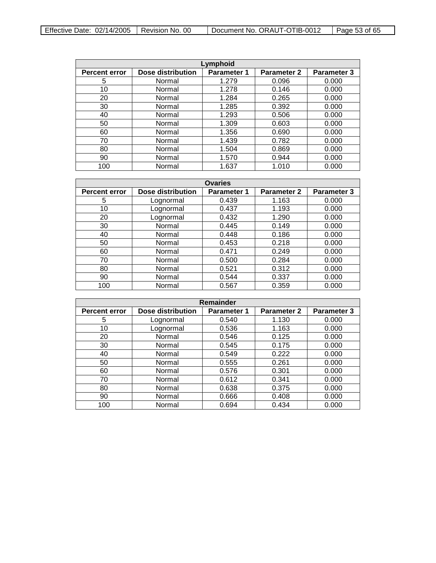| Effective Date: $02/14/2005$   Revision No. 00 |  | Document No. ORAUT-OTIB-0012 | Page 53 of 65 |
|------------------------------------------------|--|------------------------------|---------------|
|------------------------------------------------|--|------------------------------|---------------|

| Lymphoid             |                          |                    |                    |                    |
|----------------------|--------------------------|--------------------|--------------------|--------------------|
| <b>Percent error</b> | <b>Dose distribution</b> | <b>Parameter 1</b> | <b>Parameter 2</b> | <b>Parameter 3</b> |
| 5                    | Normal                   | 1.279              | 0.096              | 0.000              |
| 10                   | Normal                   | 1.278              | 0.146              | 0.000              |
| 20                   | Normal                   | 1.284              | 0.265              | 0.000              |
| 30                   | Normal                   | 1.285              | 0.392              | 0.000              |
| 40                   | Normal                   | 1.293              | 0.506              | 0.000              |
| 50                   | Normal                   | 1.309              | 0.603              | 0.000              |
| 60                   | Normal                   | 1.356              | 0.690              | 0.000              |
| 70                   | Normal                   | 1.439              | 0.782              | 0.000              |
| 80                   | Normal                   | 1.504              | 0.869              | 0.000              |
| 90                   | Normal                   | 1.570              | 0.944              | 0.000              |
| 100                  | Normal                   | 1.637              | 1.010              | 0.000              |

| <b>Ovaries</b>       |                   |                    |                    |                    |
|----------------------|-------------------|--------------------|--------------------|--------------------|
| <b>Percent error</b> | Dose distribution | <b>Parameter 1</b> | <b>Parameter 2</b> | <b>Parameter 3</b> |
| 5                    | Lognormal         | 0.439              | 1.163              | 0.000              |
| 10                   | Lognormal         | 0.437              | 1.193              | 0.000              |
| 20                   | Lognormal         | 0.432              | 1.290              | 0.000              |
| 30                   | Normal            | 0.445              | 0.149              | 0.000              |
| 40                   | Normal            | 0.448              | 0.186              | 0.000              |
| 50                   | Normal            | 0.453              | 0.218              | 0.000              |
| 60                   | Normal            | 0.471              | 0.249              | 0.000              |
| 70                   | Normal            | 0.500              | 0.284              | 0.000              |
| 80                   | Normal            | 0.521              | 0.312              | 0.000              |
| 90                   | Normal            | 0.544              | 0.337              | 0.000              |
| 100                  | Normal            | 0.567              | 0.359              | 0.000              |

| Remainder            |                   |                    |                    |                    |
|----------------------|-------------------|--------------------|--------------------|--------------------|
| <b>Percent error</b> | Dose distribution | <b>Parameter 1</b> | <b>Parameter 2</b> | <b>Parameter 3</b> |
| 5                    | Lognormal         | 0.540              | 1.130              | 0.000              |
| 10                   | Lognormal         | 0.536              | 1.163              | 0.000              |
| 20                   | Normal            | 0.546              | 0.125              | 0.000              |
| 30                   | Normal            | 0.545              | 0.175              | 0.000              |
| 40                   | Normal            | 0.549              | 0.222              | 0.000              |
| 50                   | Normal            | 0.555              | 0.261              | 0.000              |
| 60                   | Normal            | 0.576              | 0.301              | 0.000              |
| 70                   | Normal            | 0.612              | 0.341              | 0.000              |
| 80                   | Normal            | 0.638              | 0.375              | 0.000              |
| 90                   | Normal            | 0.666              | 0.408              | 0.000              |
| 100                  | Normal            | 0.694              | 0.434              | 0.000              |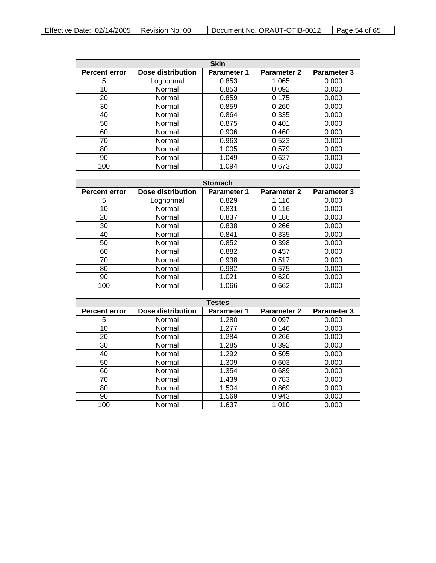| Effective Date: $02/14/2005$   Revision No. 00 |  | Document No. ORAUT-OTIB-0012 | Page 54 of 65 |
|------------------------------------------------|--|------------------------------|---------------|
|------------------------------------------------|--|------------------------------|---------------|

| <b>Skin</b>          |                   |                    |                    |                    |
|----------------------|-------------------|--------------------|--------------------|--------------------|
| <b>Percent error</b> | Dose distribution | <b>Parameter 1</b> | <b>Parameter 2</b> | <b>Parameter 3</b> |
| 5                    | Lognormal         | 0.853              | 1.065              | 0.000              |
| 10                   | Normal            | 0.853              | 0.092              | 0.000              |
| 20                   | Normal            | 0.859              | 0.175              | 0.000              |
| 30                   | Normal            | 0.859              | 0.260              | 0.000              |
| 40                   | Normal            | 0.864              | 0.335              | 0.000              |
| 50                   | Normal            | 0.875              | 0.401              | 0.000              |
| 60                   | Normal            | 0.906              | 0.460              | 0.000              |
| 70                   | Normal            | 0.963              | 0.523              | 0.000              |
| 80                   | Normal            | 1.005              | 0.579              | 0.000              |
| 90                   | Normal            | 1.049              | 0.627              | 0.000              |
| 100                  | Normal            | 1.094              | 0.673              | 0.000              |

| <b>Stomach</b>       |                   |                    |                    |                    |
|----------------------|-------------------|--------------------|--------------------|--------------------|
| <b>Percent error</b> | Dose distribution | <b>Parameter 1</b> | <b>Parameter 2</b> | <b>Parameter 3</b> |
| 5                    | Lognormal         | 0.829              | 1.116              | 0.000              |
| 10                   | Normal            | 0.831              | 0.116              | 0.000              |
| 20                   | Normal            | 0.837              | 0.186              | 0.000              |
| 30                   | Normal            | 0.838              | 0.266              | 0.000              |
| 40                   | Normal            | 0.841              | 0.335              | 0.000              |
| 50                   | Normal            | 0.852              | 0.398              | 0.000              |
| 60                   | Normal            | 0.882              | 0.457              | 0.000              |
| 70                   | Normal            | 0.938              | 0.517              | 0.000              |
| 80                   | Normal            | 0.982              | 0.575              | 0.000              |
| 90                   | Normal            | 1.021              | 0.620              | 0.000              |
| 100                  | Normal            | 1.066              | 0.662              | 0.000              |

| <b>Testes</b>        |                   |                    |                    |                    |
|----------------------|-------------------|--------------------|--------------------|--------------------|
| <b>Percent error</b> | Dose distribution | <b>Parameter 1</b> | <b>Parameter 2</b> | <b>Parameter 3</b> |
| 5                    | Normal            | 1.280              | 0.097              | 0.000              |
| 10                   | Normal            | 1.277              | 0.146              | 0.000              |
| 20                   | Normal            | 1.284              | 0.266              | 0.000              |
| 30                   | Normal            | 1.285              | 0.392              | 0.000              |
| 40                   | Normal            | 1.292              | 0.505              | 0.000              |
| 50                   | Normal            | 1.309              | 0.603              | 0.000              |
| 60                   | Normal            | 1.354              | 0.689              | 0.000              |
| 70                   | Normal            | 1.439              | 0.783              | 0.000              |
| 80                   | Normal            | 1.504              | 0.869              | 0.000              |
| 90                   | Normal            | 1.569              | 0.943              | 0.000              |
| 100                  | Normal            | 1.637              | 1.010              | 0.000              |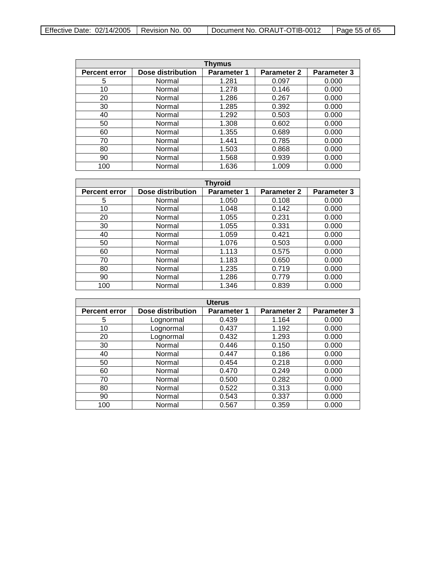| Effective Date: $02/14/2005$   Revision No. 00 |  | Document No. ORAUT-OTIB-0012 | Page 55 of 65 |
|------------------------------------------------|--|------------------------------|---------------|
|------------------------------------------------|--|------------------------------|---------------|

| Thymus               |                   |                    |                    |                    |  |
|----------------------|-------------------|--------------------|--------------------|--------------------|--|
| <b>Percent error</b> | Dose distribution | <b>Parameter 1</b> | <b>Parameter 2</b> | <b>Parameter 3</b> |  |
| 5                    | Normal            | 1.281              | 0.097              | 0.000              |  |
| 10                   | Normal            | 1.278              | 0.146              | 0.000              |  |
| 20                   | Normal            | 1.286              | 0.267              | 0.000              |  |
| 30                   | Normal            | 1.285              | 0.392              | 0.000              |  |
| 40                   | Normal            | 1.292              | 0.503              | 0.000              |  |
| 50                   | Normal            | 1.308              | 0.602              | 0.000              |  |
| 60                   | Normal            | 1.355              | 0.689              | 0.000              |  |
| 70                   | Normal            | 1.441              | 0.785              | 0.000              |  |
| 80                   | Normal            | 1.503              | 0.868              | 0.000              |  |
| 90                   | Normal            | 1.568              | 0.939              | 0.000              |  |
| 100                  | Normal            | 1.636              | 1.009              | 0.000              |  |

| <b>Thyroid</b>       |                          |                    |                    |                    |
|----------------------|--------------------------|--------------------|--------------------|--------------------|
| <b>Percent error</b> | <b>Dose distribution</b> | <b>Parameter 1</b> | <b>Parameter 2</b> | <b>Parameter 3</b> |
| 5                    | Normal                   | 1.050              | 0.108              | 0.000              |
| 10                   | Normal                   | 1.048              | 0.142              | 0.000              |
| 20                   | Normal                   | 1.055              | 0.231              | 0.000              |
| 30                   | Normal                   | 1.055              | 0.331              | 0.000              |
| 40                   | Normal                   | 1.059              | 0.421              | 0.000              |
| 50                   | Normal                   | 1.076              | 0.503              | 0.000              |
| 60                   | Normal                   | 1.113              | 0.575              | 0.000              |
| 70                   | Normal                   | 1.183              | 0.650              | 0.000              |
| 80                   | Normal                   | 1.235              | 0.719              | 0.000              |
| 90                   | Normal                   | 1.286              | 0.779              | 0.000              |
| 100                  | Normal                   | 1.346              | 0.839              | 0.000              |

| <b>Uterus</b>        |                   |                    |             |                    |  |
|----------------------|-------------------|--------------------|-------------|--------------------|--|
| <b>Percent error</b> | Dose distribution | <b>Parameter 1</b> | Parameter 2 | <b>Parameter 3</b> |  |
| 5                    | Lognormal         | 0.439              | 1.164       | 0.000              |  |
| 10                   | Lognormal         | 0.437              | 1.192       | 0.000              |  |
| 20                   | Lognormal         | 0.432              | 1.293       | 0.000              |  |
| 30                   | Normal            | 0.446              | 0.150       | 0.000              |  |
| 40                   | Normal            | 0.447              | 0.186       | 0.000              |  |
| 50                   | Normal            | 0.454              | 0.218       | 0.000              |  |
| 60                   | Normal            | 0.470              | 0.249       | 0.000              |  |
| 70                   | Normal            | 0.500              | 0.282       | 0.000              |  |
| 80                   | Normal            | 0.522              | 0.313       | 0.000              |  |
| 90                   | Normal            | 0.543              | 0.337       | 0.000              |  |
| 100                  | Normal            | 0.567              | 0.359       | 0.000              |  |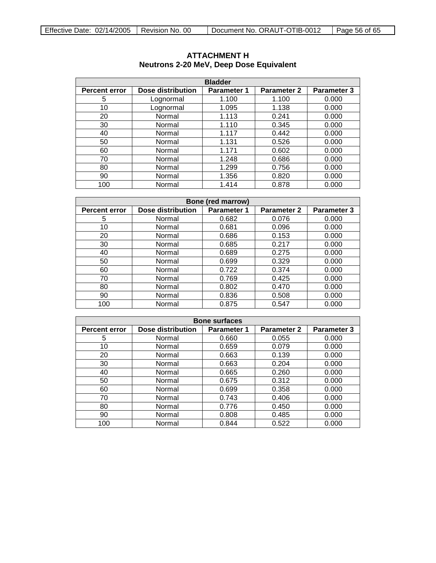| <b>Bladder</b>       |                          |                    |                    |                    |  |
|----------------------|--------------------------|--------------------|--------------------|--------------------|--|
| <b>Percent error</b> | <b>Dose distribution</b> | <b>Parameter 1</b> | <b>Parameter 2</b> | <b>Parameter 3</b> |  |
| 5                    | Lognormal                | 1.100              | 1.100              | 0.000              |  |
| 10                   | Lognormal                | 1.095              | 1.138              | 0.000              |  |
| 20                   | Normal                   | 1.113              | 0.241              | 0.000              |  |
| 30                   | Normal                   | 1.110              | 0.345              | 0.000              |  |
| 40                   | Normal                   | 1.117              | 0.442              | 0.000              |  |
| 50                   | Normal                   | 1.131              | 0.526              | 0.000              |  |
| 60                   | Normal                   | 1.171              | 0.602              | 0.000              |  |
| 70                   | Normal                   | 1.248              | 0.686              | 0.000              |  |
| 80                   | Normal                   | 1.299              | 0.756              | 0.000              |  |
| 90                   | Normal                   | 1.356              | 0.820              | 0.000              |  |
| 100                  | Normal                   | 1.414              | 0.878              | 0.000              |  |

# <span id="page-55-0"></span>**ATTACHMENT H Neutrons 2-20 MeV, Deep Dose Equivalent**

| <b>Bone (red marrow)</b> |                   |                    |                    |                    |  |
|--------------------------|-------------------|--------------------|--------------------|--------------------|--|
| <b>Percent error</b>     | Dose distribution | <b>Parameter 1</b> | <b>Parameter 2</b> | <b>Parameter 3</b> |  |
| 5                        | Normal            | 0.682              | 0.076              | 0.000              |  |
| 10                       | Normal            | 0.681              | 0.096              | 0.000              |  |
| 20                       | Normal            | 0.686              | 0.153              | 0.000              |  |
| 30                       | Normal            | 0.685              | 0.217              | 0.000              |  |
| 40                       | Normal            | 0.689              | 0.275              | 0.000              |  |
| 50                       | Normal            | 0.699              | 0.329              | 0.000              |  |
| 60                       | Normal            | 0.722              | 0.374              | 0.000              |  |
| 70                       | Normal            | 0.769              | 0.425              | 0.000              |  |
| 80                       | Normal            | 0.802              | 0.470              | 0.000              |  |
| 90                       | Normal            | 0.836              | 0.508              | 0.000              |  |
| 100                      | Normal            | 0.875              | 0.547              | 0.000              |  |

| <b>Bone surfaces</b> |                   |                    |                    |                    |  |
|----------------------|-------------------|--------------------|--------------------|--------------------|--|
| <b>Percent error</b> | Dose distribution | <b>Parameter 1</b> | <b>Parameter 2</b> | <b>Parameter 3</b> |  |
| 5                    | Normal            | 0.660              | 0.055              | 0.000              |  |
| 10                   | Normal            | 0.659              | 0.079              | 0.000              |  |
| 20                   | Normal            | 0.663              | 0.139              | 0.000              |  |
| 30                   | Normal            | 0.663              | 0.204              | 0.000              |  |
| 40                   | Normal            | 0.665              | 0.260              | 0.000              |  |
| 50                   | Normal            | 0.675              | 0.312              | 0.000              |  |
| 60                   | Normal            | 0.699              | 0.358              | 0.000              |  |
| 70                   | Normal            | 0.743              | 0.406              | 0.000              |  |
| 80                   | Normal            | 0.776              | 0.450              | 0.000              |  |
| 90                   | Normal            | 0.808              | 0.485              | 0.000              |  |
| 100                  | Normal            | 0.844              | 0.522              | 0.000              |  |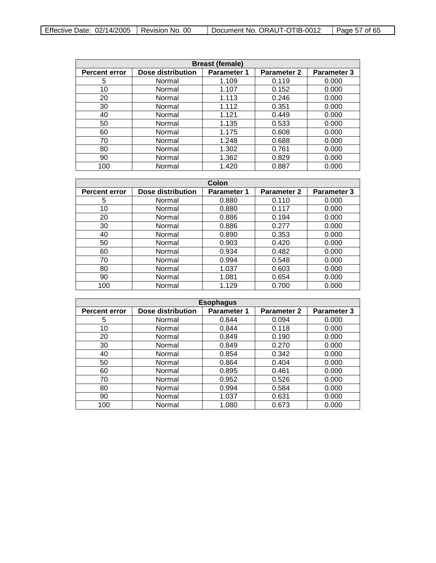| <b>Breast (female)</b> |                   |                    |                    |                    |  |
|------------------------|-------------------|--------------------|--------------------|--------------------|--|
| <b>Percent error</b>   | Dose distribution | <b>Parameter 1</b> | <b>Parameter 2</b> | <b>Parameter 3</b> |  |
| 5                      | Normal            | 1.109              | 0.119              | 0.000              |  |
| 10                     | Normal            | 1.107              | 0.152              | 0.000              |  |
| 20                     | Normal            | 1.113              | 0.246              | 0.000              |  |
| 30                     | Normal            | 1.112              | 0.351              | 0.000              |  |
| 40                     | Normal            | 1.121              | 0.449              | 0.000              |  |
| 50                     | Normal            | 1.135              | 0.533              | 0.000              |  |
| 60                     | Normal            | 1.175              | 0.608              | 0.000              |  |
| 70                     | Normal            | 1.248              | 0.688              | 0.000              |  |
| 80                     | Normal            | 1.302              | 0.761              | 0.000              |  |
| 90                     | Normal            | 1.362              | 0.829              | 0.000              |  |
| 100                    | Normal            | 1.420              | 0.887              | 0.000              |  |

| Colon                |                          |                    |                    |                    |  |
|----------------------|--------------------------|--------------------|--------------------|--------------------|--|
| <b>Percent error</b> | <b>Dose distribution</b> | <b>Parameter 1</b> | <b>Parameter 2</b> | <b>Parameter 3</b> |  |
| 5                    | Normal                   | 0.880              | 0.110              | 0.000              |  |
| 10                   | Normal                   | 0.880              | 0.117              | 0.000              |  |
| 20                   | Normal                   | 0.886              | 0.194              | 0.000              |  |
| 30                   | Normal                   | 0.886              | 0.277              | 0.000              |  |
| 40                   | Normal                   | 0.890              | 0.353              | 0.000              |  |
| 50                   | Normal                   | 0.903              | 0.420              | 0.000              |  |
| 60                   | Normal                   | 0.934              | 0.482              | 0.000              |  |
| 70                   | Normal                   | 0.994              | 0.548              | 0.000              |  |
| 80                   | Normal                   | 1.037              | 0.603              | 0.000              |  |
| 90                   | Normal                   | 1.081              | 0.654              | 0.000              |  |
| 100                  | Normal                   | 1.129              | 0.700              | 0.000              |  |

| <b>Esophagus</b>     |                          |                    |             |             |  |
|----------------------|--------------------------|--------------------|-------------|-------------|--|
| <b>Percent error</b> | <b>Dose distribution</b> | <b>Parameter 1</b> | Parameter 2 | Parameter 3 |  |
| 5                    | Normal                   | 0.844              | 0.094       | 0.000       |  |
| 10                   | Normal                   | 0.844              | 0.118       | 0.000       |  |
| 20                   | Normal                   | 0.849              | 0.190       | 0.000       |  |
| 30                   | Normal                   | 0.849              | 0.270       | 0.000       |  |
| 40                   | Normal                   | 0.854              | 0.342       | 0.000       |  |
| 50                   | Normal                   | 0.864              | 0.404       | 0.000       |  |
| 60                   | Normal                   | 0.895              | 0.461       | 0.000       |  |
| 70                   | Normal                   | 0.952              | 0.526       | 0.000       |  |
| 80                   | Normal                   | 0.994              | 0.584       | 0.000       |  |
| 90                   | Normal                   | 1.037              | 0.631       | 0.000       |  |
| 100                  | Normal                   | 1.080              | 0.673       | 0.000       |  |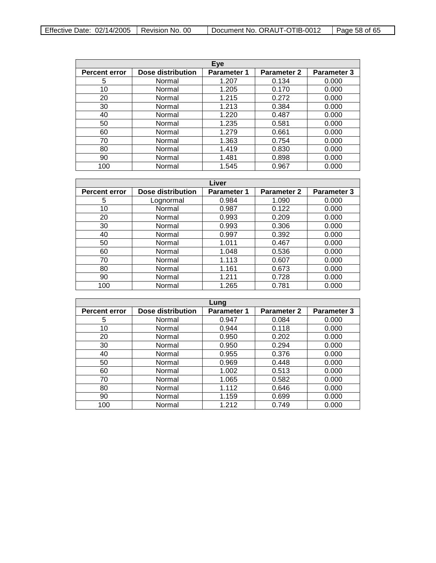| Effective Date: $02/14/2005$   Revision No. 00 |  | Document No. ORAUT-OTIB-0012 | $\vert$ Page 58 of 65 |
|------------------------------------------------|--|------------------------------|-----------------------|
|------------------------------------------------|--|------------------------------|-----------------------|

| Eye                  |                   |                    |                    |                    |  |
|----------------------|-------------------|--------------------|--------------------|--------------------|--|
| <b>Percent error</b> | Dose distribution | <b>Parameter 1</b> | <b>Parameter 2</b> | <b>Parameter 3</b> |  |
| 5                    | Normal            | 1.207              | 0.134              | 0.000              |  |
| 10                   | Normal            | 1.205              | 0.170              | 0.000              |  |
| 20                   | Normal            | 1.215              | 0.272              | 0.000              |  |
| 30                   | Normal            | 1.213              | 0.384              | 0.000              |  |
| 40                   | Normal            | 1.220              | 0.487              | 0.000              |  |
| 50                   | Normal            | 1.235              | 0.581              | 0.000              |  |
| 60                   | Normal            | 1.279              | 0.661              | 0.000              |  |
| 70                   | Normal            | 1.363              | 0.754              | 0.000              |  |
| 80                   | Normal            | 1.419              | 0.830              | 0.000              |  |
| 90                   | Normal            | 1.481              | 0.898              | 0.000              |  |
| 100                  | Normal            | 1.545              | 0.967              | 0.000              |  |

| Liver                |                   |                    |                    |                    |
|----------------------|-------------------|--------------------|--------------------|--------------------|
| <b>Percent error</b> | Dose distribution | <b>Parameter 1</b> | <b>Parameter 2</b> | <b>Parameter 3</b> |
| 5                    | Lognormal         | 0.984              | 1.090              | 0.000              |
| 10                   | Normal            | 0.987              | 0.122              | 0.000              |
| 20                   | Normal            | 0.993              | 0.209              | 0.000              |
| 30                   | Normal            | 0.993              | 0.306              | 0.000              |
| 40                   | Normal            | 0.997              | 0.392              | 0.000              |
| 50                   | Normal            | 1.011              | 0.467              | 0.000              |
| 60                   | Normal            | 1.048              | 0.536              | 0.000              |
| 70                   | Normal            | 1.113              | 0.607              | 0.000              |
| 80                   | Normal            | 1.161              | 0.673              | 0.000              |
| 90                   | Normal            | 1.211              | 0.728              | 0.000              |
| 100                  | Normal            | 1.265              | 0.781              | 0.000              |

| Lung                 |                   |                    |                    |                    |
|----------------------|-------------------|--------------------|--------------------|--------------------|
| <b>Percent error</b> | Dose distribution | <b>Parameter 1</b> | <b>Parameter 2</b> | <b>Parameter 3</b> |
| 5                    | Normal            | 0.947              | 0.084              | 0.000              |
| 10                   | Normal            | 0.944              | 0.118              | 0.000              |
| 20                   | Normal            | 0.950              | 0.202              | 0.000              |
| 30                   | Normal            | 0.950              | 0.294              | 0.000              |
| 40                   | Normal            | 0.955              | 0.376              | 0.000              |
| 50                   | Normal            | 0.969              | 0.448              | 0.000              |
| 60                   | Normal            | 1.002              | 0.513              | 0.000              |
| 70                   | Normal            | 1.065              | 0.582              | 0.000              |
| 80                   | Normal            | 1.112              | 0.646              | 0.000              |
| 90                   | Normal            | 1.159              | 0.699              | 0.000              |
| 100                  | Normal            | 1.212              | 0.749              | 0.000              |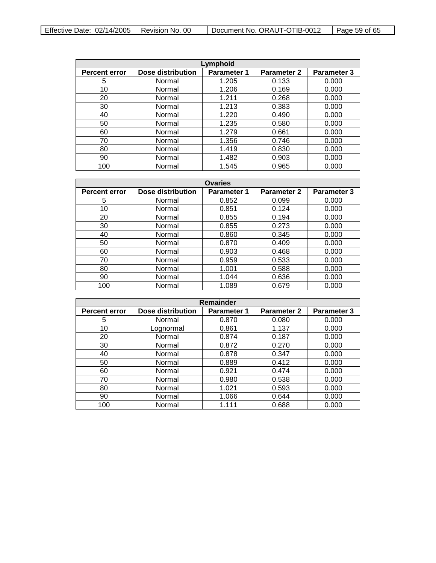| Lymphoid             |                   |                    |                    |                    |  |
|----------------------|-------------------|--------------------|--------------------|--------------------|--|
| <b>Percent error</b> | Dose distribution | <b>Parameter 1</b> | <b>Parameter 2</b> | <b>Parameter 3</b> |  |
| 5                    | Normal            | 1.205              | 0.133              | 0.000              |  |
| 10                   | Normal            | 1.206              | 0.169              | 0.000              |  |
| 20                   | Normal            | 1.211              | 0.268              | 0.000              |  |
| 30                   | Normal            | 1.213              | 0.383              | 0.000              |  |
| 40                   | Normal            | 1.220              | 0.490              | 0.000              |  |
| 50                   | Normal            | 1.235              | 0.580              | 0.000              |  |
| 60                   | Normal            | 1.279              | 0.661              | 0.000              |  |
| 70                   | Normal            | 1.356              | 0.746              | 0.000              |  |
| 80                   | Normal            | 1.419              | 0.830              | 0.000              |  |
| 90                   | Normal            | 1.482              | 0.903              | 0.000              |  |
| 100                  | Normal            | 1.545              | 0.965              | 0.000              |  |

| <b>Ovaries</b>       |                   |                    |                    |                    |
|----------------------|-------------------|--------------------|--------------------|--------------------|
| <b>Percent error</b> | Dose distribution | <b>Parameter 1</b> | <b>Parameter 2</b> | <b>Parameter 3</b> |
| 5                    | Normal            | 0.852              | 0.099              | 0.000              |
| 10                   | Normal            | 0.851              | 0.124              | 0.000              |
| 20                   | Normal            | 0.855              | 0.194              | 0.000              |
| 30                   | Normal            | 0.855              | 0.273              | 0.000              |
| 40                   | Normal            | 0.860              | 0.345              | 0.000              |
| 50                   | Normal            | 0.870              | 0.409              | 0.000              |
| 60                   | Normal            | 0.903              | 0.468              | 0.000              |
| 70                   | Normal            | 0.959              | 0.533              | 0.000              |
| 80                   | Normal            | 1.001              | 0.588              | 0.000              |
| 90                   | Normal            | 1.044              | 0.636              | 0.000              |
| 100                  | Normal            | 1.089              | 0.679              | 0.000              |

| <b>Remainder</b>     |                   |                    |                    |                    |  |
|----------------------|-------------------|--------------------|--------------------|--------------------|--|
| <b>Percent error</b> | Dose distribution | <b>Parameter 1</b> | <b>Parameter 2</b> | <b>Parameter 3</b> |  |
| 5                    | Normal            | 0.870              | 0.080              | 0.000              |  |
| 10                   | Lognormal         | 0.861              | 1.137              | 0.000              |  |
| 20                   | Normal            | 0.874              | 0.187              | 0.000              |  |
| 30                   | Normal            | 0.872              | 0.270              | 0.000              |  |
| 40                   | Normal            | 0.878              | 0.347              | 0.000              |  |
| 50                   | Normal            | 0.889              | 0.412              | 0.000              |  |
| 60                   | Normal            | 0.921              | 0.474              | 0.000              |  |
| 70                   | Normal            | 0.980              | 0.538              | 0.000              |  |
| 80                   | Normal            | 1.021              | 0.593              | 0.000              |  |
| 90                   | Normal            | 1.066              | 0.644              | 0.000              |  |
| 100                  | Normal            | 1.111              | 0.688              | 0.000              |  |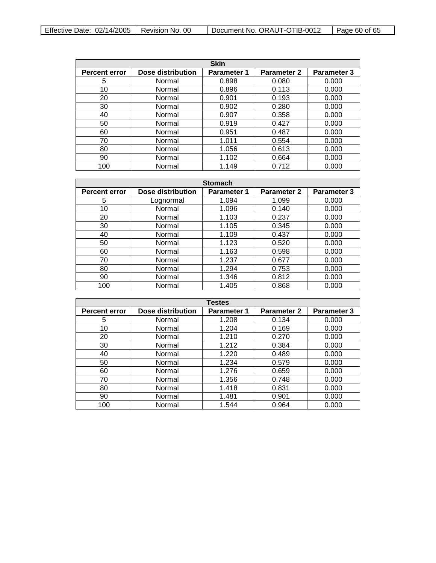| Effective Date: $02/14/2005$   Revision No. 00 |  | Document No. ORAUT-OTIB-0012 | Page 60 of 65 |
|------------------------------------------------|--|------------------------------|---------------|
|------------------------------------------------|--|------------------------------|---------------|

| <b>Skin</b>          |                   |                    |                    |                    |
|----------------------|-------------------|--------------------|--------------------|--------------------|
| <b>Percent error</b> | Dose distribution | <b>Parameter 1</b> | <b>Parameter 2</b> | <b>Parameter 3</b> |
| 5                    | Normal            | 0.898              | 0.080              | 0.000              |
| 10                   | Normal            | 0.896              | 0.113              | 0.000              |
| 20                   | Normal            | 0.901              | 0.193              | 0.000              |
| 30                   | Normal            | 0.902              | 0.280              | 0.000              |
| 40                   | Normal            | 0.907              | 0.358              | 0.000              |
| 50                   | Normal            | 0.919              | 0.427              | 0.000              |
| 60                   | Normal            | 0.951              | 0.487              | 0.000              |
| 70                   | Normal            | 1.011              | 0.554              | 0.000              |
| 80                   | Normal            | 1.056              | 0.613              | 0.000              |
| 90                   | Normal            | 1.102              | 0.664              | 0.000              |
| 100                  | Normal            | 1.149              | 0.712              | 0.000              |

| <b>Stomach</b>       |                          |                    |                    |                    |
|----------------------|--------------------------|--------------------|--------------------|--------------------|
| <b>Percent error</b> | <b>Dose distribution</b> | <b>Parameter 1</b> | <b>Parameter 2</b> | <b>Parameter 3</b> |
| 5                    | Lognormal                | 1.094              | 1.099              | 0.000              |
| 10                   | Normal                   | 1.096              | 0.140              | 0.000              |
| 20                   | Normal                   | 1.103              | 0.237              | 0.000              |
| 30                   | Normal                   | 1.105              | 0.345              | 0.000              |
| 40                   | Normal                   | 1.109              | 0.437              | 0.000              |
| 50                   | Normal                   | 1.123              | 0.520              | 0.000              |
| 60                   | Normal                   | 1.163              | 0.598              | 0.000              |
| 70                   | Normal                   | 1.237              | 0.677              | 0.000              |
| 80                   | Normal                   | 1.294              | 0.753              | 0.000              |
| 90                   | Normal                   | 1.346              | 0.812              | 0.000              |
| 100                  | Normal                   | 1.405              | 0.868              | 0.000              |

| <b>Testes</b>        |                          |                    |                    |                    |
|----------------------|--------------------------|--------------------|--------------------|--------------------|
| <b>Percent error</b> | <b>Dose distribution</b> | <b>Parameter 1</b> | <b>Parameter 2</b> | <b>Parameter 3</b> |
| 5                    | Normal                   | 1.208              | 0.134              | 0.000              |
| 10                   | Normal                   | 1.204              | 0.169              | 0.000              |
| 20                   | Normal                   | 1.210              | 0.270              | 0.000              |
| 30                   | Normal                   | 1.212              | 0.384              | 0.000              |
| 40                   | Normal                   | 1.220              | 0.489              | 0.000              |
| 50                   | Normal                   | 1.234              | 0.579              | 0.000              |
| 60                   | Normal                   | 1.276              | 0.659              | 0.000              |
| 70                   | Normal                   | 1.356              | 0.748              | 0.000              |
| 80                   | Normal                   | 1.418              | 0.831              | 0.000              |
| 90                   | Normal                   | 1.481              | 0.901              | 0.000              |
| 100                  | Normal                   | 1.544              | 0.964              | 0.000              |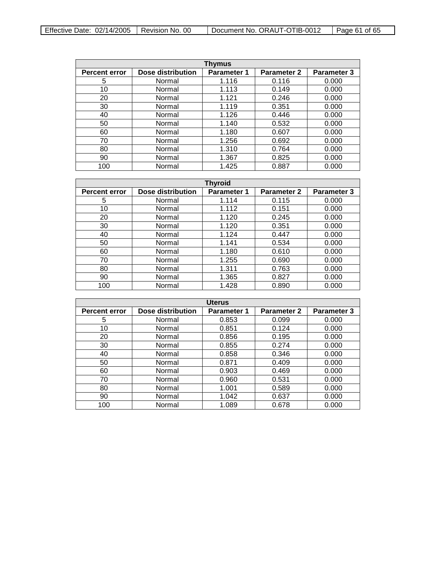| Effective Date: $02/14/2005$   Revision No. 00 |  | Document No. ORAUT-OTIB-0012 | Page 61 of 65 |
|------------------------------------------------|--|------------------------------|---------------|
|------------------------------------------------|--|------------------------------|---------------|

| Thymus               |                   |                    |                    |                    |
|----------------------|-------------------|--------------------|--------------------|--------------------|
| <b>Percent error</b> | Dose distribution | <b>Parameter 1</b> | <b>Parameter 2</b> | <b>Parameter 3</b> |
| 5                    | Normal            | 1.116              | 0.116              | 0.000              |
| 10                   | Normal            | 1.113              | 0.149              | 0.000              |
| 20                   | Normal            | 1.121              | 0.246              | 0.000              |
| 30                   | Normal            | 1.119              | 0.351              | 0.000              |
| 40                   | Normal            | 1.126              | 0.446              | 0.000              |
| 50                   | Normal            | 1.140              | 0.532              | 0.000              |
| 60                   | Normal            | 1.180              | 0.607              | 0.000              |
| 70                   | Normal            | 1.256              | 0.692              | 0.000              |
| 80                   | Normal            | 1.310              | 0.764              | 0.000              |
| 90                   | Normal            | 1.367              | 0.825              | 0.000              |
| 100                  | Normal            | 1.425              | 0.887              | 0.000              |

| <b>Thyroid</b>       |                   |                    |                    |             |
|----------------------|-------------------|--------------------|--------------------|-------------|
| <b>Percent error</b> | Dose distribution | <b>Parameter 1</b> | <b>Parameter 2</b> | Parameter 3 |
| 5                    | Normal            | 1.114              | 0.115              | 0.000       |
| 10                   | Normal            | 1.112              | 0.151              | 0.000       |
| 20                   | Normal            | 1.120              | 0.245              | 0.000       |
| 30                   | Normal            | 1.120              | 0.351              | 0.000       |
| 40                   | Normal            | 1.124              | 0.447              | 0.000       |
| 50                   | Normal            | 1.141              | 0.534              | 0.000       |
| 60                   | Normal            | 1.180              | 0.610              | 0.000       |
| 70                   | Normal            | 1.255              | 0.690              | 0.000       |
| 80                   | Normal            | 1.311              | 0.763              | 0.000       |
| 90                   | Normal            | 1.365              | 0.827              | 0.000       |
| 100                  | Normal            | 1.428              | 0.890              | 0.000       |

| <b>Uterus</b>        |                   |                    |                    |                    |
|----------------------|-------------------|--------------------|--------------------|--------------------|
| <b>Percent error</b> | Dose distribution | <b>Parameter 1</b> | <b>Parameter 2</b> | <b>Parameter 3</b> |
| 5                    | Normal            | 0.853              | 0.099              | 0.000              |
| 10                   | Normal            | 0.851              | 0.124              | 0.000              |
| 20                   | Normal            | 0.856              | 0.195              | 0.000              |
| 30                   | Normal            | 0.855              | 0.274              | 0.000              |
| 40                   | Normal            | 0.858              | 0.346              | 0.000              |
| 50                   | Normal            | 0.871              | 0.409              | 0.000              |
| 60                   | Normal            | 0.903              | 0.469              | 0.000              |
| 70                   | Normal            | 0.960              | 0.531              | 0.000              |
| 80                   | Normal            | 1.001              | 0.589              | 0.000              |
| 90                   | Normal            | 1.042              | 0.637              | 0.000              |
| 100                  | Normal            | 1.089              | 0.678              | 0.000              |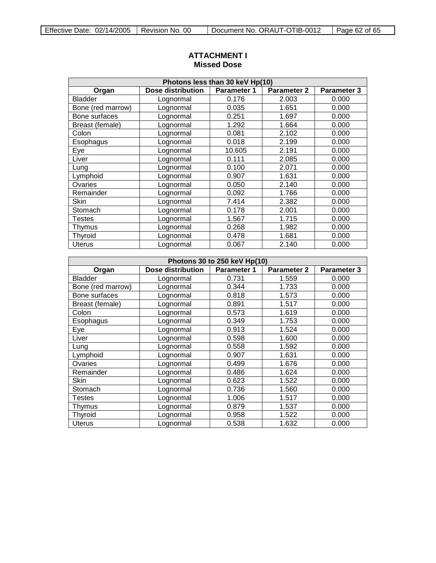| Photons less than 30 keV Hp(10) |                   |                    |                    |                    |
|---------------------------------|-------------------|--------------------|--------------------|--------------------|
| Organ                           | Dose distribution | <b>Parameter 1</b> | <b>Parameter 2</b> | <b>Parameter 3</b> |
| <b>Bladder</b>                  | Lognormal         | 0.176              | 2.003              | 0.000              |
| Bone (red marrow)               | Lognormal         | 0.035              | 1.651              | 0.000              |
| Bone surfaces                   | Lognormal         | 0.251              | 1.697              | 0.000              |
| Breast (female)                 | Lognormal         | 1.292              | 1.664              | 0.000              |
| Colon                           | Lognormal         | 0.081              | 2.102              | 0.000              |
| Esophagus                       | Lognormal         | 0.018              | 2.199              | 0.000              |
| Eye                             | Lognormal         | 10.605             | 2.191              | 0.000              |
| Liver                           | Lognormal         | 0.111              | 2.085              | 0.000              |
| Lung                            | Lognormal         | 0.100              | 2.071              | 0.000              |
| Lymphoid                        | Lognormal         | 0.907              | 1.631              | 0.000              |
| Ovaries                         | Lognormal         | 0.050              | 2.140              | 0.000              |
| Remainder                       | Lognormal         | 0.092              | 1.766              | 0.000              |
| Skin                            | Lognormal         | 7.414              | 2.382              | 0.000              |
| Stomach                         | Lognormal         | 0.178              | 2.001              | 0.000              |
| Testes                          | Lognormal         | 1.567              | 1.715              | 0.000              |
| Thymus                          | Lognormal         | 0.268              | 1.982              | 0.000              |
| Thyroid                         | Lognormal         | 0.478              | 1.681              | 0.000              |
| <b>Uterus</b>                   | Lognormal         | 0.067              | 2.140              | 0.000              |

# <span id="page-61-0"></span>**ATTACHMENT I Missed Dose**

| Photons 30 to 250 keV Hp(10) |                   |                    |             |             |
|------------------------------|-------------------|--------------------|-------------|-------------|
| Organ                        | Dose distribution | <b>Parameter 1</b> | Parameter 2 | Parameter 3 |
| <b>Bladder</b>               | Lognormal         | 0.731              | 1.559       | 0.000       |
| Bone (red marrow)            | Lognormal         | 0.344              | 1.733       | 0.000       |
| Bone surfaces                | Lognormal         | 0.818              | 1.573       | 0.000       |
| Breast (female)              | Lognormal         | 0.891              | 1.517       | 0.000       |
| Colon                        | Lognormal         | 0.573              | 1.619       | 0.000       |
| Esophagus                    | Lognormal         | 0.349              | 1.753       | 0.000       |
| Eye                          | Lognormal         | 0.913              | 1.524       | 0.000       |
| Liver                        | Lognormal         | 0.598              | 1.600       | 0.000       |
| Lung                         | Lognormal         | 0.558              | 1.592       | 0.000       |
| Lymphoid                     | Lognormal         | 0.907              | 1.631       | 0.000       |
| Ovaries                      | Lognormal         | 0.499              | 1.676       | 0.000       |
| Remainder                    | Lognormal         | 0.486              | 1.624       | 0.000       |
| Skin                         | Lognormal         | 0.623              | 1.522       | 0.000       |
| Stomach                      | Lognormal         | 0.736              | 1.560       | 0.000       |
| <b>Testes</b>                | Lognormal         | 1.006              | 1.517       | 0.000       |
| Thymus                       | Lognormal         | 0.879              | 1.537       | 0.000       |
| Thyroid                      | Lognormal         | 0.958              | 1.522       | 0.000       |
| <b>Uterus</b>                | Lognormal         | 0.538              | 1.632       | 0.000       |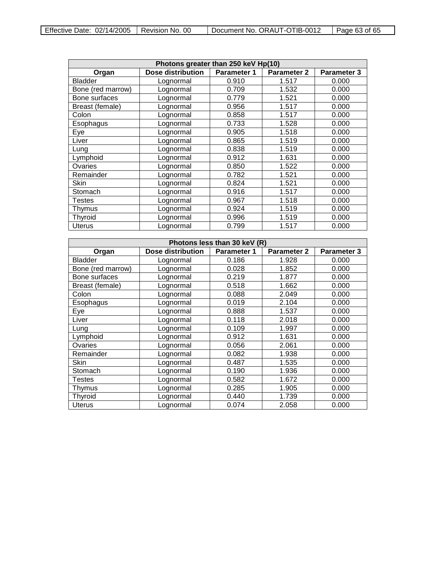| Effective Date: $02/14/2005$   Revision No. 00 |  | Document No. ORAUT-OTIB-0012 | $\vert$ Page 63 of 65 |
|------------------------------------------------|--|------------------------------|-----------------------|
|------------------------------------------------|--|------------------------------|-----------------------|

| Photons greater than 250 keV Hp(10) |                          |                    |             |             |
|-------------------------------------|--------------------------|--------------------|-------------|-------------|
| Organ                               | <b>Dose distribution</b> | <b>Parameter 1</b> | Parameter 2 | Parameter 3 |
| <b>Bladder</b>                      | Lognormal                | 0.910              | 1.517       | 0.000       |
| Bone (red marrow)                   | Lognormal                | 0.709              | 1.532       | 0.000       |
| Bone surfaces                       | Lognormal                | 0.779              | 1.521       | 0.000       |
| Breast (female)                     | Lognormal                | 0.956              | 1.517       | 0.000       |
| Colon                               | Lognormal                | 0.858              | 1.517       | 0.000       |
| Esophagus                           | Lognormal                | 0.733              | 1.528       | 0.000       |
| Eye                                 | Lognormal                | 0.905              | 1.518       | 0.000       |
| Liver                               | Lognormal                | 0.865              | 1.519       | 0.000       |
| Lung                                | Lognormal                | 0.838              | 1.519       | 0.000       |
| Lymphoid                            | Lognormal                | 0.912              | 1.631       | 0.000       |
| Ovaries                             | Lognormal                | 0.850              | 1.522       | 0.000       |
| Remainder                           | Lognormal                | 0.782              | 1.521       | 0.000       |
| <b>Skin</b>                         | Lognormal                | 0.824              | 1.521       | 0.000       |
| Stomach                             | Lognormal                | 0.916              | 1.517       | 0.000       |
| Testes                              | Lognormal                | 0.967              | 1.518       | 0.000       |
| Thymus                              | Lognormal                | 0.924              | 1.519       | 0.000       |
| Thyroid                             | Lognormal                | 0.996              | 1.519       | 0.000       |
| <b>Uterus</b>                       | Lognormal                | 0.799              | 1.517       | 0.000       |

| Photons less than 30 keV (R) |                   |                    |             |                    |
|------------------------------|-------------------|--------------------|-------------|--------------------|
| Organ                        | Dose distribution | <b>Parameter 1</b> | Parameter 2 | <b>Parameter 3</b> |
| <b>Bladder</b>               | Lognormal         | 0.186              | 1.928       | 0.000              |
| Bone (red marrow)            | Lognormal         | 0.028              | 1.852       | 0.000              |
| Bone surfaces                | Lognormal         | 0.219              | 1.877       | 0.000              |
| Breast (female)              | Lognormal         | 0.518              | 1.662       | 0.000              |
| Colon                        | Lognormal         | 0.088              | 2.049       | 0.000              |
| Esophagus                    | Lognormal         | 0.019              | 2.104       | 0.000              |
| Eye                          | Lognormal         | 0.888              | 1.537       | 0.000              |
| Liver                        | Lognormal         | 0.118              | 2.018       | 0.000              |
| Lung                         | Lognormal         | 0.109              | 1.997       | 0.000              |
| Lymphoid                     | Lognormal         | 0.912              | 1.631       | 0.000              |
| Ovaries                      | Lognormal         | 0.056              | 2.061       | 0.000              |
| Remainder                    | Lognormal         | 0.082              | 1.938       | 0.000              |
| Skin                         | Lognormal         | 0.487              | 1.535       | 0.000              |
| Stomach                      | Lognormal         | 0.190              | 1.936       | 0.000              |
| Testes                       | Lognormal         | 0.582              | 1.672       | 0.000              |
| Thymus                       | Lognormal         | 0.285              | 1.905       | 0.000              |
| Thyroid                      | Lognormal         | 0.440              | 1.739       | 0.000              |
| <b>Uterus</b>                | Lognormal         | 0.074              | 2.058       | 0.000              |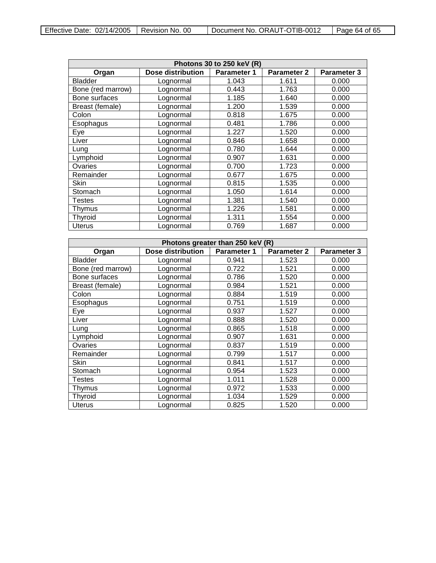| Effective Date: $02/14/2005$   Revision No. 00 |  | Document No. ORAUT-OTIB-0012 | $\vert$ Page 64 of 65 |
|------------------------------------------------|--|------------------------------|-----------------------|
|------------------------------------------------|--|------------------------------|-----------------------|

| Photons 30 to 250 keV (R) |                   |                    |             |                    |
|---------------------------|-------------------|--------------------|-------------|--------------------|
| Organ                     | Dose distribution | <b>Parameter 1</b> | Parameter 2 | <b>Parameter 3</b> |
| <b>Bladder</b>            | Lognormal         | 1.043              | 1.611       | 0.000              |
| Bone (red marrow)         | Lognormal         | 0.443              | 1.763       | 0.000              |
| Bone surfaces             | Lognormal         | 1.185              | 1.640       | 0.000              |
| Breast (female)           | Lognormal         | 1.200              | 1.539       | 0.000              |
| Colon                     | Lognormal         | 0.818              | 1.675       | 0.000              |
| Esophagus                 | Lognormal         | 0.481              | 1.786       | 0.000              |
| Eye                       | Lognormal         | 1.227              | 1.520       | 0.000              |
| Liver                     | Lognormal         | 0.846              | 1.658       | 0.000              |
| Lung                      | Lognormal         | 0.780              | 1.644       | 0.000              |
| Lymphoid                  | Lognormal         | 0.907              | 1.631       | 0.000              |
| Ovaries                   | Lognormal         | 0.700              | 1.723       | 0.000              |
| Remainder                 | Lognormal         | 0.677              | 1.675       | 0.000              |
| <b>Skin</b>               | Lognormal         | 0.815              | 1.535       | 0.000              |
| Stomach                   | Lognormal         | 1.050              | 1.614       | 0.000              |
| Testes                    | Lognormal         | 1.381              | 1.540       | 0.000              |
| Thymus                    | Lognormal         | 1.226              | 1.581       | 0.000              |
| Thyroid                   | Lognormal         | 1.311              | 1.554       | 0.000              |
| <b>Uterus</b>             | Lognormal         | 0.769              | 1.687       | 0.000              |

| Photons greater than 250 keV (R) |                   |                    |             |                    |
|----------------------------------|-------------------|--------------------|-------------|--------------------|
| Organ                            | Dose distribution | <b>Parameter 1</b> | Parameter 2 | <b>Parameter 3</b> |
| <b>Bladder</b>                   | Lognormal         | 0.941              | 1.523       | 0.000              |
| Bone (red marrow)                | Lognormal         | 0.722              | 1.521       | 0.000              |
| Bone surfaces                    | Lognormal         | 0.786              | 1.520       | 0.000              |
| Breast (female)                  | Lognormal         | 0.984              | 1.521       | 0.000              |
| Colon                            | Lognormal         | 0.884              | 1.519       | 0.000              |
| Esophagus                        | Lognormal         | 0.751              | 1.519       | 0.000              |
| Eye                              | Lognormal         | 0.937              | 1.527       | 0.000              |
| Liver                            | Lognormal         | 0.888              | 1.520       | 0.000              |
| Lung                             | Lognormal         | 0.865              | 1.518       | 0.000              |
| Lymphoid                         | Lognormal         | 0.907              | 1.631       | 0.000              |
| Ovaries                          | Lognormal         | 0.837              | 1.519       | 0.000              |
| Remainder                        | Lognormal         | 0.799              | 1.517       | 0.000              |
| Skin                             | Lognormal         | 0.841              | 1.517       | 0.000              |
| Stomach                          | Lognormal         | 0.954              | 1.523       | 0.000              |
| Testes                           | Lognormal         | 1.011              | 1.528       | 0.000              |
| Thymus                           | Lognormal         | 0.972              | 1.533       | 0.000              |
| Thyroid                          | Lognormal         | 1.034              | 1.529       | 0.000              |
| <b>Uterus</b>                    | Lognormal         | 0.825              | 1.520       | 0.000              |